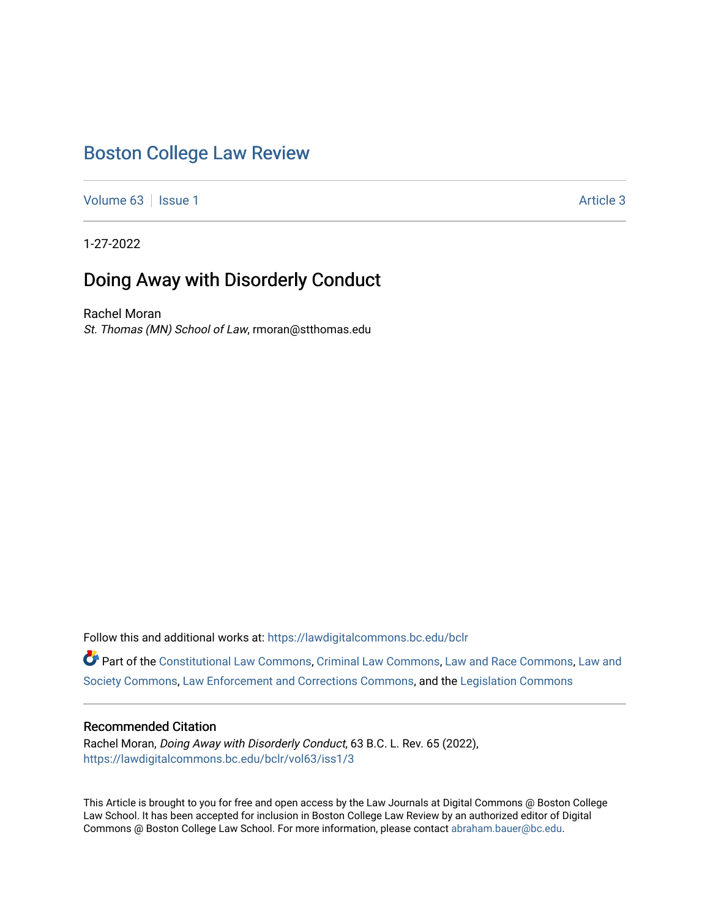# [Boston College Law Review](https://lawdigitalcommons.bc.edu/bclr)

[Volume 63](https://lawdigitalcommons.bc.edu/bclr/vol63) | [Issue 1](https://lawdigitalcommons.bc.edu/bclr/vol63/iss1) [Article 3](https://lawdigitalcommons.bc.edu/bclr/vol63/iss1/3) | Article 3 | Article 3 | Article 3 | Article 3 | Article 3 | Article 3 | Article 3 | Article 3 | Article 3 | Article 3 | Article 3 | Article 3 | Article 3 | Article 3 | Article 3 | Article 3

1-27-2022

# Doing Away with Disorderly Conduct

Rachel Moran St. Thomas (MN) School of Law, rmoran@stthomas.edu

Follow this and additional works at: [https://lawdigitalcommons.bc.edu/bclr](https://lawdigitalcommons.bc.edu/bclr?utm_source=lawdigitalcommons.bc.edu%2Fbclr%2Fvol63%2Fiss1%2F3&utm_medium=PDF&utm_campaign=PDFCoverPages) 

Part of the [Constitutional Law Commons,](http://network.bepress.com/hgg/discipline/589?utm_source=lawdigitalcommons.bc.edu%2Fbclr%2Fvol63%2Fiss1%2F3&utm_medium=PDF&utm_campaign=PDFCoverPages) [Criminal Law Commons,](http://network.bepress.com/hgg/discipline/912?utm_source=lawdigitalcommons.bc.edu%2Fbclr%2Fvol63%2Fiss1%2F3&utm_medium=PDF&utm_campaign=PDFCoverPages) [Law and Race Commons,](http://network.bepress.com/hgg/discipline/1300?utm_source=lawdigitalcommons.bc.edu%2Fbclr%2Fvol63%2Fiss1%2F3&utm_medium=PDF&utm_campaign=PDFCoverPages) [Law and](http://network.bepress.com/hgg/discipline/853?utm_source=lawdigitalcommons.bc.edu%2Fbclr%2Fvol63%2Fiss1%2F3&utm_medium=PDF&utm_campaign=PDFCoverPages) [Society Commons](http://network.bepress.com/hgg/discipline/853?utm_source=lawdigitalcommons.bc.edu%2Fbclr%2Fvol63%2Fiss1%2F3&utm_medium=PDF&utm_campaign=PDFCoverPages), [Law Enforcement and Corrections Commons](http://network.bepress.com/hgg/discipline/854?utm_source=lawdigitalcommons.bc.edu%2Fbclr%2Fvol63%2Fiss1%2F3&utm_medium=PDF&utm_campaign=PDFCoverPages), and the [Legislation Commons](http://network.bepress.com/hgg/discipline/859?utm_source=lawdigitalcommons.bc.edu%2Fbclr%2Fvol63%2Fiss1%2F3&utm_medium=PDF&utm_campaign=PDFCoverPages)

## Recommended Citation

Rachel Moran, Doing Away with Disorderly Conduct, 63 B.C. L. Rev. 65 (2022), [https://lawdigitalcommons.bc.edu/bclr/vol63/iss1/3](https://lawdigitalcommons.bc.edu/bclr/vol63/iss1/3?utm_source=lawdigitalcommons.bc.edu%2Fbclr%2Fvol63%2Fiss1%2F3&utm_medium=PDF&utm_campaign=PDFCoverPages) 

This Article is brought to you for free and open access by the Law Journals at Digital Commons @ Boston College Law School. It has been accepted for inclusion in Boston College Law Review by an authorized editor of Digital Commons @ Boston College Law School. For more information, please contact [abraham.bauer@bc.edu.](mailto:abraham.bauer@bc.edu)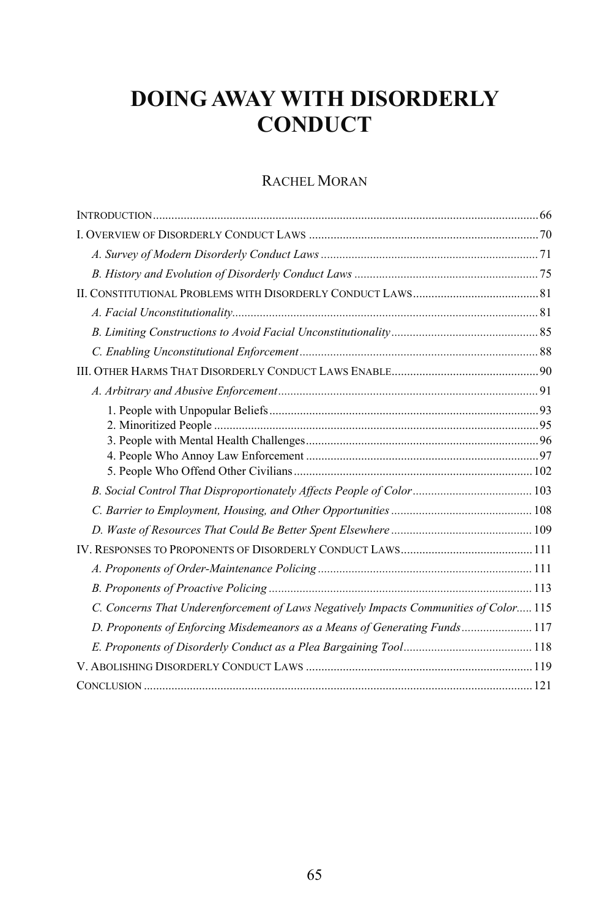# **DOING AWAY WITH DISORDERLY CONDUCT**

# RACHEL MORAN

| C. Concerns That Underenforcement of Laws Negatively Impacts Communities of Color 115 |  |
|---------------------------------------------------------------------------------------|--|
| D. Proponents of Enforcing Misdemeanors as a Means of Generating Funds 117            |  |
|                                                                                       |  |
|                                                                                       |  |
|                                                                                       |  |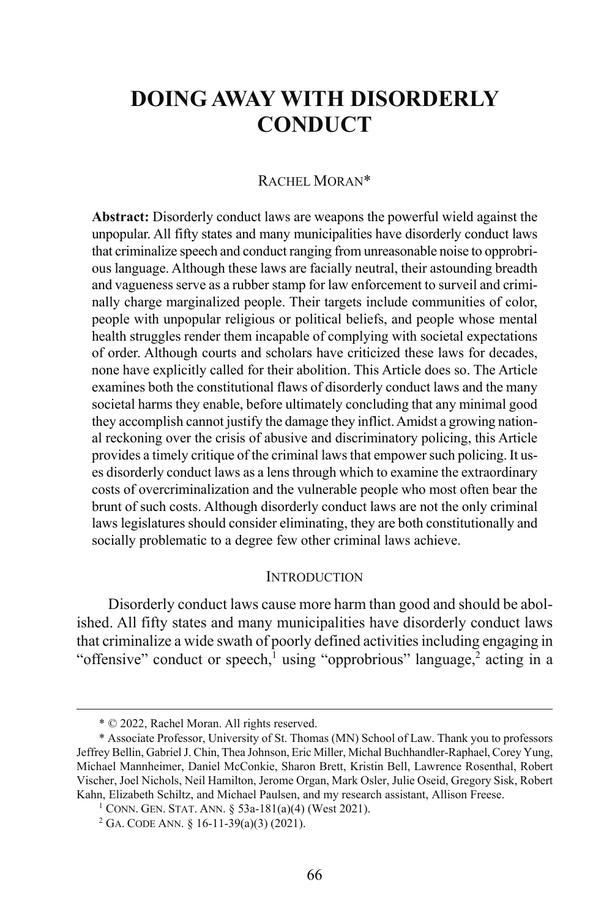# **DOING AWAY WITH DISORDERLY CONDUCT**

### RACHEL MORAN\*

**Abstract:** Disorderly conduct laws are weapons the powerful wield against the unpopular. All fifty states and many municipalities have disorderly conduct laws that criminalize speech and conduct ranging from unreasonable noise to opprobrious language. Although these laws are facially neutral, their astounding breadth and vagueness serve as a rubber stamp for law enforcement to surveil and criminally charge marginalized people. Their targets include communities of color, people with unpopular religious or political beliefs, and people whose mental health struggles render them incapable of complying with societal expectations of order. Although courts and scholars have criticized these laws for decades, none have explicitly called for their abolition. This Article does so. The Article examines both the constitutional flaws of disorderly conduct laws and the many societal harms they enable, before ultimately concluding that any minimal good they accomplish cannot justify the damage they inflict.Amidst a growing national reckoning over the crisis of abusive and discriminatory policing, this Article provides a timely critique of the criminal laws that empower such policing. It uses disorderly conduct laws as a lens through which to examine the extraordinary costs of overcriminalization and the vulnerable people who most often bear the brunt of such costs. Although disorderly conduct laws are not the only criminal laws legislatures should consider eliminating, they are both constitutionally and socially problematic to a degree few other criminal laws achieve.

#### **INTRODUCTION**

Disorderly conduct laws cause more harm than good and should be abolished. All fifty states and many municipalities have disorderly conduct laws that criminalize a wide swath of poorly defined activities including engaging in "offensive" conduct or speech,<sup>1</sup> using "opprobrious" language,<sup>2</sup> acting in a

 <sup>\* © 2022,</sup> Rachel Moran. All rights reserved.

<sup>\*</sup> Associate Professor, University of St. Thomas (MN) School of Law. Thank you to professors Jeffrey Bellin, Gabriel J. Chin, Thea Johnson, Eric Miller, Michal Buchhandler-Raphael, Corey Yung, Michael Mannheimer, Daniel McConkie, Sharon Brett, Kristin Bell, Lawrence Rosenthal, Robert Vischer, Joel Nichols, Neil Hamilton, Jerome Organ, Mark Osler, Julie Oseid, Gregory Sisk, Robert Kahn, Elizabeth Schiltz, and Michael Paulsen, and my research assistant, Allison Freese.

<sup>1</sup> CONN. GEN. STAT. ANN. § 53a-181(a)(4) (West 2021).

<sup>2</sup> GA. CODE ANN. § 16-11-39(a)(3) (2021).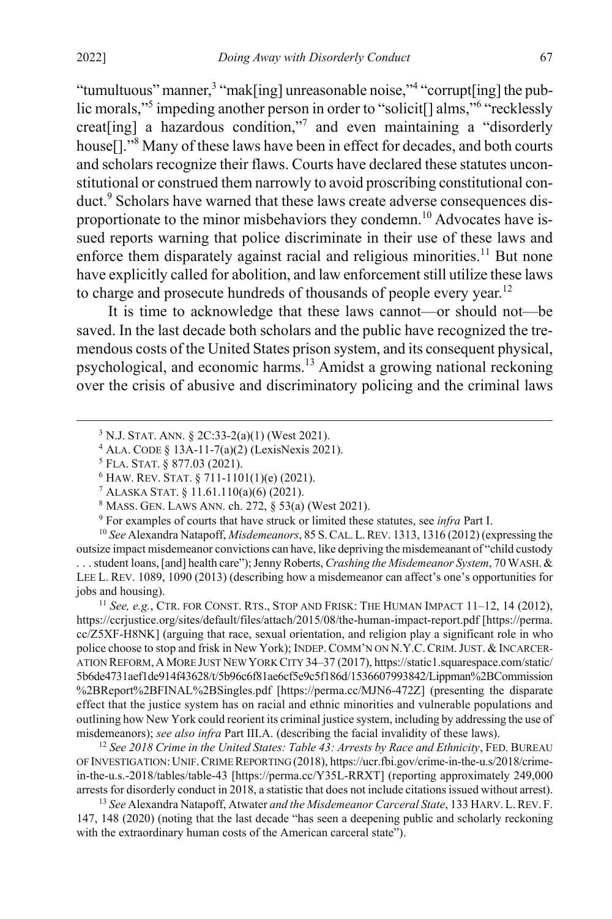"tumultuous" manner,<sup>3</sup> "mak[ing] unreasonable noise,"<sup>4</sup> "corrupt[ing] the public morals,"<sup>5</sup> impeding another person in order to "solicit<sup>[]</sup> alms,"<sup>6</sup> "recklessly creat[ing] a hazardous condition,"7 and even maintaining a "disorderly house<sup>[1]</sup>."<sup>8</sup> Many of these laws have been in effect for decades, and both courts and scholars recognize their flaws. Courts have declared these statutes unconstitutional or construed them narrowly to avoid proscribing constitutional conduct.<sup>9</sup> Scholars have warned that these laws create adverse consequences disproportionate to the minor misbehaviors they condemn.<sup>10</sup> Advocates have issued reports warning that police discriminate in their use of these laws and enforce them disparately against racial and religious minorities.<sup>11</sup> But none have explicitly called for abolition, and law enforcement still utilize these laws to charge and prosecute hundreds of thousands of people every year.<sup>12</sup>

<span id="page-3-3"></span><span id="page-3-2"></span><span id="page-3-0"></span>It is time to acknowledge that these laws cannot—or should not—be saved. In the last decade both scholars and the public have recognized the tremendous costs of the United States prison system, and its consequent physical, psychological, and economic harms.<sup>13</sup> Amidst a growing national reckoning over the crisis of abusive and discriminatory policing and the criminal laws

<sup>9</sup> For examples of courts that have struck or limited these statutes, see *infra* Part I.

<sup>10</sup> *See* Alexandra Natapoff, *Misdemeanors*, 85 S.CAL.L.REV. 1313, 1316 (2012) (expressing the outsize impact misdemeanor convictions can have, like depriving the misdemeanant of "child custody . . . student loans, [and] health care"); Jenny Roberts, *Crashing the Misdemeanor System*, 70 WASH. & LEE L. REV. 1089, 1090 (2013) (describing how a misdemeanor can affect's one's opportunities for jobs and housing).

<sup>11</sup> *See, e.g.*, CTR. FOR CONST. RTS., STOP AND FRISK: THE HUMAN IMPACT 11–12, 14 (2012), https://ccrjustice.org/sites/default/files/attach/2015/08/the-human-impact-report.pdf [https://perma. cc/Z5XF-H8NK] (arguing that race, sexual orientation, and religion play a significant role in who police choose to stop and frisk in New York); INDEP.COMM'N ON N.Y.C.CRIM.JUST. & INCARCER-ATION REFORM,AMORE JUST NEW YORK CITY 34–37 (2017), https://static1.squarespace.com/static/ 5b6de4731aef1de914f43628/t/5b96c6f81ae6cf5e9c5f186d/1536607993842/Lippman%2BCommission %2BReport%2BFINAL%2BSingles.pdf [https://perma.cc/MJN6-472Z] (presenting the disparate effect that the justice system has on racial and ethnic minorities and vulnerable populations and outlining how New York could reorient its criminal justice system, including by addressing the use of misdemeanors); *see also infra* Part III.A. (describing the facial invalidity of these laws).

<sup>12</sup> *See 2018 Crime in the United States: Table 43: Arrests by Race and Ethnicity*, FED. BUREAU OF INVESTIGATION:UNIF.CRIME REPORTING (2018), https://ucr.fbi.gov/crime-in-the-u.s/2018/crimein-the-u.s.-2018/tables/table-43 [https://perma.cc/Y35L-RRXT] (reporting approximately 249,000 arrests for disorderly conduct in 2018, a statistic that does not include citations issued without arrest).

<sup>13</sup> *See* Alexandra Natapoff, Atwater *and the Misdemeanor Carceral State*, 133 HARV.L.REV. F. 147, 148 (2020) (noting that the last decade "has seen a deepening public and scholarly reckoning with the extraordinary human costs of the American carceral state").

 <sup>3</sup> <sup>3</sup> N.J. STAT. ANN. § 2C:33-2(a)(1) (West 2021).

<span id="page-3-1"></span><sup>4</sup> ALA. CODE § 13A-11-7(a)(2) (LexisNexis 2021).

<sup>5</sup> FLA. STAT. § 877.03 (2021).

<sup>6</sup> HAW. REV. STAT. § 711-1101(1)(e) (2021).

<sup>7</sup> ALASKA STAT. § 11.61.110(a)(6) (2021).

<sup>8</sup> MASS. GEN. LAWS ANN. ch. 272, § 53(a) (West 2021).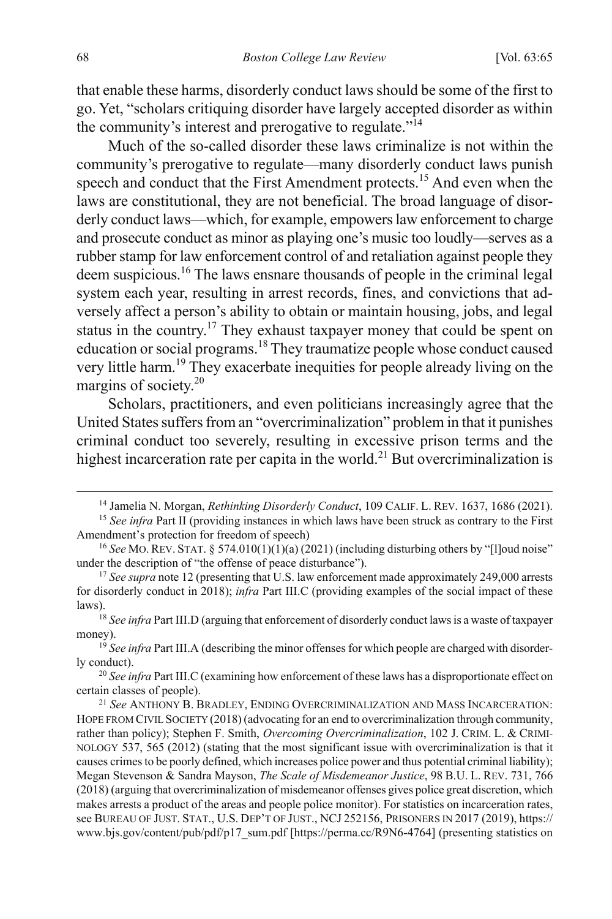that enable these harms, disorderly conduct laws should be some of the first to go. Yet, "scholars critiquing disorder have largely accepted disorder as within the community's interest and prerogative to regulate."<sup>14</sup>

<span id="page-4-1"></span>Much of the so-called disorder these laws criminalize is not within the community's prerogative to regulate—many disorderly conduct laws punish speech and conduct that the First Amendment protects.<sup>15</sup> And even when the laws are constitutional, they are not beneficial. The broad language of disorderly conduct laws—which, for example, empowers law enforcement to charge and prosecute conduct as minor as playing one's music too loudly—serves as a rubber stamp for law enforcement control of and retaliation against people they deem suspicious.16 The laws ensnare thousands of people in the criminal legal system each year, resulting in arrest records, fines, and convictions that adversely affect a person's ability to obtain or maintain housing, jobs, and legal status in the country.<sup>17</sup> They exhaust taxpayer money that could be spent on education or social programs.<sup>18</sup> They traumatize people whose conduct caused very little harm.<sup>19</sup> They exacerbate inequities for people already living on the margins of society.20

Scholars, practitioners, and even politicians increasingly agree that the United States suffers from an "overcriminalization" problem in that it punishes criminal conduct too severely, resulting in excessive prison terms and the highest incarceration rate per capita in the world.<sup>21</sup> But overcriminalization is

<span id="page-4-0"></span><sup>&</sup>lt;sup>14</sup> Jamelia N. Morgan, *Rethinking Disorderly Conduct*, 109 CALIF. L. REV. 1637, 1686 (2021). <sup>15</sup> *See infra* Part II (providing instances in which laws have been struck as contrary to the First

Amendment's protection for freedom of speech)

<sup>16</sup> *See* MO.REV. STAT. § 574.010(1)(1)(a) (2021) (including disturbing others by "[l]oud noise" under the description of "the offense of peace disturbance"). 17 *See supra* not[e 12](#page-3-0) (presenting that U.S. law enforcement made approximately 249,000 arrests

for disorderly conduct in 2018); *infra* Part III.C (providing examples of the social impact of these

<sup>&</sup>lt;sup>18</sup> See infra Part III.D (arguing that enforcement of disorderly conduct laws is a waste of taxpayer

money).<br><sup>19</sup> *See infra* Part III.A (describing the minor offenses for which people are charged with disorderly conduct).

<sup>&</sup>lt;sup>20</sup> See infra Part III.C (examining how enforcement of these laws has a disproportionate effect on certain classes of people).

<sup>21</sup> *See* ANTHONY B. BRADLEY, ENDING OVERCRIMINALIZATION AND MASS INCARCERATION: HOPE FROM CIVIL SOCIETY (2018) (advocating for an end to overcriminalization through community, rather than policy); Stephen F. Smith, *Overcoming Overcriminalization*, 102 J. CRIM. L. & CRIMI-NOLOGY 537, 565 (2012) (stating that the most significant issue with overcriminalization is that it causes crimes to be poorly defined, which increases police power and thus potential criminal liability); Megan Stevenson & Sandra Mayson, *The Scale of Misdemeanor Justice*, 98 B.U. L. REV. 731, 766 (2018) (arguing that overcriminalization of misdemeanor offenses gives police great discretion, which makes arrests a product of the areas and people police monitor). For statistics on incarceration rates, see BUREAU OF JUST. STAT., U.S. DEP'T OF JUST., NCJ 252156, PRISONERS IN 2017 (2019), https:// www.bjs.gov/content/pub/pdf/p17\_sum.pdf [https://perma.cc/R9N6-4764] (presenting statistics on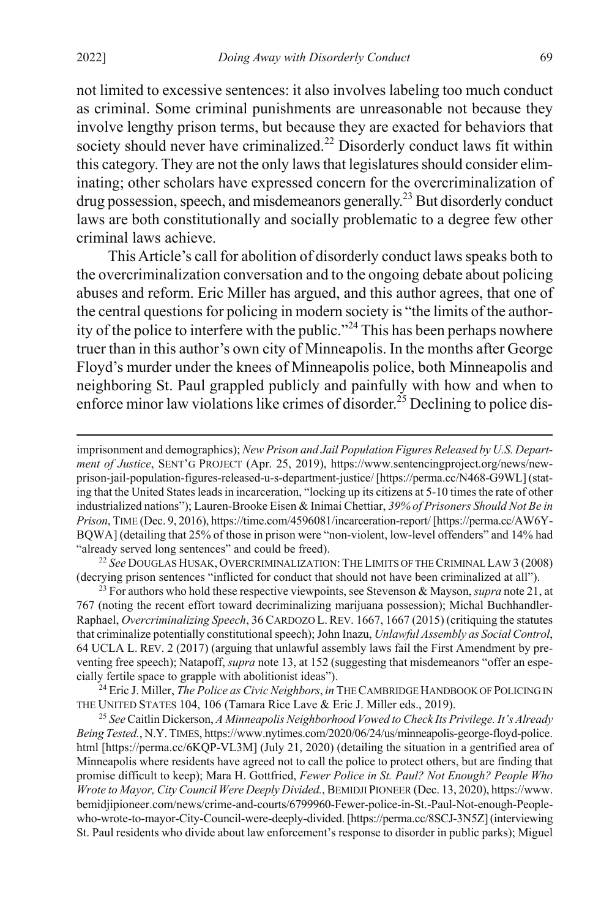not limited to excessive sentences: it also involves labeling too much conduct as criminal. Some criminal punishments are unreasonable not because they involve lengthy prison terms, but because they are exacted for behaviors that society should never have criminalized. $22$  Disorderly conduct laws fit within this category. They are not the only laws that legislatures should consider eliminating; other scholars have expressed concern for the overcriminalization of drug possession, speech, and misdemeanors generally.<sup>23</sup> But disorderly conduct laws are both constitutionally and socially problematic to a degree few other criminal laws achieve.

<span id="page-5-0"></span>This Article's call for abolition of disorderly conduct laws speaks both to the overcriminalization conversation and to the ongoing debate about policing abuses and reform. Eric Miller has argued, and this author agrees, that one of the central questions for policing in modern society is "the limits of the authority of the police to interfere with the public."<sup>24</sup> This has been perhaps nowhere truer than in this author's own city of Minneapolis. In the months after George Floyd's murder under the knees of Minneapolis police, both Minneapolis and neighboring St. Paul grappled publicly and painfully with how and when to enforce minor law violations like crimes of disorder.<sup>25</sup> Declining to police dis-

(decrying prison sentences "inflicted for conduct that should not have been criminalized at all").

<sup>23</sup> For authors who hold these respective viewpoints, see Stevenson & Mayson, *supra* not[e 21,](#page-4-0) at 767 (noting the recent effort toward decriminalizing marijuana possession); Michal Buchhandler-Raphael, *Overcriminalizing Speech*, 36 CARDOZO L.REV. 1667, 1667 (2015) (critiquing the statutes that criminalize potentially constitutional speech); John Inazu, *Unlawful Assembly as Social Control*, 64 UCLA L. REV. 2 (2017) (arguing that unlawful assembly laws fail the First Amendment by preventing free speech); Natapoff, *supra* not[e 13,](#page-3-1) at 152 (suggesting that misdemeanors "offer an especially fertile space to grapple with abolitionist ideas").

<sup>24</sup> Eric J. Miller, *The Police as Civic Neighbors*, *in* THE CAMBRIDGE HANDBOOK OF POLICING IN THE UNITED STATES 104, 106 (Tamara Rice Lave & Eric J. Miller eds., 2019). 25 *See* Caitlin Dickerson, *A Minneapolis Neighborhood Vowed to Check Its Privilege. It's Already* 

*Being Tested.*, N.Y.TIMES, https://www.nytimes.com/2020/06/24/us/minneapolis-george-floyd-police. html [https://perma.cc/6KQP-VL3M] (July 21, 2020) (detailing the situation in a gentrified area of Minneapolis where residents have agreed not to call the police to protect others, but are finding that promise difficult to keep); Mara H. Gottfried, *Fewer Police in St. Paul? Not Enough? People Who Wrote to Mayor, City Council Were Deeply Divided.*, BEMIDJI PIONEER (Dec. 13, 2020), https://www. bemidjipioneer.com/news/crime-and-courts/6799960-Fewer-police-in-St.-Paul-Not-enough-Peoplewho-wrote-to-mayor-City-Council-were-deeply-divided.[https://perma.cc/8SCJ-3N5Z] (interviewing St. Paul residents who divide about law enforcement's response to disorder in public parks); Miguel

 $\overline{a}$ 

imprisonment and demographics); *New Prison and Jail Population Figures Released by U.S. Department of Justice*, SENT'G PROJECT (Apr. 25, 2019), https://www.sentencingproject.org/news/newprison-jail-population-figures-released-u-s-department-justice/ [https://perma.cc/N468-G9WL] (stating that the United States leads in incarceration, "locking up its citizens at 5-10 times the rate of other industrialized nations"); Lauren-Brooke Eisen & Inimai Chettiar, *39% of Prisoners Should Not Be in Prison*, TIME (Dec. 9, 2016), https://time.com/4596081/incarceration-report/ [https://perma.cc/AW6Y-BQWA] (detailing that 25% of those in prison were "non-violent, low-level offenders" and 14% had "already served long sentences" and could be freed). 22 *See* DOUGLAS HUSAK, OVERCRIMINALIZATION:THE LIMITS OF THE CRIMINAL LAW 3 (2008)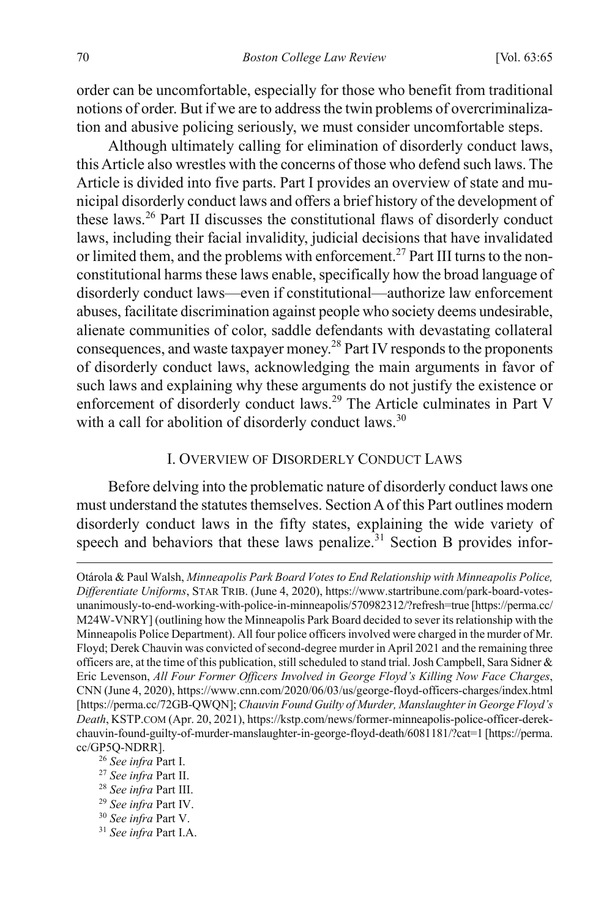order can be uncomfortable, especially for those who benefit from traditional notions of order. But if we are to address the twin problems of overcriminalization and abusive policing seriously, we must consider uncomfortable steps.

Although ultimately calling for elimination of disorderly conduct laws, this Article also wrestles with the concerns of those who defend such laws. The Article is divided into five parts. Part I provides an overview of state and municipal disorderly conduct laws and offers a brief history of the development of these laws. <sup>26</sup> Part II discusses the constitutional flaws of disorderly conduct laws, including their facial invalidity, judicial decisions that have invalidated or limited them, and the problems with enforcement.<sup>27</sup> Part III turns to the nonconstitutional harms these laws enable, specifically how the broad language of disorderly conduct laws—even if constitutional—authorize law enforcement abuses, facilitate discrimination against people who society deems undesirable, alienate communities of color, saddle defendants with devastating collateral consequences, and waste taxpayer money. $^{28}$  Part IV responds to the proponents of disorderly conduct laws, acknowledging the main arguments in favor of such laws and explaining why these arguments do not justify the existence or enforcement of disorderly conduct laws.<sup>29</sup> The Article culminates in Part V with a call for abolition of disorderly conduct laws.<sup>30</sup>

#### I. OVERVIEW OF DISORDERLY CONDUCT LAWS

Before delving into the problematic nature of disorderly conduct laws one must understand the statutes themselves. Section A of this Part outlines modern disorderly conduct laws in the fifty states, explaining the wide variety of speech and behaviors that these laws penalize.<sup>31</sup> Section B provides infor-

 $\overline{a}$ 

- <sup>30</sup> *See infra* Part V.
- <sup>31</sup> *See infra* Part I.A.

Otárola & Paul Walsh, *Minneapolis Park Board Votes to End Relationship with Minneapolis Police, Differentiate Uniforms*, STAR TRIB. (June 4, 2020), https://www.startribune.com/park-board-votesunanimously-to-end-working-with-police-in-minneapolis/570982312/?refresh=true [https://perma.cc/ M24W-VNRY] (outlining how the Minneapolis Park Board decided to sever its relationship with the Minneapolis Police Department). All four police officers involved were charged in the murder of Mr. Floyd; Derek Chauvin was convicted of second-degree murder in April 2021 and the remaining three officers are, at the time of this publication, still scheduled to stand trial. Josh Campbell, Sara Sidner  $\&$ Eric Levenson, *All Four Former Officers Involved in George Floyd's Killing Now Face Charges*, CNN (June 4, 2020), https://www.cnn.com/2020/06/03/us/george-floyd-officers-charges/index.html [https://perma.cc/72GB-QWQN]; *Chauvin Found Guilty of Murder, Manslaughter in George Floyd's Death*, KSTP.COM (Apr. 20, 2021), https://kstp.com/news/former-minneapolis-police-officer-derekchauvin-found-guilty-of-murder-manslaughter-in-george-floyd-death/6081181/?cat=1 [https://perma. cc/GP5Q-NDRR].

<sup>26</sup> *See infra* Part I.

<sup>27</sup> *See infra* Part II.

<sup>28</sup> *See infra* Part III.

<sup>29</sup> *See infra* Part IV.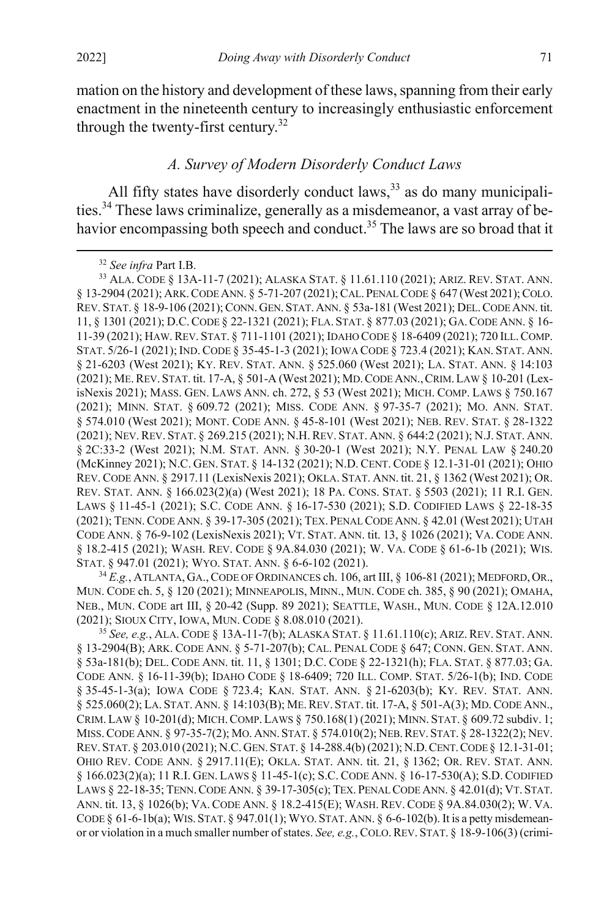mation on the history and development of these laws, spanning from their early enactment in the nineteenth century to increasingly enthusiastic enforcement through the twenty-first century.<sup>32</sup>

### *A. Survey of Modern Disorderly Conduct Laws*

All fifty states have disorderly conduct laws,<sup>33</sup> as do many municipalities.<sup>34</sup> These laws criminalize, generally as a misdemeanor, a vast array of behavior encompassing both speech and conduct.<sup>35</sup> The laws are so broad that it

<sup>34</sup> *E.g.*, ATLANTA, GA.,CODE OF ORDINANCES ch. 106, art III, § 106-81 (2021); MEDFORD,OR., MUN. CODE ch. 5, § 120 (2021); MINNEAPOLIS, MINN., MUN. CODE ch. 385, § 90 (2021); OMAHA, NEB., MUN. CODE art III, § 20-42 (Supp. 89 2021); SEATTLE, WASH., MUN. CODE § 12A.12.010 (2021); SIOUX CITY, IOWA, MUN. CODE § 8.08.010 (2021).

<sup>35</sup> *See, e.g.*, ALA. CODE § 13A-11-7(b); ALASKA STAT. § 11.61.110(c); ARIZ. REV. STAT. ANN. § 13-2904(B); ARK. CODE ANN. § 5-71-207(b); CAL. PENAL CODE § 647; CONN. GEN. STAT. ANN. § 53a-181(b); DEL. CODE ANN. tit. 11, § 1301; D.C. CODE § 22-1321(h); FLA. STAT. § 877.03; GA. CODE ANN. § 16-11-39(b); IDAHO CODE § 18-6409; 720 ILL. COMP. STAT. 5/26-1(b); IND. CODE § 35-45-1-3(a); IOWA CODE § 723.4; KAN. STAT. ANN. § 21-6203(b); KY. REV. STAT. ANN. § 525.060(2); LA. STAT. ANN. § 14:103(B); ME.REV. STAT. tit. 17-A, § 501-A(3); MD.CODE ANN., CRIM. LAW § 10-201(d); MICH.COMP.LAWS § 750.168(1) (2021); MINN. STAT. § 609.72 subdiv. 1; MISS.CODE ANN. § 97-35-7(2); MO.ANN.STAT. § 574.010(2); NEB.REV. STAT. § 28-1322(2); NEV. REV. STAT. § 203.010 (2021); N.C.GEN. STAT. § 14-288.4(b) (2021); N.D.CENT.CODE § 12.1-31-01; OHIO REV. CODE ANN. § 2917.11(E); OKLA. STAT. ANN. tit. 21, § 1362; OR. REV. STAT. ANN. § 166.023(2)(a); 11 R.I. GEN. LAWS § 11-45-1(c); S.C. CODE ANN. § 16-17-530(A); S.D. CODIFIED LAWS § 22-18-35; TENN.CODE ANN. § 39-17-305(c); TEX. PENAL CODE ANN. § 42.01(d); VT. STAT. ANN. tit. 13, § 1026(b); VA. CODE ANN. § 18.2-415(E); WASH. REV. CODE § 9A.84.030(2); W. VA. CODE  $\S$  61-6-1b(a); WIS. STAT.  $\S$  947.01(1); WYO. STAT. ANN.  $\S$  6-6-102(b). It is a petty misdemeanor or violation in a much smaller number of states. *See, e.g.*, COLO.REV. STAT. § 18-9-106(3) (crimi-

 <sup>32</sup> *See infra* Part I.B.

<sup>33</sup> ALA. CODE § 13A-11-7 (2021); ALASKA STAT. § 11.61.110 (2021); ARIZ. REV. STAT. ANN. § 13-2904 (2021); ARK.CODE ANN. § 5-71-207 (2021); CAL. PENAL CODE § 647 (West 2021); COLO. REV. STAT. § 18-9-106 (2021); CONN.GEN. STAT.ANN. § 53a-181 (West 2021); DEL.CODE ANN. tit. 11, § 1301 (2021); D.C.CODE § 22-1321 (2021); FLA. STAT. § 877.03 (2021); GA.CODE ANN. § 16- 11-39 (2021); HAW.REV. STAT. § 711-1101 (2021); IDAHO CODE § 18-6409 (2021); 720 ILL.COMP. STAT. 5/26-1 (2021); IND. CODE § 35-45-1-3 (2021); IOWA CODE § 723.4 (2021); KAN. STAT. ANN. § 21-6203 (West 2021); KY. REV. STAT. ANN. § 525.060 (West 2021); LA. STAT. ANN. § 14:103 (2021); ME.REV. STAT. tit. 17-A, § 501-A (West 2021); MD.CODE ANN.,CRIM.LAW § 10-201 (LexisNexis 2021); MASS. GEN. LAWS ANN. ch. 272, § 53 (West 2021); MICH. COMP. LAWS § 750.167 (2021); MINN. STAT. § 609.72 (2021); MISS. CODE ANN. § 97-35-7 (2021); MO. ANN. STAT. § 574.010 (West 2021); MONT. CODE ANN. § 45-8-101 (West 2021); NEB. REV. STAT. § 28-1322 (2021); NEV.REV. STAT. § 269.215 (2021); N.H.REV. STAT. ANN. § 644:2 (2021); N.J. STAT. ANN. § 2C:33-2 (West 2021); N.M. STAT. ANN. § 30-20-1 (West 2021); N.Y. PENAL LAW § 240.20 (McKinney 2021); N.C. GEN. STAT. § 14-132 (2021); N.D. CENT. CODE § 12.1-31-01 (2021); OHIO REV. CODE ANN. § 2917.11 (LexisNexis 2021); OKLA. STAT. ANN. tit. 21, § 1362 (West 2021); OR. REV. STAT. ANN. § 166.023(2)(a) (West 2021); 18 PA. CONS. STAT. § 5503 (2021); 11 R.I. GEN. LAWS § 11-45-1 (2021); S.C. CODE ANN. § 16-17-530 (2021); S.D. CODIFIED LAWS § 22-18-35 (2021); TENN.CODE ANN. § 39-17-305 (2021); TEX. PENAL CODE ANN. § 42.01 (West 2021); UTAH CODE ANN. § 76-9-102 (LexisNexis 2021); VT. STAT. ANN. tit. 13, § 1026 (2021); VA. CODE ANN. § 18.2-415 (2021); WASH. REV. CODE § 9A.84.030 (2021); W. VA. CODE § 61-6-1b (2021); WIS. STAT. § 947.01 (2021); WYO. STAT. ANN. § 6-6-102 (2021).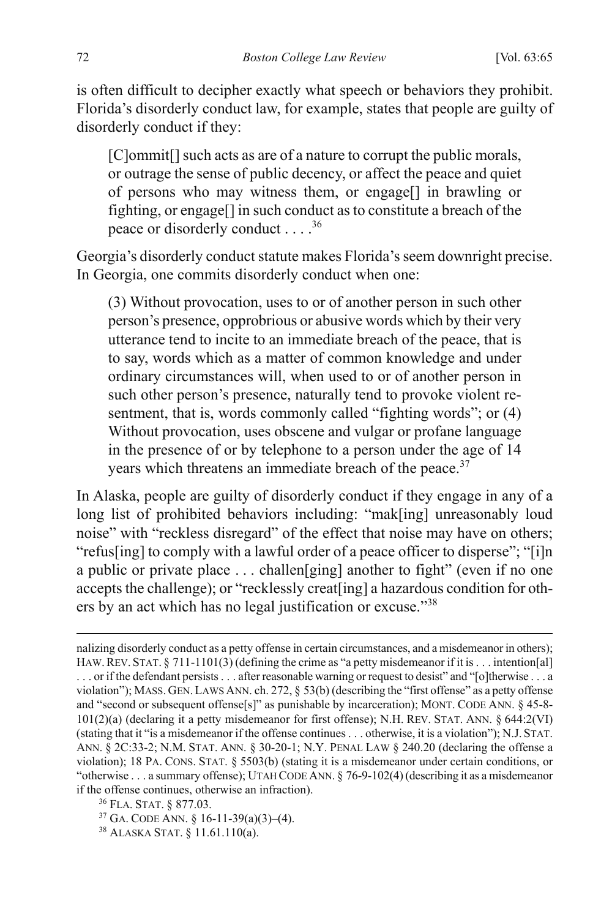is often difficult to decipher exactly what speech or behaviors they prohibit. Florida's disorderly conduct law, for example, states that people are guilty of disorderly conduct if they:

[C]ommit<sup>[]</sup> such acts as are of a nature to corrupt the public morals, or outrage the sense of public decency, or affect the peace and quiet of persons who may witness them, or engage[] in brawling or fighting, or engage[] in such conduct as to constitute a breach of the peace or disorderly conduct . . . .36

Georgia's disorderly conduct statute makes Florida's seem downright precise. In Georgia, one commits disorderly conduct when one:

(3) Without provocation, uses to or of another person in such other person's presence, opprobrious or abusive words which by their very utterance tend to incite to an immediate breach of the peace, that is to say, words which as a matter of common knowledge and under ordinary circumstances will, when used to or of another person in such other person's presence, naturally tend to provoke violent resentment, that is, words commonly called "fighting words"; or  $(4)$ Without provocation, uses obscene and vulgar or profane language in the presence of or by telephone to a person under the age of 14 years which threatens an immediate breach of the peace.<sup>37</sup>

In Alaska, people are guilty of disorderly conduct if they engage in any of a long list of prohibited behaviors including: "mak[ing] unreasonably loud noise" with "reckless disregard" of the effect that noise may have on others; "refus[ing] to comply with a lawful order of a peace officer to disperse"; "[i]n a public or private place . . . challen[ging] another to fight" (even if no one accepts the challenge); or "recklessly creat[ing] a hazardous condition for others by an act which has no legal justification or excuse."<sup>38</sup>

 $\overline{a}$ 

nalizing disorderly conduct as a petty offense in certain circumstances, and a misdemeanor in others); HAW. REV. STAT. § 711-1101(3) (defining the crime as "a petty misdemeanor if it is . . . intention[al] . . . or if the defendant persists . . . after reasonable warning or request to desist" and "[o]therwise . . . a violation"); MASS. GEN.LAWS ANN. ch. 272, § 53(b) (describing the "first offense" as a petty offense and "second or subsequent offense[s]" as punishable by incarceration); MONT. CODE ANN. § 45-8-101(2)(a) (declaring it a petty misdemeanor for first offense); N.H. REV. STAT. ANN. § 644:2(VI) (stating that it "is a misdemeanor if the offense continues . . . otherwise, it is a violation"); N.J. STAT. ANN. § 2C:33-2; N.M. STAT. ANN. § 30-20-1; N.Y. PENAL LAW § 240.20 (declaring the offense a violation); 18 PA. CONS. STAT. § 5503(b) (stating it is a misdemeanor under certain conditions, or "otherwise . . . a summary offense); UTAH CODE ANN. § 76-9-102(4) (describing it as a misdemeanor if the offense continues, otherwise an infraction).

<sup>36</sup> FLA. STAT. § 877.03.

<sup>37</sup> GA. CODE ANN. § 16-11-39(a)(3)–(4).

<sup>38</sup> ALASKA STAT. § 11.61.110(a).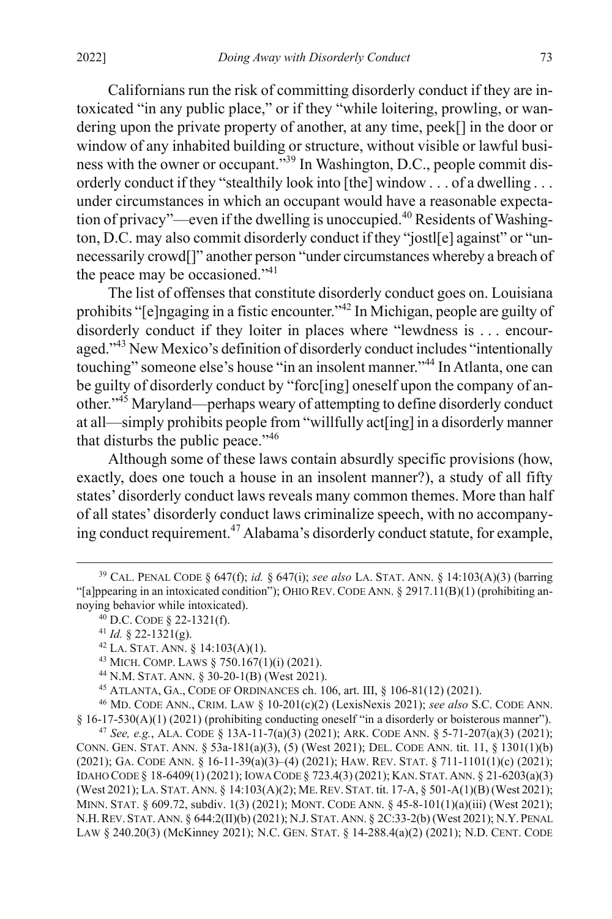Californians run the risk of committing disorderly conduct if they are intoxicated "in any public place," or if they "while loitering, prowling, or wandering upon the private property of another, at any time, peek[] in the door or window of any inhabited building or structure, without visible or lawful business with the owner or occupant."39 In Washington, D.C., people commit disorderly conduct if they "stealthily look into [the] window . . . of a dwelling . . . under circumstances in which an occupant would have a reasonable expectation of privacy"—even if the dwelling is unoccupied.40 Residents of Washington, D.C. may also commit disorderly conduct if they "jostl[e] against" or "unnecessarily crowd[]" another person "under circumstances whereby a breach of the peace may be occasioned."<sup>41</sup>

The list of offenses that constitute disorderly conduct goes on. Louisiana prohibits "[e]ngaging in a fistic encounter."<sup>42</sup> In Michigan, people are guilty of disorderly conduct if they loiter in places where "lewdness is . . . encouraged."<sup>43</sup> New Mexico's definition of disorderly conduct includes "intentionally touching" someone else's house "in an insolent manner."<sup>44</sup> In Atlanta, one can be guilty of disorderly conduct by "forc[ing] oneself upon the company of another."45 Maryland—perhaps weary of attempting to define disorderly conduct at all—simply prohibits people from "willfully act[ing] in a disorderly manner that disturbs the public peace."<sup>46</sup>

Although some of these laws contain absurdly specific provisions (how, exactly, does one touch a house in an insolent manner?), a study of all fifty states' disorderly conduct laws reveals many common themes. More than half of all states' disorderly conduct laws criminalize speech, with no accompanying conduct requirement.47 Alabama's disorderly conduct statute, for example,

45 ATLANTA, GA., CODE OF ORDINANCES ch. 106, art. III, § 106-81(12) (2021).

46 MD. CODE ANN., CRIM. LAW § 10-201(c)(2) (LexisNexis 2021); *see also* S.C. CODE ANN.  $§$  16-17-530(A)(1) (2021) (prohibiting conducting oneself "in a disorderly or boisterous manner").

<sup>47</sup> *See, e.g.*, ALA. CODE § 13A-11-7(a)(3) (2021); ARK. CODE ANN. § 5-71-207(a)(3) (2021); CONN. GEN. STAT. ANN. § 53a-181(a)(3), (5) (West 2021); DEL. CODE ANN. tit. 11, § 1301(1)(b) (2021); GA. CODE ANN. § 16-11-39(a)(3)–(4) (2021); HAW. REV. STAT. § 711-1101(1)(c) (2021); IDAHO CODE § 18-6409(1) (2021); IOWA CODE § 723.4(3) (2021); KAN.STAT.ANN. § 21-6203(a)(3) (West 2021); LA. STAT. ANN. § 14:103(A)(2); ME.REV. STAT. tit. 17-A, § 501-A(1)(B) (West 2021); MINN. STAT. § 609.72, subdiv. 1(3) (2021); MONT. CODE ANN. § 45-8-101(1)(a)(iii) (West 2021); N.H.REV.STAT.ANN. § 644:2(II)(b) (2021); N.J. STAT.ANN. § 2C:33-2(b) (West 2021); N.Y.PENAL LAW § 240.20(3) (McKinney 2021); N.C. GEN. STAT. § 14-288.4(a)(2) (2021); N.D. CENT. CODE

 <sup>39</sup> CAL. PENAL CODE § 647(f); *id.* § 647(i); *see also* LA. STAT. ANN. § 14:103(A)(3) (barring "[a]ppearing in an intoxicated condition"); OHIO REV. CODE ANN.  $\S$  2917.11(B)(1) (prohibiting annoying behavior while intoxicated).

<sup>40</sup> D.C. CODE § 22-1321(f).<br>
<sup>41</sup> *Id.* § 22-1321(g).<br>
<sup>42</sup> LA. STAT. ANN. § 14:103(A)(1).<br>
<sup>43</sup> MICH. COMP. LAWS § 750.167(1)(i) (2021).<br>
<sup>44</sup> N.M. STAT. ANN. § 30-20-1(B) (West 2021).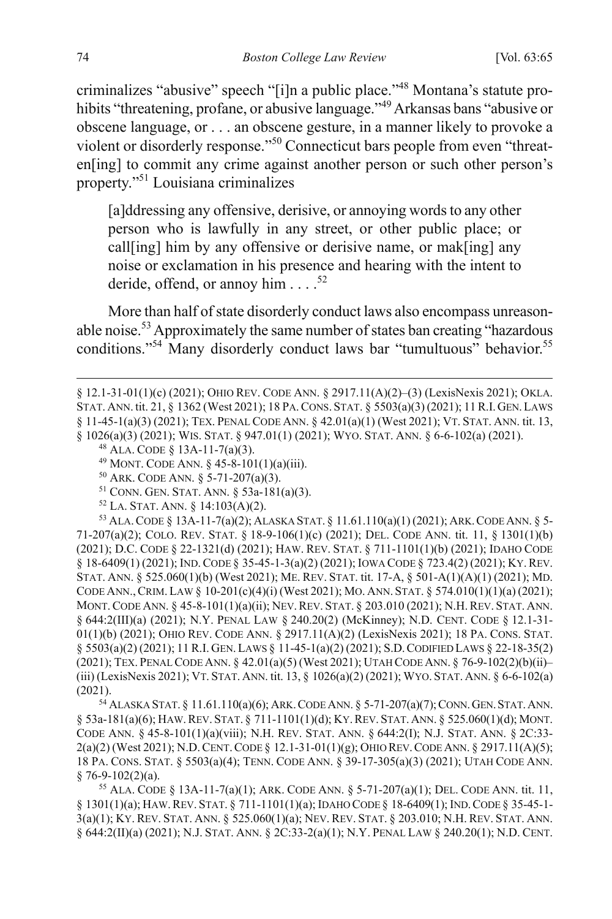criminalizes "abusive" speech "[i]n a public place."<sup>48</sup> Montana's statute prohibits "threatening, profane, or abusive language."49 Arkansas bans "abusive or obscene language, or . . . an obscene gesture, in a manner likely to provoke a violent or disorderly response."<sup>50</sup> Connecticut bars people from even "threaten[ing] to commit any crime against another person or such other person's property."51 Louisiana criminalizes

[a]ddressing any offensive, derisive, or annoying words to any other person who is lawfully in any street, or other public place; or call[ing] him by any offensive or derisive name, or mak[ing] any noise or exclamation in his presence and hearing with the intent to deride, offend, or annoy him  $\ldots$ .<sup>52</sup>

More than half of state disorderly conduct laws also encompass unreasonable noise.53 Approximately the same number of states ban creating "hazardous conditions."<sup>54</sup> Many disorderly conduct laws bar "tumultuous" behavior.<sup>55</sup>

52 LA. STAT. ANN. § 14:103(A)(2).<br><sup>53</sup> Ala. Code § 13A-11-7(a)(2); Alaska Stat. § 11.61.110(a)(1) (2021); Ark. Code Ann. § 5-71-207(a)(2); COLO. REV. STAT. § 18-9-106(1)(c) (2021); DEL. CODE ANN. tit. 11, § 1301(1)(b) (2021); D.C. CODE § 22-1321(d) (2021); HAW. REV. STAT. § 711-1101(1)(b) (2021); IDAHO CODE § 18-6409(1) (2021); IND.CODE § 35-45-1-3(a)(2) (2021); IOWA CODE § 723.4(2) (2021); KY.REV. STAT. ANN. § 525.060(1)(b) (West 2021); ME. REV. STAT. tit. 17-A, § 501-A(1)(A)(1) (2021); MD. CODE ANN.,CRIM. LAW § 10-201(c)(4)(i) (West 2021); MO. ANN. STAT. § 574.010(1)(1)(a) (2021); MONT.CODE ANN. § 45-8-101(1)(a)(ii); NEV.REV. STAT. § 203.010 (2021); N.H.REV. STAT. ANN. § 644:2(III)(a) (2021); N.Y. PENAL LAW § 240.20(2) (McKinney); N.D. CENT. CODE § 12.1-31- 01(1)(b) (2021); OHIO REV. CODE ANN. § 2917.11(A)(2) (LexisNexis 2021); 18 PA. CONS. STAT. § 5503(a)(2) (2021); 11 R.I. GEN.LAWS § 11-45-1(a)(2) (2021); S.D.CODIFIED LAWS § 22-18-35(2) (2021); TEX. PENAL CODE ANN. § 42.01(a)(5) (West 2021); UTAH CODE ANN. § 76-9-102(2)(b)(ii)– (iii) (LexisNexis 2021); VT. STAT. ANN. tit. 13, § 1026(a)(2) (2021); WYO. STAT. ANN. § 6-6-102(a) (2021).

54 ALASKA STAT. § 11.61.110(a)(6); ARK.CODE ANN. § 5-71-207(a)(7); CONN.GEN.STAT.ANN. § 53a-181(a)(6); HAW.REV. STAT. § 711-1101(1)(d); KY.REV. STAT.ANN. § 525.060(1)(d); MONT. CODE ANN. § 45-8-101(1)(a)(viii); N.H. REV. STAT. ANN. § 644:2(I); N.J. STAT. ANN. § 2C:33- 2(a)(2) (West 2021); N.D.CENT.CODE § 12.1-31-01(1)(g); OHIO REV.CODE ANN. § 2917.11(A)(5); 18 PA. CONS. STAT. § 5503(a)(4); TENN. CODE ANN. § 39-17-305(a)(3) (2021); UTAH CODE ANN. § 76-9-102(2)(a).<br><sup>55</sup> ALA. CODE § 13A-11-7(a)(1); ARK. CODE ANN. § 5-71-207(a)(1); DEL. CODE ANN. tit. 11,

§ 1301(1)(a); HAW.REV. STAT. § 711-1101(1)(a); IDAHO CODE § 18-6409(1); IND.CODE § 35-45-1- 3(a)(1); KY. REV. STAT. ANN. § 525.060(1)(a); NEV. REV. STAT. § 203.010; N.H. REV. STAT. ANN. § 644:2(II)(a) (2021); N.J. STAT. ANN. § 2C:33-2(a)(1); N.Y. PENAL LAW § 240.20(1); N.D. CENT.

 $\overline{a}$ 

<sup>§ 12.1-31-01(1)(</sup>c) (2021); OHIO REV. CODE ANN. § 2917.11(A)(2)–(3) (LexisNexis 2021); OKLA. STAT. ANN. tit. 21, § 1362 (West 2021); 18 PA.CONS. STAT. § 5503(a)(3) (2021); 11 R.I.GEN.LAWS § 11-45-1(a)(3) (2021); TEX. PENAL CODE ANN. § 42.01(a)(1) (West 2021); VT. STAT. ANN. tit. 13, § 1026(a)(3) (2021); WIS. STAT. § 947.01(1) (2021); WYO. STAT. ANN. § 6-6-102(a) (2021).

<sup>48</sup> ALA. CODE § 13A-11-7(a)(3).

<sup>49</sup> MONT. CODE ANN. § 45-8-101(1)(a)(iii).

<sup>50</sup> ARK. CODE ANN. § 5-71-207(a)(3).

<sup>51</sup> CONN. GEN. STAT. ANN. § 53a-181(a)(3).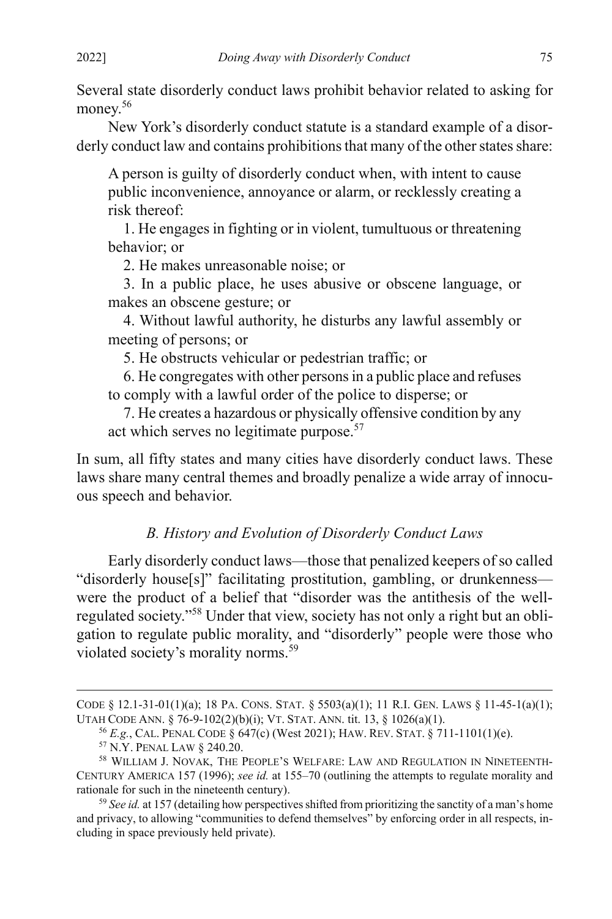Several state disorderly conduct laws prohibit behavior related to asking for money.<sup>56</sup>

New York's disorderly conduct statute is a standard example of a disorderly conduct law and contains prohibitions that many of the other states share:

A person is guilty of disorderly conduct when, with intent to cause public inconvenience, annoyance or alarm, or recklessly creating a risk thereof:

1. He engages in fighting or in violent, tumultuous or threatening behavior; or

2. He makes unreasonable noise; or

3. In a public place, he uses abusive or obscene language, or makes an obscene gesture; or

4. Without lawful authority, he disturbs any lawful assembly or meeting of persons; or

5. He obstructs vehicular or pedestrian traffic; or

6. He congregates with other persons in a public place and refuses to comply with a lawful order of the police to disperse; or

7. He creates a hazardous or physically offensive condition by any act which serves no legitimate purpose.<sup>57</sup>

In sum, all fifty states and many cities have disorderly conduct laws. These laws share many central themes and broadly penalize a wide array of innocuous speech and behavior.

## <span id="page-11-0"></span>*B. History and Evolution of Disorderly Conduct Laws*

Early disorderly conduct laws—those that penalized keepers of so called "disorderly house[s]" facilitating prostitution, gambling, or drunkenness were the product of a belief that "disorder was the antithesis of the wellregulated society."58 Under that view, society has not only a right but an obligation to regulate public morality, and "disorderly" people were those who violated society's morality norms.<sup>59</sup>

 $\overline{a}$ 

CODE § 12.1-31-01(1)(a); 18 PA. CONS. STAT. §  $5503(a)(1)$ ; 11 R.I. GEN. LAWS § 11-45-1(a)(1); UTAH CODE ANN. § 76-9-102(2)(b)(i); VT. STAT. ANN. tit. 13, § 1026(a)(1).

<sup>&</sup>lt;sup>56</sup> *E.g.*, CAL. PENAL CODE § 647(c) (West 2021); HAW. REV. STAT. § 711-1101(1)(e).<br><sup>57</sup> N.Y. PENAL LAW § 240.20.<br><sup>58</sup> WILLIAM J. NOVAK, THE PEOPLE'S WELFARE: LAW AND REGULATION IN NINETEENTH-

CENTURY AMERICA 157 (1996); *see id.* at 155–70 (outlining the attempts to regulate morality and rationale for such in the nineteenth century).

<sup>59</sup> *See id.* at 157 (detailing how perspectives shifted from prioritizing the sanctity of a man's home and privacy, to allowing "communities to defend themselves" by enforcing order in all respects, including in space previously held private).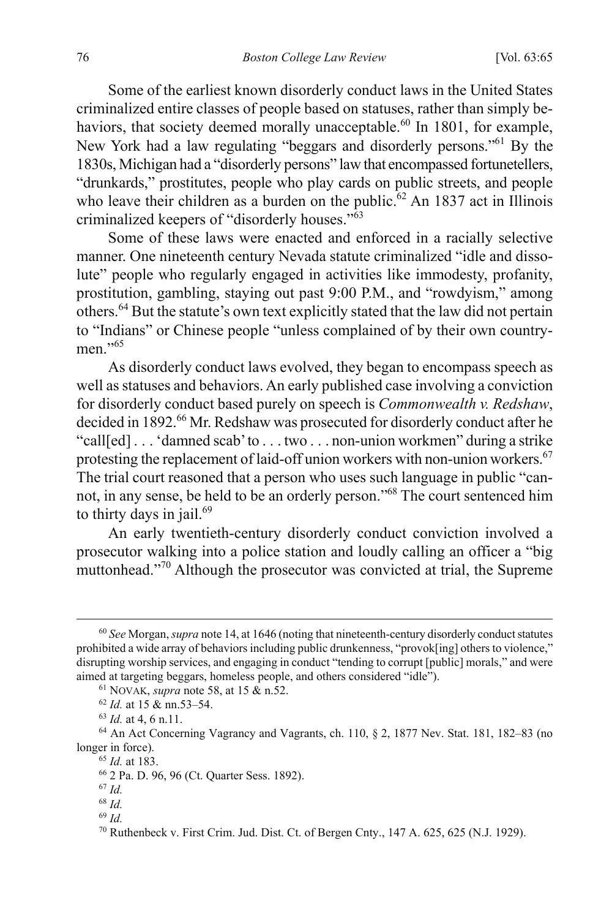Some of the earliest known disorderly conduct laws in the United States criminalized entire classes of people based on statuses, rather than simply behaviors, that society deemed morally unacceptable.<sup>60</sup> In 1801, for example, New York had a law regulating "beggars and disorderly persons."61 By the 1830s, Michigan had a "disorderly persons" law that encompassed fortunetellers, "drunkards," prostitutes, people who play cards on public streets, and people who leave their children as a burden on the public.<sup>62</sup> An 1837 act in Illinois criminalized keepers of "disorderly houses."<sup>63</sup>

Some of these laws were enacted and enforced in a racially selective manner. One nineteenth century Nevada statute criminalized "idle and dissolute" people who regularly engaged in activities like immodesty, profanity, prostitution, gambling, staying out past 9:00 P.M., and "rowdyism," among others.<sup>64</sup> But the statute's own text explicitly stated that the law did not pertain to "Indians" or Chinese people "unless complained of by their own countrymen."<sup>65</sup>

As disorderly conduct laws evolved, they began to encompass speech as well as statuses and behaviors. An early published case involving a conviction for disorderly conduct based purely on speech is *Commonwealth v. Redshaw*, decided in 1892.<sup>66</sup> Mr. Redshaw was prosecuted for disorderly conduct after he "call[ed] . . . 'damned scab' to . . . two . . . non-union workmen" during a strike protesting the replacement of laid-off union workers with non-union workers.<sup>67</sup> The trial court reasoned that a person who uses such language in public "cannot, in any sense, be held to be an orderly person."68 The court sentenced him to thirty days in jail.<sup>69</sup>

An early twentieth-century disorderly conduct conviction involved a prosecutor walking into a police station and loudly calling an officer a "big muttonhead."<sup>70</sup> Although the prosecutor was convicted at trial, the Supreme

61 NOVAK, *supra* not[e 58,](#page-11-0) at 15 & n.52.

<sup>65</sup> *Id.* at 183.

<sup>69</sup> *Id.*

 <sup>60</sup> *See* Morgan, *supra* not[e 14,](#page-4-1) at 1646 (noting that nineteenth-century disorderly conduct statutes prohibited a wide array of behaviors including public drunkenness, "provok[ing] others to violence," disrupting worship services, and engaging in conduct "tending to corrupt [public] morals," and were aimed at targeting beggars, homeless people, and others considered "idle").

<sup>62</sup> *Id.* at 15 & nn.53–54. 63 *Id.* at 4, 6 n.11.

<sup>64</sup> An Act Concerning Vagrancy and Vagrants, ch. 110, § 2, 1877 Nev. Stat. 181, 182–83 (no longer in force).

<sup>66</sup> 2 Pa. D. 96, 96 (Ct. Quarter Sess. 1892).

<sup>67</sup> *Id.*

<sup>68</sup> *Id.*

<sup>70</sup> Ruthenbeck v. First Crim. Jud. Dist. Ct. of Bergen Cnty., 147 A. 625, 625 (N.J. 1929).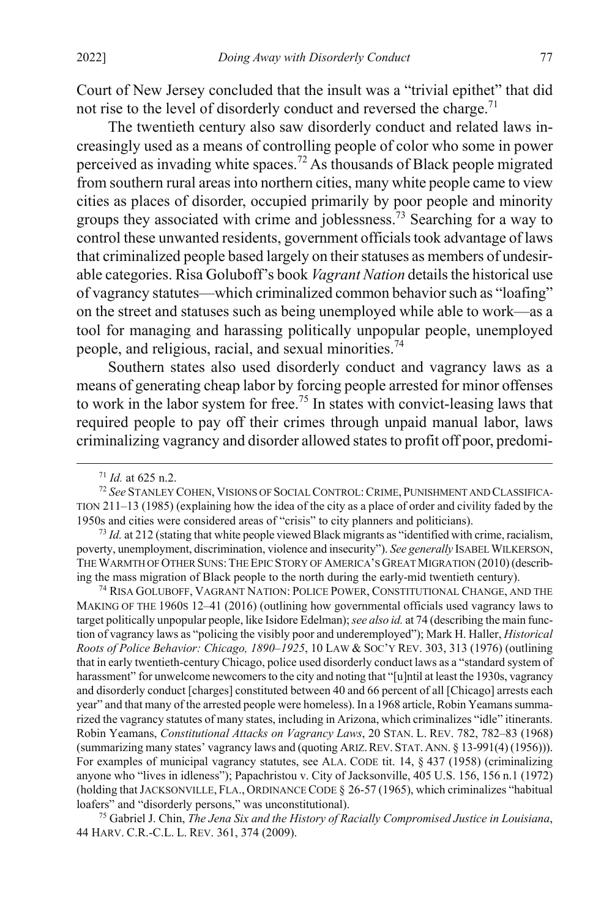Court of New Jersey concluded that the insult was a "trivial epithet" that did not rise to the level of disorderly conduct and reversed the charge.<sup>71</sup>

The twentieth century also saw disorderly conduct and related laws increasingly used as a means of controlling people of color who some in power perceived as invading white spaces.<sup>72</sup> As thousands of Black people migrated from southern rural areas into northern cities, many white people came to view cities as places of disorder, occupied primarily by poor people and minority groups they associated with crime and joblessness.<sup>73</sup> Searching for a way to control these unwanted residents, government officials took advantage of laws that criminalized people based largely on their statuses as members of undesirable categories. Risa Goluboff's book *Vagrant Nation* details the historical use of vagrancy statutes—which criminalized common behavior such as "loafing" on the street and statuses such as being unemployed while able to work—as a tool for managing and harassing politically unpopular people, unemployed people, and religious, racial, and sexual minorities.<sup>74</sup>

<span id="page-13-0"></span>Southern states also used disorderly conduct and vagrancy laws as a means of generating cheap labor by forcing people arrested for minor offenses to work in the labor system for free.<sup>75</sup> In states with convict-leasing laws that required people to pay off their crimes through unpaid manual labor, laws criminalizing vagrancy and disorder allowed states to profit off poor, predomi-

74 RISA GOLUBOFF, VAGRANT NATION: POLICE POWER, CONSTITUTIONAL CHANGE, AND THE MAKING OF THE 1960S 12-41 (2016) (outlining how governmental officials used vagrancy laws to target politically unpopular people, like Isidore Edelman); *see also id.* at 74 (describing the main function of vagrancy laws as "policing the visibly poor and underemployed"); Mark H. Haller, *Historical Roots of Police Behavior: Chicago, 1890–1925*, 10 LAW & SOC'Y REV. 303, 313 (1976) (outlining that in early twentieth-century Chicago, police used disorderly conduct laws as a "standard system of harassment" for unwelcome newcomers to the city and noting that "[u]ntil at least the 1930s, vagrancy and disorderly conduct [charges] constituted between 40 and 66 percent of all [Chicago] arrests each year" and that many of the arrested people were homeless). In a 1968 article, Robin Yeamans summarized the vagrancy statutes of many states, including in Arizona, which criminalizes "idle" itinerants. Robin Yeamans, *Constitutional Attacks on Vagrancy Laws*, 20 STAN. L. REV. 782, 782–83 (1968) (summarizing many states' vagrancy laws and (quoting ARIZ.REV. STAT.ANN. § 13-991(4) (1956))). For examples of municipal vagrancy statutes, see ALA. CODE tit. 14, § 437 (1958) (criminalizing anyone who "lives in idleness"); Papachristou v. City of Jacksonville, 405 U.S. 156, 156 n.1 (1972) (holding that JACKSONVILLE, FLA., ORDINANCE CODE § 26-57 (1965), which criminalizes "habitual loafers" and "disorderly persons," was unconstitutional). 75 Gabriel J. Chin, *The Jena Six and the History of Racially Compromised Justice in Louisiana*,

44 HARV. C.R.-C.L. L. REV. 361, 374 (2009).

 <sup>71</sup> *Id.* at 625 n.2.

<sup>72</sup> *See* STANLEY COHEN, VISIONS OF SOCIAL CONTROL:CRIME, PUNISHMENT AND CLASSIFICA-TION 211–13 (1985) (explaining how the idea of the city as a place of order and civility faded by the 1950s and cities were considered areas of "crisis" to city planners and politicians).

<sup>73</sup> *Id.* at 212 (stating that white people viewed Black migrants as "identified with crime, racialism, poverty, unemployment, discrimination, violence and insecurity"). *See generally* ISABEL WILKERSON, THE WARMTH OF OTHER SUNS: THE EPIC STORY OF AMERICA'S GREAT MIGRATION (2010) (describing the mass migration of Black people to the north during the early-mid twentieth century).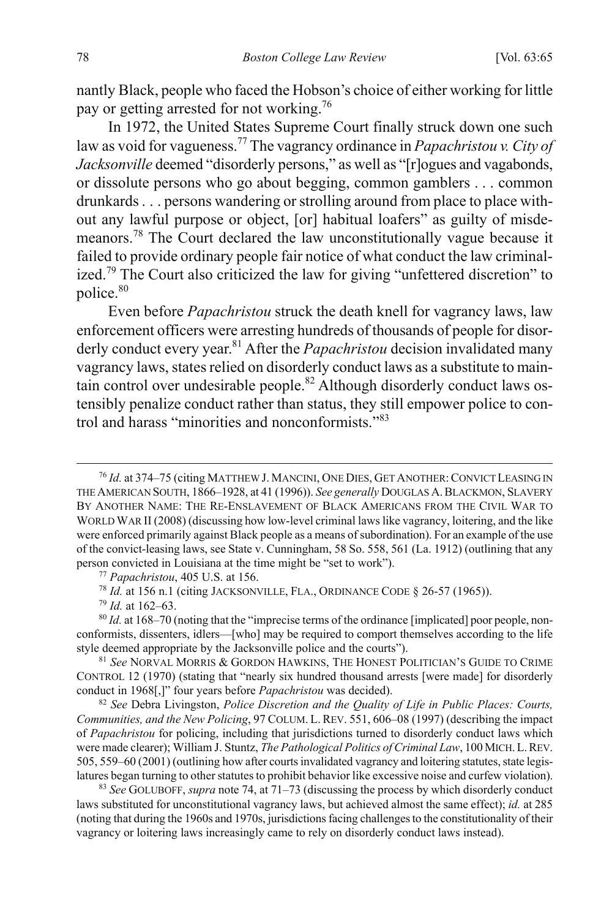nantly Black, people who faced the Hobson's choice of either working for little pay or getting arrested for not working.76

In 1972, the United States Supreme Court finally struck down one such law as void for vagueness.77 The vagrancy ordinance in *Papachristou v. City of Jacksonville* deemed "disorderly persons," as well as "[r]ogues and vagabonds, or dissolute persons who go about begging, common gamblers . . . common drunkards . . . persons wandering or strolling around from place to place without any lawful purpose or object, [or] habitual loafers" as guilty of misdemeanors.<sup>78</sup> The Court declared the law unconstitutionally vague because it failed to provide ordinary people fair notice of what conduct the law criminalized.<sup>79</sup> The Court also criticized the law for giving "unfettered discretion" to police. 80

<span id="page-14-1"></span><span id="page-14-0"></span>Even before *Papachristou* struck the death knell for vagrancy laws, law enforcement officers were arresting hundreds of thousands of people for disorderly conduct every year.<sup>81</sup> After the *Papachristou* decision invalidated many vagrancy laws, states relied on disorderly conduct laws as a substitute to maintain control over undesirable people.<sup>82</sup> Although disorderly conduct laws ostensibly penalize conduct rather than status, they still empower police to control and harass "minorities and nonconformists."<sup>83</sup>

<sup>77</sup> *Papachristou*, 405 U.S. at 156.

<sup>78</sup> *Id.* at 156 n.1 (citing JACKSONVILLE, FLA., ORDINANCE CODE § 26-57 (1965)). 79 *Id.* at 162–63.

<sup>80</sup> *Id.* at 168–70 (noting that the "imprecise terms of the ordinance [implicated] poor people, nonconformists, dissenters, idlers—[who] may be required to comport themselves according to the life style deemed appropriate by the Jacksonville police and the courts").

<sup>81</sup> *See* NORVAL MORRIS & GORDON HAWKINS, THE HONEST POLITICIAN'S GUIDE TO CRIME CONTROL 12 (1970) (stating that "nearly six hundred thousand arrests [were made] for disorderly conduct in 1968[,]" four years before *Papachristou* was decided).

<sup>82</sup> *See* Debra Livingston, *Police Discretion and the Quality of Life in Public Places: Courts, Communities, and the New Policing*, 97 COLUM. L. REV. 551, 606–08 (1997) (describing the impact of *Papachristou* for policing, including that jurisdictions turned to disorderly conduct laws which were made clearer); William J. Stuntz, *The Pathological Politics of Criminal Law*, 100 MICH.L.REV. 505, 559–60 (2001) (outlining how after courts invalidated vagrancy and loitering statutes, state legislatures began turning to other statutes to prohibit behavior like excessive noise and curfew violation).

<sup>83</sup> *See* GOLUBOFF, *supra* not[e 74,](#page-13-0) at 71–73 (discussing the process by which disorderly conduct laws substituted for unconstitutional vagrancy laws, but achieved almost the same effect); *id.* at 285 (noting that during the 1960s and 1970s, jurisdictions facing challenges to the constitutionality of their vagrancy or loitering laws increasingly came to rely on disorderly conduct laws instead).

 <sup>76</sup> *Id.* at 374–75 (citing MATTHEW J. MANCINI, ONE DIES, GET ANOTHER:CONVICT LEASING IN THE AMERICAN SOUTH, 1866–1928, at 41 (1996)). *See generally* DOUGLAS A.BLACKMON, SLAVERY BY ANOTHER NAME: THE RE-ENSLAVEMENT OF BLACK AMERICANS FROM THE CIVIL WAR TO WORLD WAR II (2008) (discussing how low-level criminal laws like vagrancy, loitering, and the like were enforced primarily against Black people as a means of subordination). For an example of the use of the convict-leasing laws, see State v. Cunningham, 58 So. 558, 561 (La. 1912) (outlining that any person convicted in Louisiana at the time might be "set to work").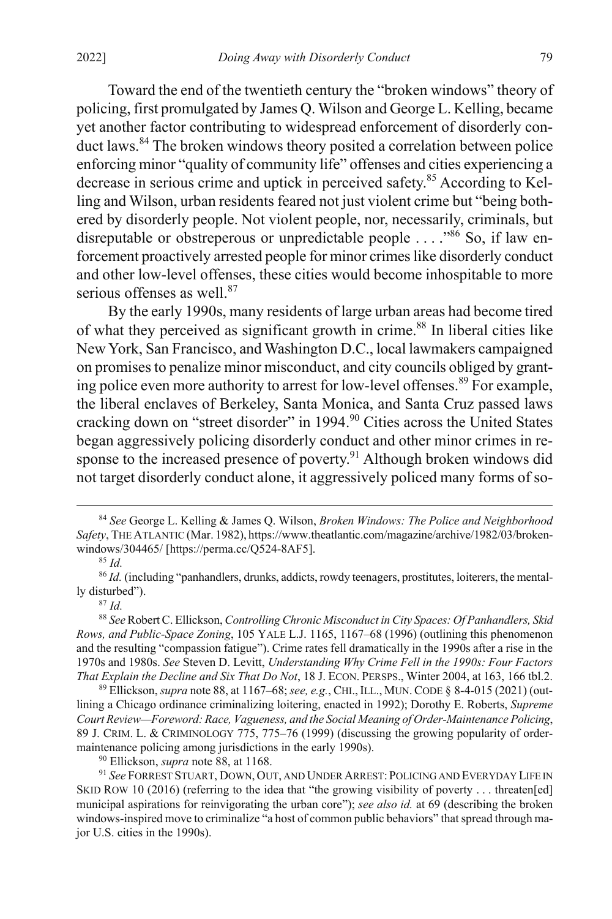<span id="page-15-1"></span>Toward the end of the twentieth century the "broken windows" theory of policing, first promulgated by James Q. Wilson and George L. Kelling, became yet another factor contributing to widespread enforcement of disorderly conduct laws.<sup>84</sup> The broken windows theory posited a correlation between police enforcing minor "quality of community life" offenses and cities experiencing a decrease in serious crime and uptick in perceived safety.85 According to Kelling and Wilson, urban residents feared not just violent crime but "being bothered by disorderly people. Not violent people, nor, necessarily, criminals, but disreputable or obstreperous or unpredictable people  $\dots$ .  $\frac{100}{8}$  So, if law enforcement proactively arrested people for minor crimes like disorderly conduct and other low-level offenses, these cities would become inhospitable to more serious offenses as well.<sup>87</sup>

<span id="page-15-2"></span><span id="page-15-0"></span>By the early 1990s, many residents of large urban areas had become tired of what they perceived as significant growth in crime.<sup>88</sup> In liberal cities like New York, San Francisco, and Washington D.C., local lawmakers campaigned on promises to penalize minor misconduct, and city councils obliged by granting police even more authority to arrest for low-level offenses.<sup>89</sup> For example, the liberal enclaves of Berkeley, Santa Monica, and Santa Cruz passed laws cracking down on "street disorder" in 1994.<sup>90</sup> Cities across the United States began aggressively policing disorderly conduct and other minor crimes in response to the increased presence of poverty.<sup>91</sup> Although broken windows did not target disorderly conduct alone, it aggressively policed many forms of so-

<sup>87</sup> *Id.*

<sup>88</sup> *See* Robert C. Ellickson, *Controlling Chronic Misconduct in City Spaces: Of Panhandlers, Skid Rows, and Public-Space Zoning*, 105 YALE L.J. 1165, 1167–68 (1996) (outlining this phenomenon and the resulting "compassion fatigue"). Crime rates fell dramatically in the 1990s after a rise in the 1970s and 1980s. *See* Steven D. Levitt, *Understanding Why Crime Fell in the 1990s: Four Factors That Explain the Decline and Six That Do Not*, 18 J. ECON. PERSPS., Winter 2004, at 163, 166 tbl.2.

<sup>89</sup> Ellickson, *supra* not[e 88,](#page-15-0) at 1167–68; *see, e.g.*, CHI.,ILL., MUN. CODE § 8-4-015 (2021) (outlining a Chicago ordinance criminalizing loitering, enacted in 1992); Dorothy E. Roberts, *Supreme Court Review—Foreword: Race, Vagueness, and the Social Meaning of Order-Maintenance Policing*, 89 J. CRIM. L. & CRIMINOLOGY 775, 775–76 (1999) (discussing the growing popularity of ordermaintenance policing among jurisdictions in the early 1990s).

<sup>90</sup> Ellickson, *supra* not[e 88,](#page-15-0) at 1168.

<sup>91</sup> *See* FORREST STUART, DOWN, OUT, AND UNDER ARREST: POLICING AND EVERYDAY LIFE IN SKID ROW 10 (2016) (referring to the idea that "the growing visibility of poverty . . . threaten[ed] municipal aspirations for reinvigorating the urban core"); *see also id.* at 69 (describing the broken windows-inspired move to criminalize "a host of common public behaviors" that spread through major U.S. cities in the 1990s).

 <sup>84</sup> *See* George L. Kelling & James Q. Wilson, *Broken Windows: The Police and Neighborhood Safety*, THE ATLANTIC (Mar. 1982), https://www.theatlantic.com/magazine/archive/1982/03/brokenwindows/304465/ [https://perma.cc/Q524-8AF5]. 85 *Id.*

<span id="page-15-3"></span>

<sup>86</sup> *Id.* (including "panhandlers, drunks, addicts, rowdy teenagers, prostitutes, loiterers, the mentally disturbed").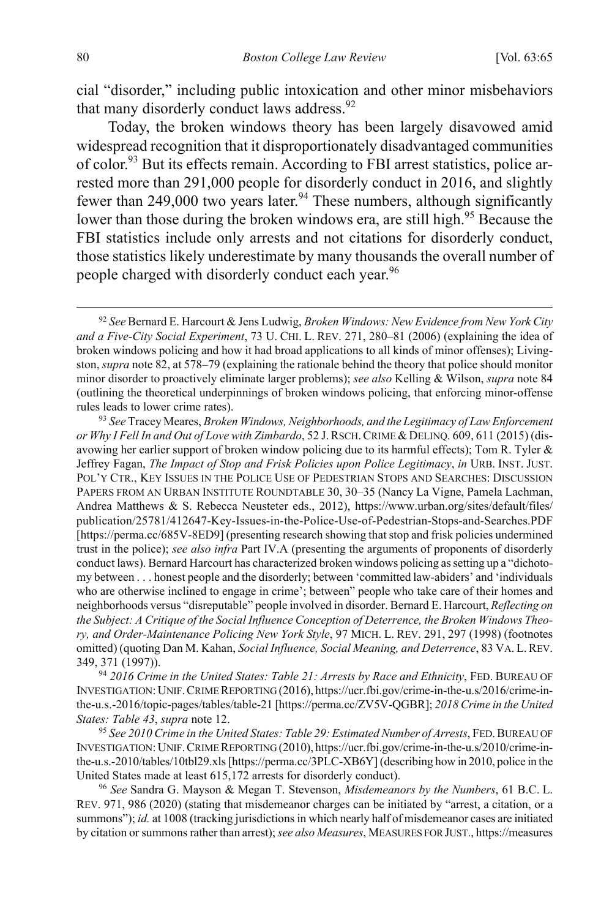<span id="page-16-1"></span>cial "disorder," including public intoxication and other minor misbehaviors that many disorderly conduct laws address.<sup>92</sup>

<span id="page-16-0"></span>Today, the broken windows theory has been largely disavowed amid widespread recognition that it disproportionately disadvantaged communities of color.93 But its effects remain. According to FBI arrest statistics, police arrested more than 291,000 people for disorderly conduct in 2016, and slightly fewer than 249,000 two years later.<sup>94</sup> These numbers, although significantly lower than those during the broken windows era, are still high.<sup>95</sup> Because the FBI statistics include only arrests and not citations for disorderly conduct, those statistics likely underestimate by many thousands the overall number of people charged with disorderly conduct each year.<sup>96</sup>

<sup>94</sup> *2016 Crime in the United States: Table 21: Arrests by Race and Ethnicity*, FED. BUREAU OF INVESTIGATION: UNIF.CRIME REPORTING (2016), https://ucr.fbi.gov/crime-in-the-u.s/2016/crime-inthe-u.s.-2016/topic-pages/tables/table-21 [https://perma.cc/ZV5V-QGBR]; *2018 Crime in the United States: Table 43, supra* not[e 12.](#page-3-0)<br><sup>95</sup> *See 2010 Crime in the United States: Table 29: Estimated Number of Arrests*, FED. BUREAU OF

INVESTIGATION: UNIF.CRIME REPORTING (2010), https://ucr.fbi.gov/crime-in-the-u.s/2010/crime-inthe-u.s.-2010/tables/10tbl29.xls [https://perma.cc/3PLC-XB6Y] (describing how in 2010, police in the United States made at least 615,172 arrests for disorderly conduct).

<sup>96</sup> *See* Sandra G. Mayson & Megan T. Stevenson, *Misdemeanors by the Numbers*, 61 B.C. L. REV. 971, 986 (2020) (stating that misdemeanor charges can be initiated by "arrest, a citation, or a summons"); *id.* at 1008 (tracking jurisdictions in which nearly half of misdemeanor cases are initiated by citation or summons rather than arrest);*see also Measures*, MEASURES FOR JUST., https://measures

 <sup>92</sup> *See* Bernard E. Harcourt & Jens Ludwig, *Broken Windows: New Evidence from New York City and a Five-City Social Experiment*, 73 U. CHI. L. REV. 271, 280–81 (2006) (explaining the idea of broken windows policing and how it had broad applications to all kinds of minor offenses); Livingston, *supra* not[e 82,](#page-14-0) at 578–79 (explaining the rationale behind the theory that police should monitor minor disorder to proactively eliminate larger problems); *see also* Kelling & Wilson, *supra* note [84](#page-15-1) (outlining the theoretical underpinnings of broken windows policing, that enforcing minor-offense rules leads to lower crime rates).

<sup>93</sup> *See* Tracey Meares, *Broken Windows, Neighborhoods, and the Legitimacy of Law Enforcement or Why I Fell In and Out of Love with Zimbardo*, 52 J.RSCH.CRIME &DELINQ. 609, 611 (2015) (disavowing her earlier support of broken window policing due to its harmful effects); Tom R. Tyler & Jeffrey Fagan, *The Impact of Stop and Frisk Policies upon Police Legitimacy*, *in* URB. INST. JUST. POL'Y CTR., KEY ISSUES IN THE POLICE USE OF PEDESTRIAN STOPS AND SEARCHES: DISCUSSION PAPERS FROM AN URBAN INSTITUTE ROUNDTABLE 30, 30–35 (Nancy La Vigne, Pamela Lachman, Andrea Matthews & S. Rebecca Neusteter eds., 2012), https://www.urban.org/sites/default/files/ publication/25781/412647-Key-Issues-in-the-Police-Use-of-Pedestrian-Stops-and-Searches.PDF [https://perma.cc/685V-8ED9] (presenting research showing that stop and frisk policies undermined trust in the police); *see also infra* Part IV.A (presenting the arguments of proponents of disorderly conduct laws). Bernard Harcourt has characterized broken windows policing as setting up a "dichotomy between . . . honest people and the disorderly; between 'committed law-abiders' and 'individuals who are otherwise inclined to engage in crime'; between" people who take care of their homes and neighborhoods versus "disreputable" people involved in disorder. Bernard E. Harcourt, *Reflecting on the Subject: A Critique of the Social Influence Conception of Deterrence, the Broken Windows Theory, and Order-Maintenance Policing New York Style*, 97 MICH. L. REV. 291, 297 (1998) (footnotes omitted) (quoting Dan M. Kahan, *Social Influence, Social Meaning, and Deterrence*, 83 VA. L.REV. 349, 371 (1997)).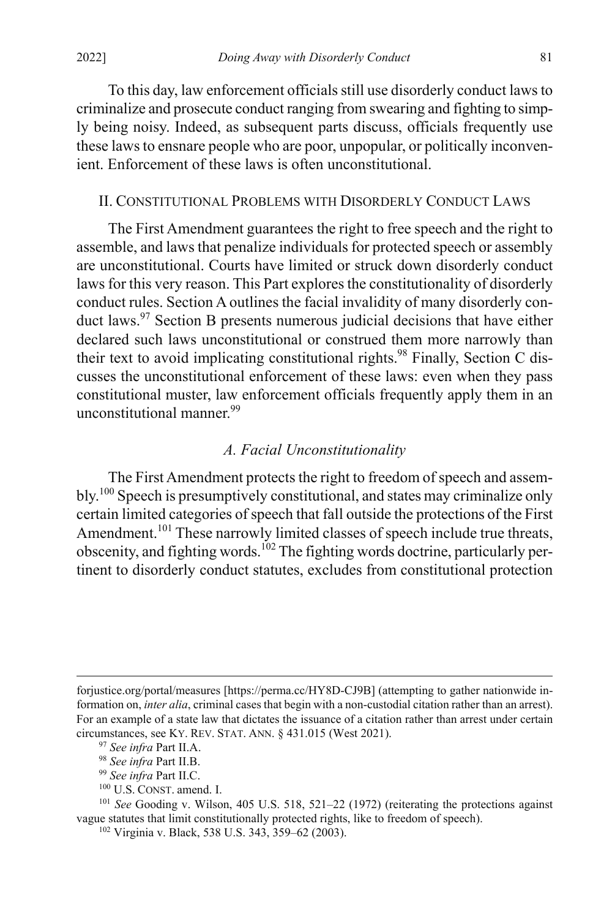To this day, law enforcement officials still use disorderly conduct lawsto criminalize and prosecute conduct ranging from swearing and fighting to simply being noisy. Indeed, as subsequent parts discuss, officials frequently use these laws to ensnare people who are poor, unpopular, or politically inconvenient. Enforcement of these laws is often unconstitutional.

#### II. CONSTITUTIONAL PROBLEMS WITH DISORDERLY CONDUCT LAWS

The First Amendment guarantees the right to free speech and the right to assemble, and laws that penalize individuals for protected speech or assembly are unconstitutional. Courts have limited or struck down disorderly conduct laws for this very reason. This Part explores the constitutionality of disorderly conduct rules. Section A outlines the facial invalidity of many disorderly conduct laws.<sup>97</sup> Section B presents numerous judicial decisions that have either declared such laws unconstitutional or construed them more narrowly than their text to avoid implicating constitutional rights.<sup>98</sup> Finally, Section C discusses the unconstitutional enforcement of these laws: even when they pass constitutional muster, law enforcement officials frequently apply them in an unconstitutional manner.<sup>99</sup>

## *A. Facial Unconstitutionality*

The First Amendment protects the right to freedom of speech and assembly.<sup>100</sup> Speech is presumptively constitutional, and states may criminalize only certain limited categories of speech that fall outside the protections of the First Amendment.<sup>101</sup> These narrowly limited classes of speech include true threats, obscenity, and fighting words.102 The fighting words doctrine, particularly pertinent to disorderly conduct statutes, excludes from constitutional protection

forjustice.org/portal/measures [https://perma.cc/HY8D-CJ9B] (attempting to gather nationwide information on, *inter alia*, criminal cases that begin with a non-custodial citation rather than an arrest). For an example of a state law that dictates the issuance of a citation rather than arrest under certain circumstances, see KY. REV. STAT. ANN. § 431.015 (West 2021).

 $\overline{a}$ 

<sup>100</sup> U.S. CONST. amend. I.

<sup>101</sup> *See* Gooding v. Wilson, 405 U.S. 518, 521–22 (1972) (reiterating the protections against vague statutes that limit constitutionally protected rights, like to freedom of speech).

<sup>97</sup> *See infra* Part II.A.

<sup>98</sup> *See infra* Part II.B.

<sup>99</sup> *See infra* Part II.C.

<sup>102</sup> Virginia v. Black, 538 U.S. 343, 359–62 (2003).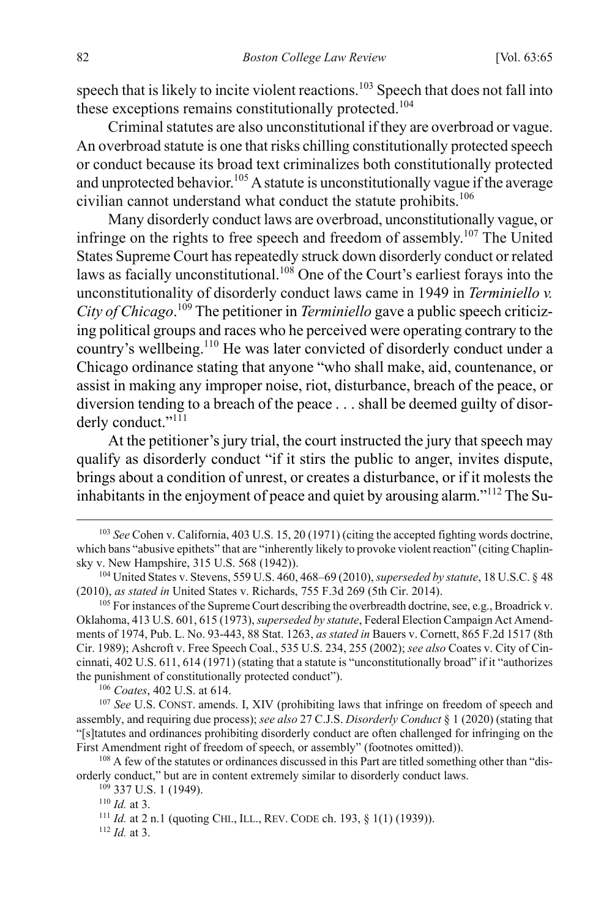speech that is likely to incite violent reactions.<sup>103</sup> Speech that does not fall into these exceptions remains constitutionally protected.<sup>104</sup>

Criminal statutes are also unconstitutional if they are overbroad or vague. An overbroad statute is one that risks chilling constitutionally protected speech or conduct because its broad text criminalizes both constitutionally protected and unprotected behavior.<sup>105</sup> A statute is unconstitutionally vague if the average civilian cannot understand what conduct the statute prohibits.<sup>106</sup>

Many disorderly conduct laws are overbroad, unconstitutionally vague, or infringe on the rights to free speech and freedom of assembly.<sup>107</sup> The United States Supreme Court has repeatedly struck down disorderly conduct or related laws as facially unconstitutional.<sup>108</sup> One of the Court's earliest forays into the unconstitutionality of disorderly conduct laws came in 1949 in *Terminiello v. City of Chicago*. <sup>109</sup> The petitioner in *Terminiello* gave a public speech criticizing political groups and races who he perceived were operating contrary to the country's wellbeing.<sup>110</sup> He was later convicted of disorderly conduct under a Chicago ordinance stating that anyone "who shall make, aid, countenance, or assist in making any improper noise, riot, disturbance, breach of the peace, or diversion tending to a breach of the peace . . . shall be deemed guilty of disorderly conduct."<sup>111</sup>

At the petitioner's jury trial, the court instructed the jury that speech may qualify as disorderly conduct "if it stirs the public to anger, invites dispute, brings about a condition of unrest, or creates a disturbance, or if it molests the inhabitants in the enjoyment of peace and quiet by arousing alarm."112 The Su-

<sup>106</sup> *Coates*, 402 U.S. at 614.

<sup>108</sup> A few of the statutes or ordinances discussed in this Part are titled something other than "disorderly conduct," but are in content extremely similar to disorderly conduct laws.

<sup>112</sup> *Id.* at 3.

 <sup>103</sup> *See* Cohen v. California, 403 U.S. 15, 20 (1971) (citing the accepted fighting words doctrine, which bans "abusive epithets" that are "inherently likely to provoke violent reaction" (citing Chaplinsky v. New Hampshire, 315 U.S. 568 (1942)).

<sup>104</sup> United States v. Stevens, 559 U.S. 460, 468–69 (2010), *superseded by statute*, 18 U.S.C. § 48 (2010), *as stated in* United States v. Richards, 755 F.3d 269 (5th Cir. 2014).

<sup>&</sup>lt;sup>105</sup> For instances of the Supreme Court describing the overbreadth doctrine, see, e.g., Broadrick v. Oklahoma, 413 U.S. 601, 615 (1973), *superseded by statute*, Federal Election Campaign Act Amendments of 1974, Pub. L. No. 93-443, 88 Stat. 1263, *as stated in* Bauers v. Cornett, 865 F.2d 1517 (8th Cir. 1989); Ashcroft v. Free Speech Coal., 535 U.S. 234, 255 (2002); *see also* Coates v. City of Cincinnati, 402 U.S. 611, 614 (1971) (stating that a statute is "unconstitutionally broad" if it "authorizes the punishment of constitutionally protected conduct").

<sup>107</sup> *See* U.S. CONST. amends. I, XIV (prohibiting laws that infringe on freedom of speech and assembly, and requiring due process); *see also* 27 C.J.S. *Disorderly Conduct* § 1 (2020) (stating that "[s]tatutes and ordinances prohibiting disorderly conduct are often challenged for infringing on the First Amendment right of freedom of speech, or assembly" (footnotes omitted)).

 $109$  337 U.S. 1 (1949).

<sup>110</sup> *Id.* at 3.

<sup>111</sup> *Id.* at 2 n.1 (quoting CHI., ILL., REV. CODE ch. 193, § 1(1) (1939)).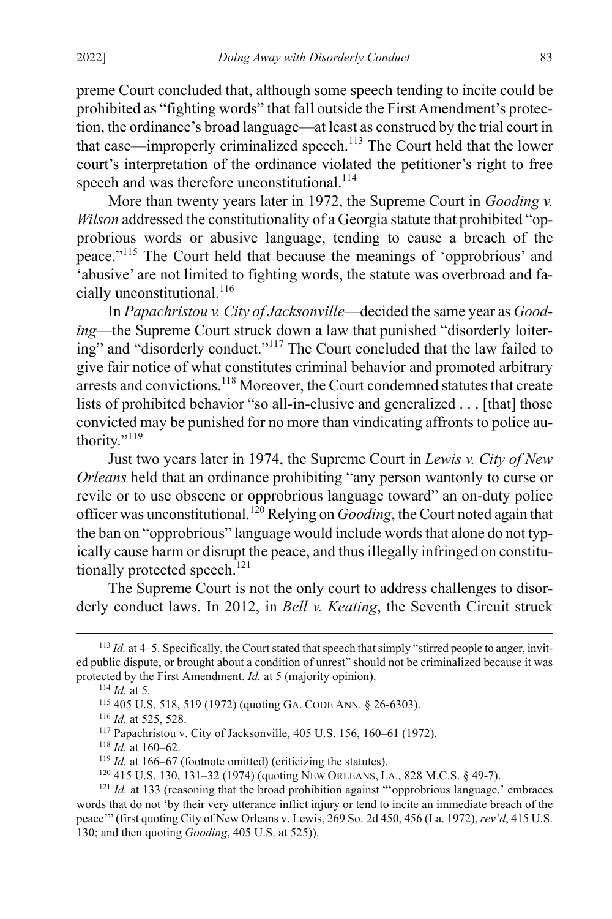preme Court concluded that, although some speech tending to incite could be prohibited as "fighting words" that fall outside the First Amendment's protection, the ordinance's broad language—at least as construed by the trial court in that case—improperly criminalized speech.<sup>113</sup> The Court held that the lower court's interpretation of the ordinance violated the petitioner's right to free speech and was therefore unconstitutional.<sup>114</sup>

More than twenty years later in 1972, the Supreme Court in *Gooding v. Wilson* addressed the constitutionality of a Georgia statute that prohibited "opprobrious words or abusive language, tending to cause a breach of the peace."<sup>115</sup> The Court held that because the meanings of 'opprobrious' and 'abusive' are not limited to fighting words, the statute was overbroad and facially unconstitutional.<sup>116</sup>

In *Papachristou v. City of Jacksonville*—decided the same year as *Gooding*—the Supreme Court struck down a law that punished "disorderly loitering" and "disorderly conduct."117 The Court concluded that the law failed to give fair notice of what constitutes criminal behavior and promoted arbitrary arrests and convictions.<sup>118</sup> Moreover, the Court condemned statutes that create lists of prohibited behavior "so all-in-clusive and generalized . . . [that] those convicted may be punished for no more than vindicating affronts to police authority."<sup>119</sup>

Just two years later in 1974, the Supreme Court in *Lewis v. City of New Orleans* held that an ordinance prohibiting "any person wantonly to curse or revile or to use obscene or opprobrious language toward" an on-duty police officer was unconstitutional.120 Relying on *Gooding*, the Court noted again that the ban on "opprobrious" language would include words that alone do not typically cause harm or disrupt the peace, and thus illegally infringed on constitutionally protected speech.<sup>121</sup>

The Supreme Court is not the only court to address challenges to disorderly conduct laws. In 2012, in *Bell v. Keating*, the Seventh Circuit struck

 <sup>113</sup> *Id.* at 4–5. Specifically, the Court stated that speech that simply "stirred people to anger, invited public dispute, or brought about a condition of unrest" should not be criminalized because it was protected by the First Amendment. *Id.* at 5 (majority opinion).

<sup>114</sup> *Id.* at 5.

<sup>115</sup> 405 U.S. 518, 519 (1972) (quoting GA. CODE ANN. § 26-6303). 116 *Id.* at 525, 528.

<sup>&</sup>lt;sup>117</sup> Papachristou v. City of Jacksonville, 405 U.S. 156, 160–61 (1972).<br><sup>118</sup> *Id.* at 160–62.

 $119$  *Id.* at 166–67 (footnote omitted) (criticizing the statutes).

<sup>120</sup> 415 U.S. 130, 131–32 (1974) (quoting NEW ORLEANS, LA., 828 M.C.S. § 49-7).

<sup>&</sup>lt;sup>121</sup> *Id.* at 133 (reasoning that the broad prohibition against "'opprobrious language,' embraces words that do not 'by their very utterance inflict injury or tend to incite an immediate breach of the peace'" (first quoting City of New Orleans v. Lewis, 269 So. 2d 450, 456 (La. 1972), *rev'd*, 415 U.S. 130; and then quoting *Gooding*, 405 U.S. at 525)).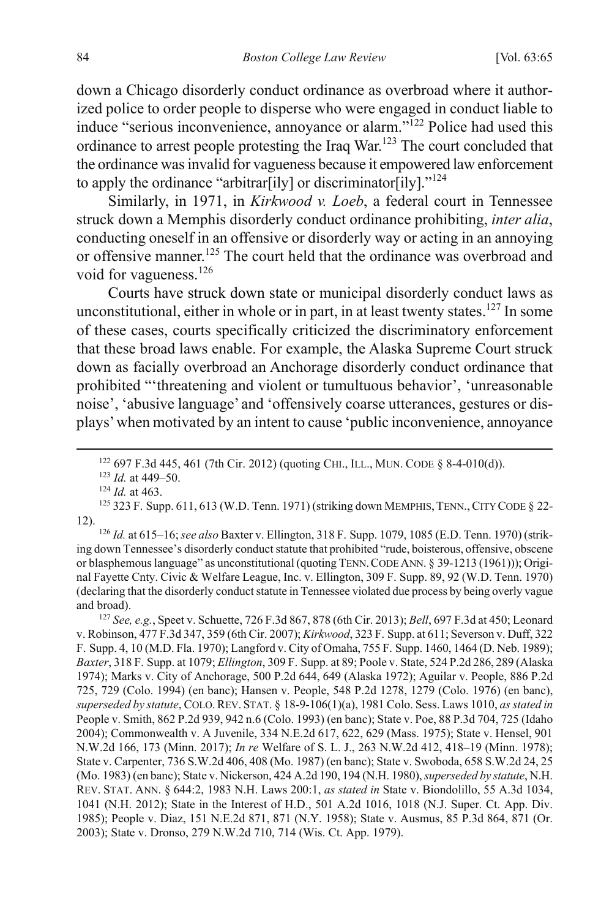down a Chicago disorderly conduct ordinance as overbroad where it authorized police to order people to disperse who were engaged in conduct liable to induce "serious inconvenience, annoyance or alarm."<sup>122</sup> Police had used this ordinance to arrest people protesting the Iraq War.<sup>123</sup> The court concluded that the ordinance was invalid for vagueness because it empowered law enforcement to apply the ordinance "arbitrar[ily] or discriminator[ily]. $"^{124}$ 

Similarly, in 1971, in *Kirkwood v. Loeb*, a federal court in Tennessee struck down a Memphis disorderly conduct ordinance prohibiting, *inter alia*, conducting oneself in an offensive or disorderly way or acting in an annoying or offensive manner.<sup>125</sup> The court held that the ordinance was overbroad and void for vagueness.<sup>126</sup>

Courts have struck down state or municipal disorderly conduct laws as unconstitutional, either in whole or in part, in at least twenty states.<sup>127</sup> In some of these cases, courts specifically criticized the discriminatory enforcement that these broad laws enable. For example, the Alaska Supreme Court struck down as facially overbroad an Anchorage disorderly conduct ordinance that prohibited "'threatening and violent or tumultuous behavior', 'unreasonable noise', 'abusive language' and 'offensively coarse utterances, gestures or displays' when motivated by an intent to cause 'public inconvenience, annoyance

ing down Tennessee's disorderly conduct statute that prohibited "rude, boisterous, offensive, obscene or blasphemous language" as unconstitutional (quoting TENN.CODE ANN. § 39-1213 (1961))); Original Fayette Cnty. Civic & Welfare League, Inc. v. Ellington, 309 F. Supp. 89, 92 (W.D. Tenn. 1970) (declaring that the disorderly conduct statute in Tennessee violated due process by being overly vague and broad).

<sup>127</sup> *See, e.g.*, Speet v. Schuette, 726 F.3d 867, 878 (6th Cir. 2013); *Bell*, 697 F.3d at 450; Leonard v. Robinson, 477 F.3d 347, 359 (6th Cir. 2007); *Kirkwood*, 323 F. Supp. at 611; Severson v. Duff, 322 F. Supp. 4, 10 (M.D. Fla. 1970); Langford v. City of Omaha, 755 F. Supp. 1460, 1464 (D. Neb. 1989); *Baxter*, 318 F. Supp. at 1079; *Ellington*, 309 F. Supp. at 89; Poole v. State, 524 P.2d 286, 289 (Alaska 1974); Marks v. City of Anchorage, 500 P.2d 644, 649 (Alaska 1972); Aguilar v. People, 886 P.2d 725, 729 (Colo. 1994) (en banc); Hansen v. People, 548 P.2d 1278, 1279 (Colo. 1976) (en banc), *superseded by statute*, COLO.REV. STAT. § 18-9-106(1)(a), 1981 Colo. Sess. Laws 1010, *as stated in* People v. Smith, 862 P.2d 939, 942 n.6 (Colo. 1993) (en banc); State v. Poe, 88 P.3d 704, 725 (Idaho 2004); Commonwealth v. A Juvenile, 334 N.E.2d 617, 622, 629 (Mass. 1975); State v. Hensel, 901 N.W.2d 166, 173 (Minn. 2017); *In re* Welfare of S. L. J., 263 N.W.2d 412, 418–19 (Minn. 1978); State v. Carpenter, 736 S.W.2d 406, 408 (Mo. 1987) (en banc); State v. Swoboda, 658 S.W.2d 24, 25 (Mo. 1983) (en banc); State v. Nickerson, 424 A.2d 190, 194 (N.H. 1980), *superseded by statute*, N.H. REV. STAT. ANN. § 644:2, 1983 N.H. Laws 200:1, *as stated in* State v. Biondolillo, 55 A.3d 1034, 1041 (N.H. 2012); State in the Interest of H.D., 501 A.2d 1016, 1018 (N.J. Super. Ct. App. Div. 1985); People v. Diaz, 151 N.E.2d 871, 871 (N.Y. 1958); State v. Ausmus, 85 P.3d 864, 871 (Or. 2003); State v. Dronso, 279 N.W.2d 710, 714 (Wis. Ct. App. 1979).

<sup>122</sup> 697 F.3d 445, 461 (7th Cir. 2012) (quoting CHI., ILL., MUN. CODE § 8-4-010(d)). 123 *Id.* at 449–50.

<sup>124</sup> *Id.* at 463.

<sup>125 323</sup> F. Supp. 611, 613 (W.D. Tenn. 1971) (striking down MEMPHIS, TENN., CITY CODE § 22-12). 126 *Id.* at 615–16; *see also* Baxter v. Ellington, 318 F. Supp. 1079, 1085 (E.D. Tenn. 1970) (strik-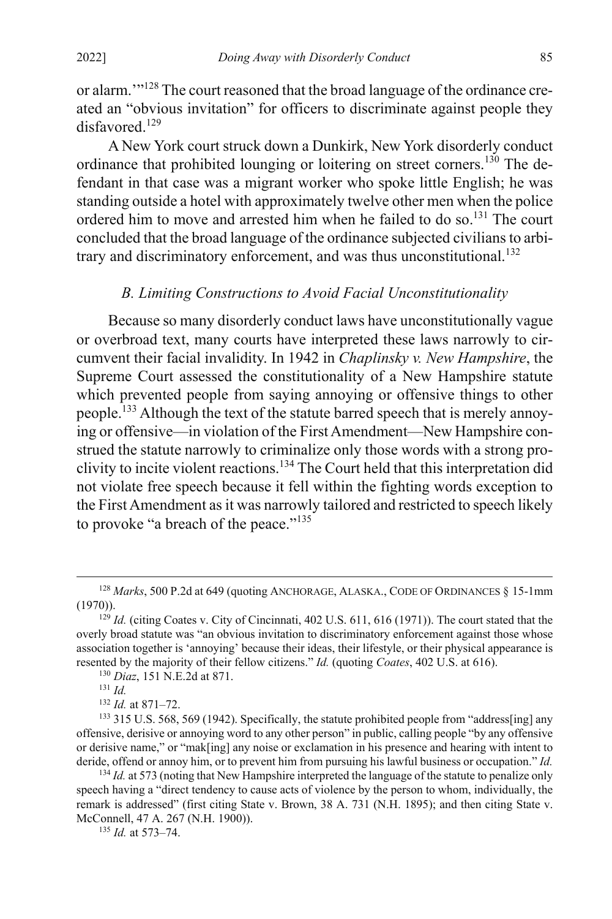or alarm.'"<sup>128</sup> The court reasoned that the broad language of the ordinance created an "obvious invitation" for officers to discriminate against people they disfavored.<sup>129</sup>

A New York court struck down a Dunkirk, New York disorderly conduct ordinance that prohibited lounging or loitering on street corners.<sup>130</sup> The defendant in that case was a migrant worker who spoke little English; he was standing outside a hotel with approximately twelve other men when the police ordered him to move and arrested him when he failed to do so.<sup>131</sup> The court concluded that the broad language of the ordinance subjected civilians to arbitrary and discriminatory enforcement, and was thus unconstitutional.<sup>132</sup>

### *B. Limiting Constructions to Avoid Facial Unconstitutionality*

Because so many disorderly conduct laws have unconstitutionally vague or overbroad text, many courts have interpreted these laws narrowly to circumvent their facial invalidity. In 1942 in *Chaplinsky v. New Hampshire*, the Supreme Court assessed the constitutionality of a New Hampshire statute which prevented people from saying annoying or offensive things to other people.<sup>133</sup> Although the text of the statute barred speech that is merely annoying or offensive—in violation of the First Amendment—New Hampshire construed the statute narrowly to criminalize only those words with a strong proclivity to incite violent reactions. <sup>134</sup> The Court held that this interpretation did not violate free speech because it fell within the fighting words exception to the First Amendment as it was narrowly tailored and restricted to speech likely to provoke "a breach of the peace."<sup>135</sup>

<sup>135</sup> *Id.* at 573–74.

<sup>&</sup>lt;sup>128</sup> *Marks*, 500 P.2d at 649 (quoting ANCHORAGE, ALASKA., CODE OF ORDINANCES § 15-1mm (1970)). 129 *Id.* (citing Coates v. City of Cincinnati, 402 U.S. 611, 616 (1971)). The court stated that the

overly broad statute was "an obvious invitation to discriminatory enforcement against those whose association together is 'annoying' because their ideas, their lifestyle, or their physical appearance is resented by the majority of their fellow citizens." *Id.* (quoting *Coates*, 402 U.S. at 616).

<sup>130</sup> *Diaz*, 151 N.E.2d at 871.

<sup>131</sup> *Id.*

<sup>132</sup> *Id.* at 871–72.

<sup>&</sup>lt;sup>133</sup> 315 U.S. 568, 569 (1942). Specifically, the statute prohibited people from "address[ing] any offensive, derisive or annoying word to any other person" in public, calling people "by any offensive or derisive name," or "mak[ing] any noise or exclamation in his presence and hearing with intent to deride, offend or annoy him, or to prevent him from pursuing his lawful business or occupation." *Id.*

<sup>&</sup>lt;sup>134</sup> *Id.* at 573 (noting that New Hampshire interpreted the language of the statute to penalize only speech having a "direct tendency to cause acts of violence by the person to whom, individually, the remark is addressed" (first citing State v. Brown, 38 A. 731 (N.H. 1895); and then citing State v. McConnell, 47 A. 267 (N.H. 1900)).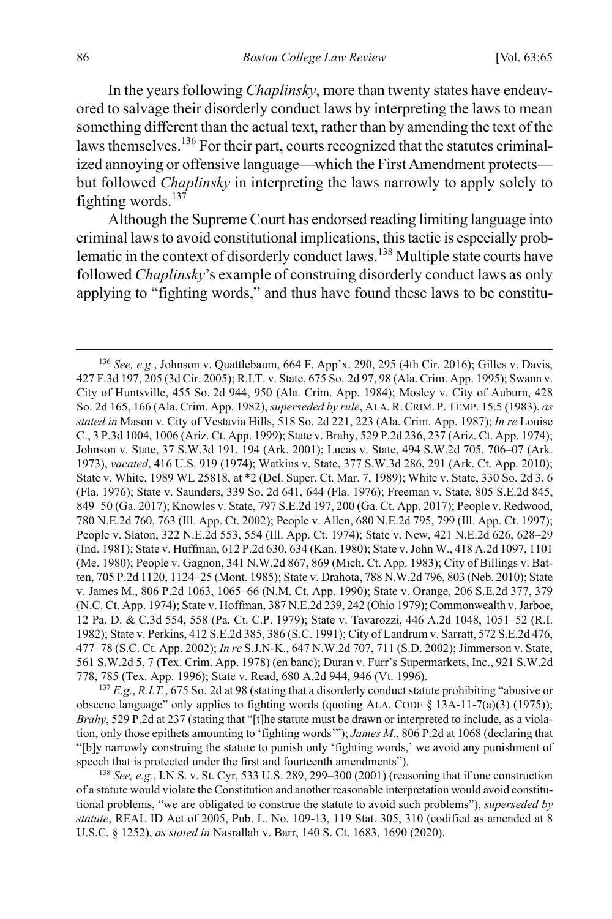<span id="page-22-0"></span>In the years following *Chaplinsky*, more than twenty states have endeavored to salvage their disorderly conduct laws by interpreting the laws to mean something different than the actual text, rather than by amending the text of the laws themselves.<sup>136</sup> For their part, courts recognized that the statutes criminalized annoying or offensive language—which the First Amendment protects but followed *Chaplinsky* in interpreting the laws narrowly to apply solely to fighting words. $137$ 

<span id="page-22-1"></span>Although the Supreme Court has endorsed reading limiting language into criminal laws to avoid constitutional implications, this tactic is especially problematic in the context of disorderly conduct laws.<sup>138</sup> Multiple state courts have followed *Chaplinsky*'s example of construing disorderly conduct laws as only applying to "fighting words," and thus have found these laws to be constitu-

 <sup>136</sup> *See, e.g.*, Johnson v. Quattlebaum, 664 F. App'x. 290, 295 (4th Cir. 2016); Gilles v. Davis, 427 F.3d 197, 205 (3d Cir. 2005); R.I.T. v. State, 675 So. 2d 97, 98 (Ala. Crim. App. 1995); Swann v. City of Huntsville, 455 So. 2d 944, 950 (Ala. Crim. App. 1984); Mosley v. City of Auburn, 428 So. 2d 165, 166 (Ala. Crim. App. 1982), *superseded by rule*, ALA.R.CRIM. P. TEMP. 15.5 (1983), *as stated in* Mason v. City of Vestavia Hills, 518 So. 2d 221, 223 (Ala. Crim. App. 1987); *In re* Louise C., 3 P.3d 1004, 1006 (Ariz. Ct. App. 1999); State v. Brahy, 529 P.2d 236, 237 (Ariz. Ct. App. 1974); Johnson v. State, 37 S.W.3d 191, 194 (Ark. 2001); Lucas v. State, 494 S.W.2d 705, 706–07 (Ark. 1973), *vacated*, 416 U.S. 919 (1974); Watkins v. State, 377 S.W.3d 286, 291 (Ark. Ct. App. 2010); State v. White, 1989 WL 25818, at \*2 (Del. Super. Ct. Mar. 7, 1989); White v. State, 330 So. 2d 3, 6 (Fla. 1976); State v. Saunders, 339 So. 2d 641, 644 (Fla. 1976); Freeman v. State, 805 S.E.2d 845, 849–50 (Ga. 2017); Knowles v. State, 797 S.E.2d 197, 200 (Ga. Ct. App. 2017); People v. Redwood, 780 N.E.2d 760, 763 (Ill. App. Ct. 2002); People v. Allen, 680 N.E.2d 795, 799 (Ill. App. Ct. 1997); People v. Slaton, 322 N.E.2d 553, 554 (Ill. App. Ct. 1974); State v. New, 421 N.E.2d 626, 628–29 (Ind. 1981); State v. Huffman, 612 P.2d 630, 634 (Kan. 1980); State v. John W., 418 A.2d 1097, 1101 (Me. 1980); People v. Gagnon, 341 N.W.2d 867, 869 (Mich. Ct. App. 1983); City of Billings v. Batten, 705 P.2d 1120, 1124–25 (Mont. 1985); State v. Drahota, 788 N.W.2d 796, 803 (Neb. 2010); State v. James M., 806 P.2d 1063, 1065–66 (N.M. Ct. App. 1990); State v. Orange, 206 S.E.2d 377, 379 (N.C. Ct. App. 1974); State v. Hoffman, 387 N.E.2d 239, 242 (Ohio 1979); Commonwealth v. Jarboe, 12 Pa. D. & C.3d 554, 558 (Pa. Ct. C.P. 1979); State v. Tavarozzi, 446 A.2d 1048, 1051–52 (R.I. 1982); State v. Perkins, 412 S.E.2d 385, 386 (S.C. 1991); City of Landrum v. Sarratt, 572 S.E.2d 476, 477–78 (S.C. Ct. App. 2002); *In re* S.J.N-K., 647 N.W.2d 707, 711 (S.D. 2002); Jimmerson v. State, 561 S.W.2d 5, 7 (Tex. Crim. App. 1978) (en banc); Duran v. Furr's Supermarkets, Inc., 921 S.W.2d 778, 785 (Tex. App. 1996); State v. Read, 680 A.2d 944, 946 (Vt. 1996).

<sup>137</sup> *E.g.*, *R.I.T.*, 675 So. 2d at 98 (stating that a disorderly conduct statute prohibiting "abusive or obscene language" only applies to fighting words (quoting ALA. CODE  $\S$  13A-11-7(a)(3) (1975)); *Brahy*, 529 P.2d at 237 (stating that "[t]he statute must be drawn or interpreted to include, as a violation, only those epithets amounting to 'fighting words'"); *James M.*, 806 P.2d at 1068 (declaring that "[b]y narrowly construing the statute to punish only 'fighting words,' we avoid any punishment of speech that is protected under the first and fourteenth amendments").

<sup>138</sup> *See, e.g.*, I.N.S. v. St. Cyr, 533 U.S. 289, 299–300 (2001) (reasoning that if one construction of a statute would violate the Constitution and another reasonable interpretation would avoid constitutional problems, "we are obligated to construe the statute to avoid such problems"), *superseded by statute*, REAL ID Act of 2005, Pub. L. No. 109-13, 119 Stat. 305, 310 (codified as amended at 8 U.S.C. § 1252), *as stated in* Nasrallah v. Barr, 140 S. Ct. 1683, 1690 (2020).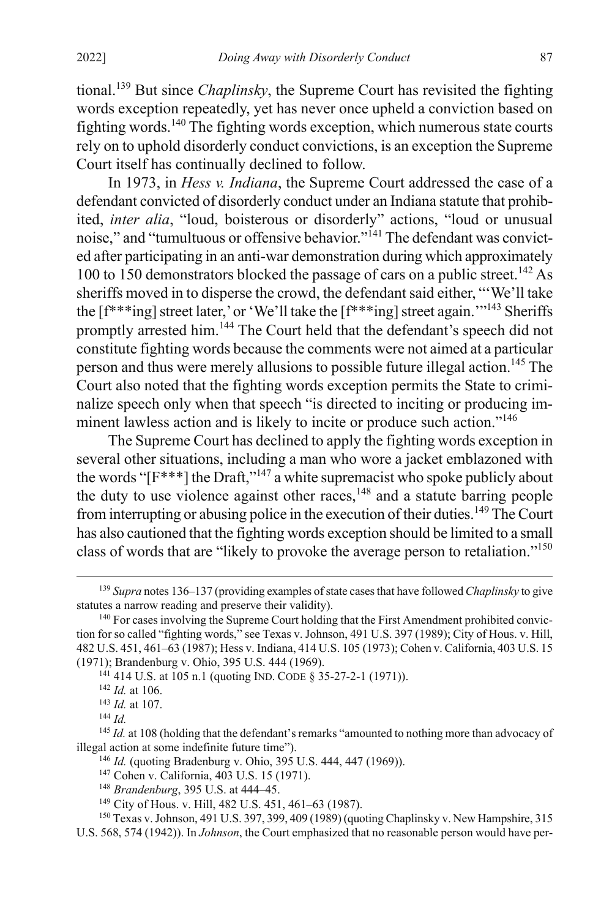tional.139 But since *Chaplinsky*, the Supreme Court has revisited the fighting words exception repeatedly, yet has never once upheld a conviction based on fighting words.<sup>140</sup> The fighting words exception, which numerous state courts rely on to uphold disorderly conduct convictions, is an exception the Supreme Court itself has continually declined to follow.

In 1973, in *Hess v. Indiana*, the Supreme Court addressed the case of a defendant convicted of disorderly conduct under an Indiana statute that prohibited, *inter alia*, "loud, boisterous or disorderly" actions, "loud or unusual noise," and "tumultuous or offensive behavior."<sup>141</sup> The defendant was convicted after participating in an anti-war demonstration during which approximately 100 to 150 demonstrators blocked the passage of cars on a public street.<sup>142</sup> As sheriffs moved in to disperse the crowd, the defendant said either, "'We'll take the [f\*\*\*ing] street later,' or 'We'll take the [f\*\*\*ing] street again.'"143 Sheriffs promptly arrested him.<sup>144</sup> The Court held that the defendant's speech did not constitute fighting words because the comments were not aimed at a particular person and thus were merely allusions to possible future illegal action.<sup>145</sup> The Court also noted that the fighting words exception permits the State to criminalize speech only when that speech "is directed to inciting or producing imminent lawless action and is likely to incite or produce such action."<sup>146</sup>

The Supreme Court has declined to apply the fighting words exception in several other situations, including a man who wore a jacket emblazoned with the words " $[F^{***}]$  the Draft,"<sup>147</sup> a white supremacist who spoke publicly about the duty to use violence against other races, $148$  and a statute barring people from interrupting or abusing police in the execution of their duties.149 The Court has also cautioned that the fighting words exception should be limited to a small class of words that are "likely to provoke the average person to retaliation."<sup>150</sup>

 <sup>139</sup> *Supra* note[s 136](#page-22-0)[–137](#page-22-1) (providing examples of state cases that have followed *Chaplinsky* to give statutes a narrow reading and preserve their validity).

<sup>&</sup>lt;sup>140</sup> For cases involving the Supreme Court holding that the First Amendment prohibited conviction for so called "fighting words," see Texas v. Johnson, 491 U.S. 397 (1989); City of Hous. v. Hill, 482 U.S. 451, 461–63 (1987); Hess v. Indiana, 414 U.S. 105 (1973); Cohen v. California, 403 U.S. 15 (1971); Brandenburg v. Ohio, 395 U.S. 444 (1969).

<sup>141</sup> 414 U.S. at 105 n.1 (quoting IND. CODE § 35-27-2-1 (1971)).

<sup>142</sup> *Id.* at 106.

<sup>143</sup> *Id.* at 107.

<sup>144</sup> *Id.*

<sup>&</sup>lt;sup>145</sup> *Id.* at 108 (holding that the defendant's remarks "amounted to nothing more than advocacy of illegal action at some indefinite future time").

<sup>146</sup> *Id.* (quoting Bradenburg v. Ohio, 395 U.S. 444, 447 (1969)).

<sup>147</sup> Cohen v. California, 403 U.S. 15 (1971).

<sup>&</sup>lt;sup>148</sup> *Brandenburg*, 395 U.S. at 444–45.<br><sup>149</sup> City of Hous. v. Hill, 482 U.S. 451, 461–63 (1987).

<sup>150</sup> Texas v. Johnson, 491 U.S. 397, 399, 409 (1989) (quoting Chaplinsky v. New Hampshire, 315 U.S. 568, 574 (1942)). In *Johnson*, the Court emphasized that no reasonable person would have per-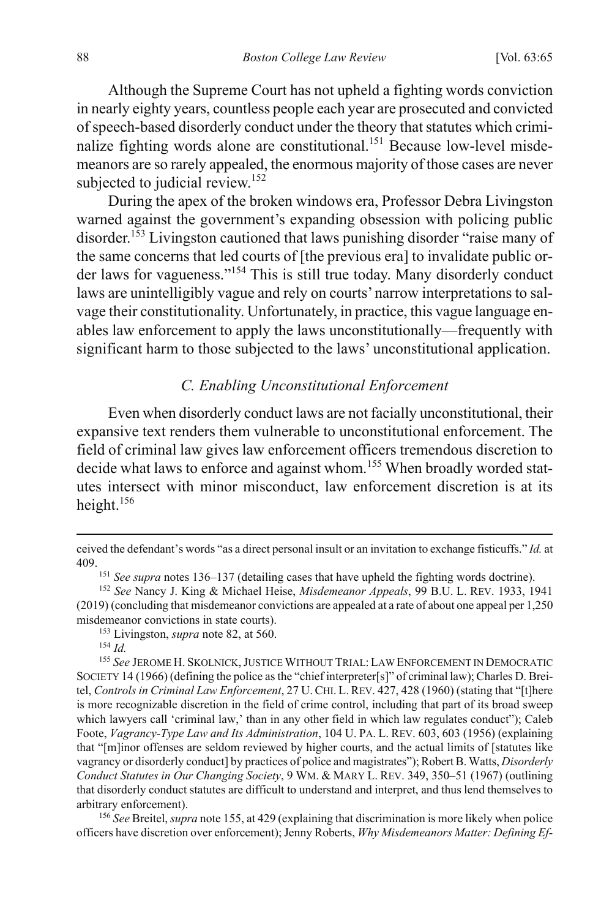Although the Supreme Court has not upheld a fighting words conviction in nearly eighty years, countless people each year are prosecuted and convicted of speech-based disorderly conduct under the theory that statutes which criminalize fighting words alone are constitutional.<sup>151</sup> Because low-level misdemeanors are so rarely appealed, the enormous majority of those cases are never subjected to judicial review.<sup>152</sup>

During the apex of the broken windows era, Professor Debra Livingston warned against the government's expanding obsession with policing public disorder.<sup>153</sup> Livingston cautioned that laws punishing disorder "raise many of the same concerns that led courts of [the previous era] to invalidate public order laws for vagueness."<sup>154</sup> This is still true today. Many disorderly conduct laws are unintelligibly vague and rely on courts' narrow interpretations to salvage their constitutionality. Unfortunately, in practice, this vague language enables law enforcement to apply the laws unconstitutionally—frequently with significant harm to those subjected to the laws' unconstitutional application.

#### <span id="page-24-0"></span>*C. Enabling Unconstitutional Enforcement*

Even when disorderly conduct laws are not facially unconstitutional, their expansive text renders them vulnerable to unconstitutional enforcement. The field of criminal law gives law enforcement officers tremendous discretion to decide what laws to enforce and against whom.<sup>155</sup> When broadly worded statutes intersect with minor misconduct, law enforcement discretion is at its height.<sup>156</sup>

<span id="page-24-1"></span> $\overline{a}$ 

<sup>156</sup> *See* Breitel, *supra* not[e 155,](#page-24-0) at 429 (explaining that discrimination is more likely when police officers have discretion over enforcement);Jenny Roberts, *Why Misdemeanors Matter: Defining Ef-*

ceived the defendant's words "as a direct personal insult or an invitation to exchange fisticuffs." *Id.* at 409. 151 *See supra* note[s 136](#page-22-0)[–137](#page-22-1) (detailing cases that have upheld the fighting words doctrine).

<sup>152</sup> *See* Nancy J. King & Michael Heise, *Misdemeanor Appeals*, 99 B.U. L. REV. 1933, 1941 (2019) (concluding that misdemeanor convictions are appealed at a rate of about one appeal per 1,250 misdemeanor convictions in state courts).

<sup>153</sup> Livingston, *supra* not[e 82,](#page-14-0) at 560.

<sup>154</sup> *Id.*

<sup>155</sup> *See* JEROME H. SKOLNICK,JUSTICE WITHOUT TRIAL: LAW ENFORCEMENT IN DEMOCRATIC SOCIETY 14 (1966) (defining the police as the "chief interpreter[s]" of criminal law); Charles D. Breitel, *Controls in Criminal Law Enforcement*, 27 U. CHI. L. REV. 427, 428 (1960) (stating that "[t]here is more recognizable discretion in the field of crime control, including that part of its broad sweep which lawyers call 'criminal law,' than in any other field in which law regulates conduct"); Caleb Foote, *Vagrancy-Type Law and Its Administration*, 104 U. PA. L. REV. 603, 603 (1956) (explaining that "[m]inor offenses are seldom reviewed by higher courts, and the actual limits of [statutes like vagrancy or disorderly conduct] by practices of police and magistrates"); Robert B. Watts, *Disorderly Conduct Statutes in Our Changing Society*, 9 WM. & MARY L. REV. 349, 350–51 (1967) (outlining that disorderly conduct statutes are difficult to understand and interpret, and thus lend themselves to arbitrary enforcement).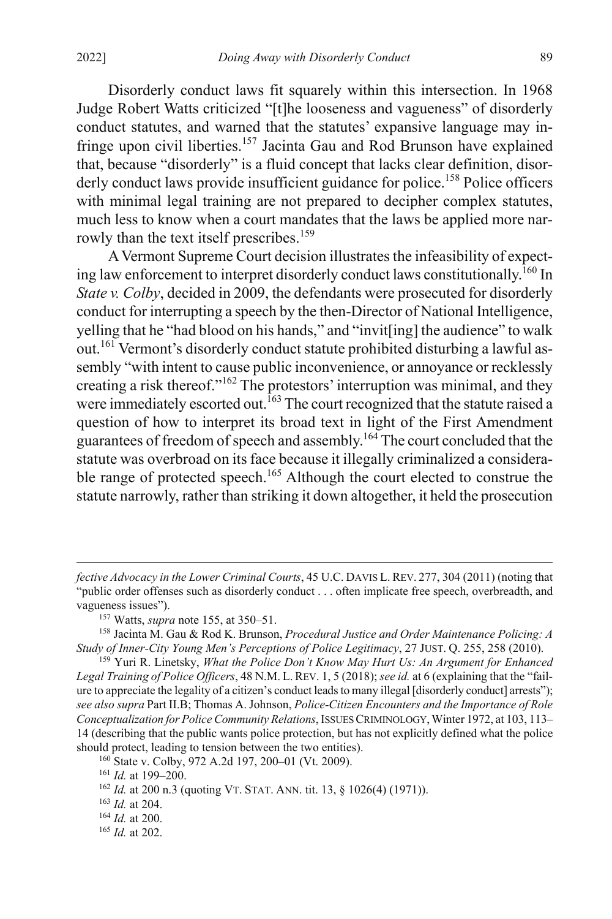Disorderly conduct laws fit squarely within this intersection. In 1968 Judge Robert Watts criticized "[t]he looseness and vagueness" of disorderly conduct statutes, and warned that the statutes' expansive language may infringe upon civil liberties.157 Jacinta Gau and Rod Brunson have explained that, because "disorderly" is a fluid concept that lacks clear definition, disorderly conduct laws provide insufficient guidance for police. <sup>158</sup> Police officers with minimal legal training are not prepared to decipher complex statutes, much less to know when a court mandates that the laws be applied more narrowly than the text itself prescribes.<sup>159</sup>

<span id="page-25-1"></span><span id="page-25-0"></span>A Vermont Supreme Court decision illustrates the infeasibility of expecting law enforcement to interpret disorderly conduct laws constitutionally.<sup>160</sup> In *State v. Colby*, decided in 2009, the defendants were prosecuted for disorderly conduct for interrupting a speech by the then-Director of National Intelligence, yelling that he "had blood on his hands," and "invit[ing] the audience" to walk out.<sup>161</sup> Vermont's disorderly conduct statute prohibited disturbing a lawful assembly "with intent to cause public inconvenience, or annoyance or recklessly creating a risk thereof."162 The protestors' interruption was minimal, and they were immediately escorted out.<sup>163</sup> The court recognized that the statute raised a question of how to interpret its broad text in light of the First Amendment guarantees of freedom of speech and assembly.<sup>164</sup> The court concluded that the statute was overbroad on its face because it illegally criminalized a considerable range of protected speech.<sup>165</sup> Although the court elected to construe the statute narrowly, rather than striking it down altogether, it held the prosecution

<sup>157</sup> Watts, *supra* not[e 155,](#page-24-0) at 350–51.<br><sup>158</sup> Jacinta M. Gau & Rod K. Brunson, *Procedural Justice and Order Maintenance Policing: A Study of Inner‐City Young Men's Perceptions of Police Legitimacy*, 27 JUST. Q. 255, 258 (2010).

<sup>159</sup> Yuri R. Linetsky, *What the Police Don't Know May Hurt Us: An Argument for Enhanced Legal Training of Police Officers*, 48 N.M. L. REV. 1, 5 (2018); *see id.* at 6 (explaining that the "failure to appreciate the legality of a citizen's conduct leads to many illegal [disorderly conduct] arrests"); *see also supra* Part II.B; Thomas A. Johnson, *Police-Citizen Encounters and the Importance of Role Conceptualization for Police Community Relations*, ISSUES CRIMINOLOGY,Winter 1972, at 103, 113– 14 (describing that the public wants police protection, but has not explicitly defined what the police should protect, leading to tension between the two entities).

 $\overline{a}$ 

<sup>165</sup> *Id.* at 202.

*fective Advocacy in the Lower Criminal Courts*, 45 U.C. DAVIS L. REV. 277, 304 (2011) (noting that "public order offenses such as disorderly conduct . . . often implicate free speech, overbreadth, and vagueness issues").

<sup>160</sup> State v. Colby, 972 A.2d 197, 200–01 (Vt. 2009).

<sup>&</sup>lt;sup>161</sup> *Id.* at 199–200.<br><sup>162</sup> *Id.* at 200 n.3 (quoting VT. STAT. ANN. tit. 13, § 1026(4) (1971)).

<sup>163</sup> *Id.* at 204.

<sup>164</sup> *Id.* at 200.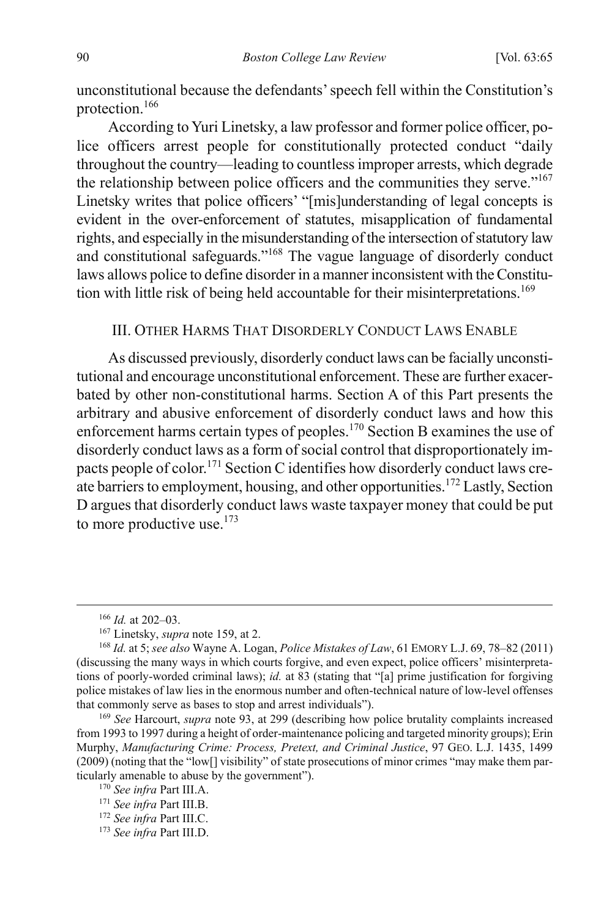unconstitutional because the defendants' speech fell within the Constitution's protection.166

According to Yuri Linetsky, a law professor and former police officer, police officers arrest people for constitutionally protected conduct "daily throughout the country—leading to countless improper arrests, which degrade the relationship between police officers and the communities they serve."<sup>167</sup> Linetsky writes that police officers' "[mis]understanding of legal concepts is evident in the over-enforcement of statutes, misapplication of fundamental rights, and especially in the misunderstanding of the intersection of statutory law and constitutional safeguards."168 The vague language of disorderly conduct laws allows police to define disorder in a manner inconsistent with the Constitution with little risk of being held accountable for their misinterpretations.<sup>169</sup>

#### <span id="page-26-0"></span>III. OTHER HARMS THAT DISORDERLY CONDUCT LAWS ENABLE

As discussed previously, disorderly conduct laws can be facially unconstitutional and encourage unconstitutional enforcement. These are further exacerbated by other non-constitutional harms. Section A of this Part presents the arbitrary and abusive enforcement of disorderly conduct laws and how this enforcement harms certain types of peoples.170 Section B examines the use of disorderly conduct laws as a form of social control that disproportionately impacts people of color.<sup>171</sup> Section C identifies how disorderly conduct laws create barriers to employment, housing, and other opportunities.172 Lastly, Section D argues that disorderly conduct laws waste taxpayer money that could be put to more productive use. $173$ 

 <sup>166</sup> *Id.* at 202–03.

<sup>167</sup> Linetsky, *supra* not[e 159,](#page-25-0) at 2.

<sup>168</sup> *Id.* at 5; *see also* Wayne A. Logan, *Police Mistakes of Law*, 61 EMORY L.J. 69, 78–82 (2011) (discussing the many ways in which courts forgive, and even expect, police officers' misinterpretations of poorly-worded criminal laws); *id.* at 83 (stating that "[a] prime justification for forgiving police mistakes of law lies in the enormous number and often-technical nature of low-level offenses that commonly serve as bases to stop and arrest individuals").

<sup>169</sup> *See* Harcourt, *supra* note [93,](#page-16-0) at 299 (describing how police brutality complaints increased from 1993 to 1997 during a height of order-maintenance policing and targeted minority groups); Erin Murphy, *Manufacturing Crime: Process, Pretext, and Criminal Justice*, 97 GEO. L.J. 1435, 1499 (2009) (noting that the "low[] visibility" of state prosecutions of minor crimes "may make them particularly amenable to abuse by the government").

<sup>170</sup> *See infra* Part III.A.

<sup>171</sup> *See infra* Part III.B.

<sup>172</sup> *See infra* Part III.C.

<sup>173</sup> *See infra* Part III.D.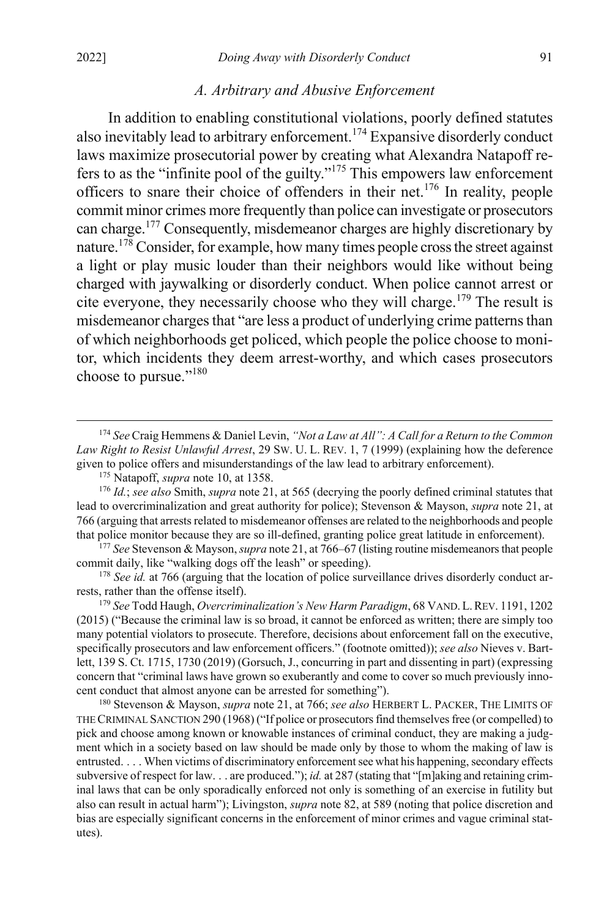#### <span id="page-27-0"></span>*A. Arbitrary and Abusive Enforcement*

In addition to enabling constitutional violations, poorly defined statutes also inevitably lead to arbitrary enforcement.174 Expansive disorderly conduct laws maximize prosecutorial power by creating what Alexandra Natapoff refers to as the "infinite pool of the guilty."175 This empowers law enforcement officers to snare their choice of offenders in their net.176 In reality, people commit minor crimes more frequently than police can investigate or prosecutors can charge. <sup>177</sup> Consequently, misdemeanor charges are highly discretionary by nature.<sup>178</sup> Consider, for example, how many times people cross the street against a light or play music louder than their neighbors would like without being charged with jaywalking or disorderly conduct. When police cannot arrest or cite everyone, they necessarily choose who they will charge.<sup>179</sup> The result is misdemeanor charges that "are less a product of underlying crime patterns than of which neighborhoods get policed, which people the police choose to monitor, which incidents they deem arrest-worthy, and which cases prosecutors choose to pursue."<sup>180</sup>

<sup>177</sup> *See* Stevenson & Mayson, *supra* not[e 21,](#page-4-0) at 766–67 (listing routine misdemeanors that people commit daily, like "walking dogs off the leash" or speeding).

<sup>178</sup> *See id.* at 766 (arguing that the location of police surveillance drives disorderly conduct arrests, rather than the offense itself).

<sup>179</sup> *See* Todd Haugh, *Overcriminalization's New Harm Paradigm*, 68 VAND.L.REV. 1191, 1202 (2015) ("Because the criminal law is so broad, it cannot be enforced as written; there are simply too many potential violators to prosecute. Therefore, decisions about enforcement fall on the executive, specifically prosecutors and law enforcement officers." (footnote omitted)); *see also* Nieves v. Bartlett, 139 S. Ct. 1715, 1730 (2019) (Gorsuch, J., concurring in part and dissenting in part) (expressing concern that "criminal laws have grown so exuberantly and come to cover so much previously innocent conduct that almost anyone can be arrested for something").

<sup>180</sup> Stevenson & Mayson, *supra* not[e 21,](#page-4-0) at 766; *see also* HERBERT L. PACKER, THE LIMITS OF THE CRIMINAL SANCTION 290 (1968) ("If police or prosecutors find themselves free (or compelled) to pick and choose among known or knowable instances of criminal conduct, they are making a judgment which in a society based on law should be made only by those to whom the making of law is entrusted. . . . When victims of discriminatory enforcement see what his happening, secondary effects subversive of respect for law. . . are produced."); *id.* at 287 (stating that "[m]aking and retaining criminal laws that can be only sporadically enforced not only is something of an exercise in futility but also can result in actual harm"); Livingston, *supra* note [82,](#page-14-0) at 589 (noting that police discretion and bias are especially significant concerns in the enforcement of minor crimes and vague criminal statutes).

<span id="page-27-1"></span> <sup>174</sup> *See* Craig Hemmens & Daniel Levin, *"Not a Law at All": A Call for a Return to the Common Law Right to Resist Unlawful Arrest*, 29 SW. U. L. REV. 1, 7 (1999) (explaining how the deference given to police offers and misunderstandings of the law lead to arbitrary enforcement).

<sup>175</sup> Natapoff, *supra* note [10,](#page-3-2) at 1358.

<sup>176</sup> *Id.*; *see also* Smith, *supra* not[e 21,](#page-4-0) at 565 (decrying the poorly defined criminal statutes that lead to overcriminalization and great authority for police); Stevenson & Mayson, *supra* note [21,](#page-4-0) at 766 (arguing that arrests related to misdemeanor offenses are related to the neighborhoods and people that police monitor because they are so ill-defined, granting police great latitude in enforcement).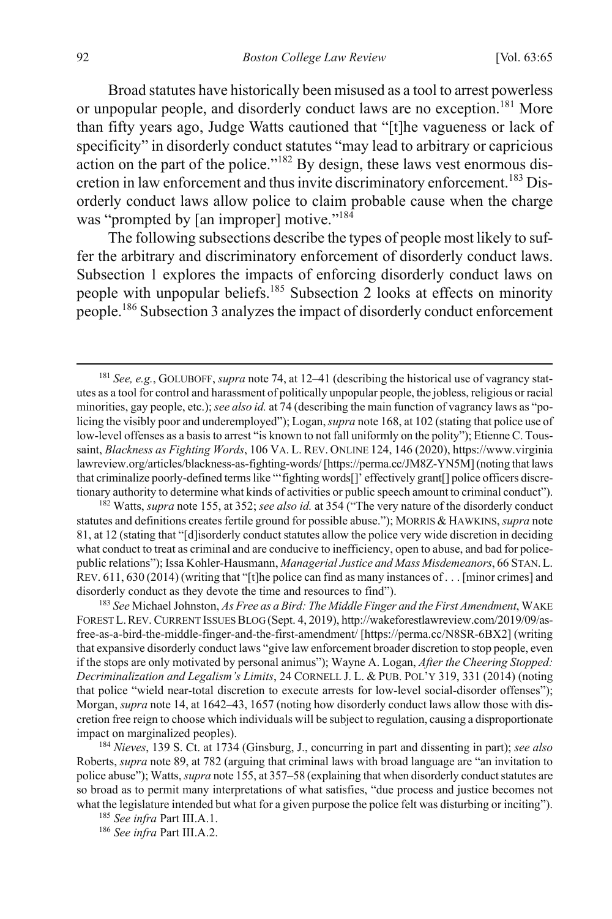<span id="page-28-1"></span><span id="page-28-0"></span>Broad statutes have historically been misused as a tool to arrest powerless or unpopular people, and disorderly conduct laws are no exception.<sup>181</sup> More than fifty years ago, Judge Watts cautioned that "[t]he vagueness or lack of specificity" in disorderly conduct statutes "may lead to arbitrary or capricious action on the part of the police."<sup>182</sup> By design, these laws vest enormous discretion in law enforcement and thus invite discriminatory enforcement.<sup>183</sup> Disorderly conduct laws allow police to claim probable cause when the charge was "prompted by [an improper] motive."<sup>184</sup>

<span id="page-28-2"></span>The following subsections describe the types of people most likely to suffer the arbitrary and discriminatory enforcement of disorderly conduct laws. Subsection 1 explores the impacts of enforcing disorderly conduct laws on people with unpopular beliefs.185 Subsection 2 looks at effects on minority people.186 Subsection 3 analyzes the impact of disorderly conduct enforcement

<sup>182</sup> Watts, *supra* not[e 155,](#page-24-0) at 352; *see also id.* at 354 ("The very nature of the disorderly conduct statutes and definitions creates fertile ground for possible abuse."); MORRIS & HAWKINS, *supra* note [81,](#page-14-1) at 12 (stating that "[d]isorderly conduct statutes allow the police very wide discretion in deciding what conduct to treat as criminal and are conducive to inefficiency, open to abuse, and bad for policepublic relations"); Issa Kohler-Hausmann, *Managerial Justice and Mass Misdemeanors*, 66 STAN.L. REV. 611, 630 (2014) (writing that "[t]he police can find as many instances of . . . [minor crimes] and disorderly conduct as they devote the time and resources to find").

<sup>183</sup> *See* Michael Johnston, *As Free as a Bird: The Middle Finger and the First Amendment*, WAKE FOREST L.REV. CURRENT ISSUES BLOG (Sept. 4, 2019), http://wakeforestlawreview.com/2019/09/asfree-as-a-bird-the-middle-finger-and-the-first-amendment/ [https://perma.cc/N8SR-6BX2] (writing that expansive disorderly conduct laws "give law enforcement broader discretion to stop people, even if the stops are only motivated by personal animus"); Wayne A. Logan, *After the Cheering Stopped: Decriminalization and Legalism's Limits*, 24 CORNELL J. L. & PUB. POL'Y 319, 331 (2014) (noting that police "wield near-total discretion to execute arrests for low-level social-disorder offenses"); Morgan, *supra* not[e 14,](#page-4-1) at 1642–43, 1657 (noting how disorderly conduct laws allow those with discretion free reign to choose which individuals will be subject to regulation, causing a disproportionate impact on marginalized peoples).

<sup>184</sup> *Nieves*, 139 S. Ct. at 1734 (Ginsburg, J., concurring in part and dissenting in part); *see also* Roberts, *supra* not[e 89,](#page-15-2) at 782 (arguing that criminal laws with broad language are "an invitation to police abuse"); Watts, *supra* not[e 155,](#page-24-0) at 357–58 (explaining that when disorderly conduct statutes are so broad as to permit many interpretations of what satisfies, "due process and justice becomes not what the legislature intended but what for a given purpose the police felt was disturbing or inciting").

<sup>185</sup> *See infra* Part III.A.1.

<sup>186</sup> *See infra* Part III.A.2.

 <sup>181</sup> *See, e.g.*, GOLUBOFF, *supra* not[e 74,](#page-13-0) at 12–41 (describing the historical use of vagrancy statutes as a tool for control and harassment of politically unpopular people, the jobless, religious or racial minorities, gay people, etc.); *see also id.* at 74 (describing the main function of vagrancy laws as "policing the visibly poor and underemployed"); Logan, *supra* not[e 168,](#page-26-0) at 102 (stating that police use of low-level offenses as a basis to arrest "is known to not fall uniformly on the polity"); Etienne C. Toussaint, *Blackness as Fighting Words*, 106 VA. L. REV. ONLINE 124, 146 (2020), https://www.virginia lawreview.org/articles/blackness-as-fighting-words/ [https://perma.cc/JM8Z-YN5M] (noting that laws that criminalize poorly-defined terms like "'fighting words[]' effectively grant[] police officers discretionary authority to determine what kinds of activities or public speech amount to criminal conduct").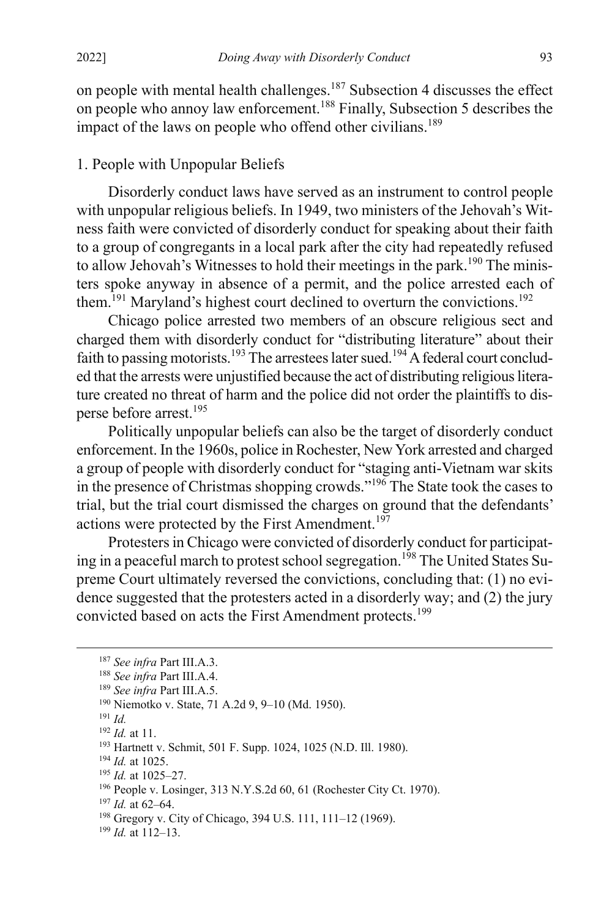on people with mental health challenges.187 Subsection 4 discusses the effect on people who annoy law enforcement.<sup>188</sup> Finally, Subsection 5 describes the impact of the laws on people who offend other civilians.<sup>189</sup>

## 1. People with Unpopular Beliefs

Disorderly conduct laws have served as an instrument to control people with unpopular religious beliefs. In 1949, two ministers of the Jehovah's Witness faith were convicted of disorderly conduct for speaking about their faith to a group of congregants in a local park after the city had repeatedly refused to allow Jehovah's Witnesses to hold their meetings in the park.<sup>190</sup> The ministers spoke anyway in absence of a permit, and the police arrested each of them.<sup>191</sup> Maryland's highest court declined to overturn the convictions.<sup>192</sup>

Chicago police arrested two members of an obscure religious sect and charged them with disorderly conduct for "distributing literature" about their faith to passing motorists.<sup>193</sup> The arrestees later sued.<sup>194</sup> A federal court concluded that the arrests were unjustified because the act of distributing religious literature created no threat of harm and the police did not order the plaintiffs to disperse before arrest.195

Politically unpopular beliefs can also be the target of disorderly conduct enforcement. In the 1960s, police in Rochester, New York arrested and charged a group of people with disorderly conduct for "staging anti-Vietnam war skits in the presence of Christmas shopping crowds."196 The State took the cases to trial, but the trial court dismissed the charges on ground that the defendants' actions were protected by the First Amendment.<sup>197</sup>

Protesters in Chicago were convicted of disorderly conduct for participating in a peaceful march to protest school segregation.<sup>198</sup> The United States Supreme Court ultimately reversed the convictions, concluding that: (1) no evidence suggested that the protesters acted in a disorderly way; and (2) the jury convicted based on acts the First Amendment protects.<sup>199</sup>

<sup>196</sup> People v. Losinger, 313 N.Y.S.2d 60, 61 (Rochester City Ct. 1970).

<sup>197</sup> *Id.* at 62–64.

<sup>198</sup> Gregory v. City of Chicago, 394 U.S. 111, 111–12 (1969).

<sup>199</sup> *Id.* at 112–13.

<sup>187</sup> *See infra* Part III.A.3. 188 *See infra* Part III.A.4.

<sup>189</sup> *See infra* Part III.A.5.

<sup>190</sup> Niemotko v. State, 71 A.2d 9, 9–10 (Md. 1950).

<sup>191</sup> *Id.*

<sup>192</sup> *Id.* at 11.

<sup>193</sup> Hartnett v. Schmit, 501 F. Supp. 1024, 1025 (N.D. Ill. 1980).

<sup>194</sup> *Id.* at 1025.

<sup>195</sup> *Id.* at 1025–27.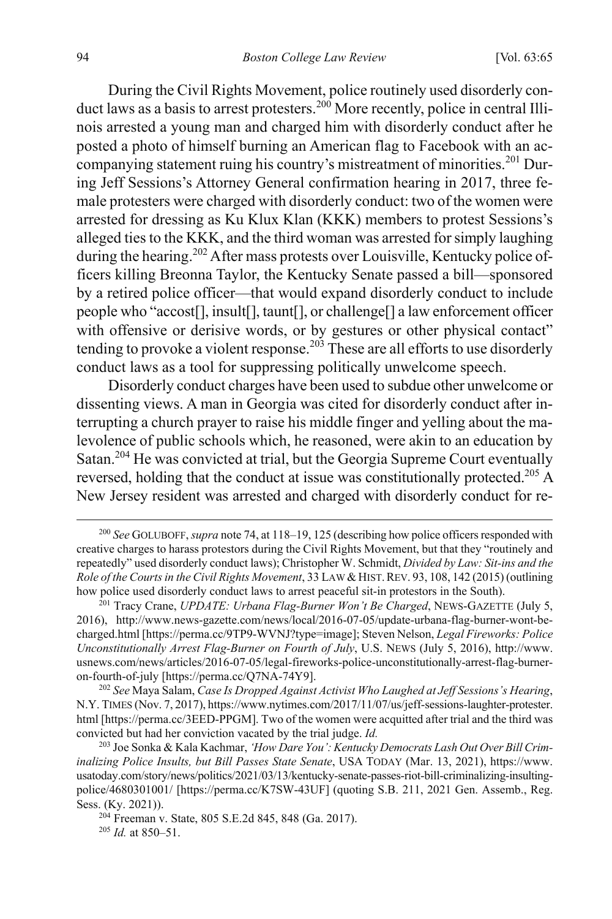During the Civil Rights Movement, police routinely used disorderly conduct laws as a basis to arrest protesters.<sup>200</sup> More recently, police in central Illinois arrested a young man and charged him with disorderly conduct after he posted a photo of himself burning an American flag to Facebook with an accompanying statement ruing his country's mistreatment of minorities.<sup>201</sup> During Jeff Sessions's Attorney General confirmation hearing in 2017, three female protesters were charged with disorderly conduct: two of the women were arrested for dressing as Ku Klux Klan (KKK) members to protest Sessions's alleged ties to the KKK, and the third woman was arrested for simply laughing during the hearing.<sup>202</sup> After mass protests over Louisville, Kentucky police officers killing Breonna Taylor, the Kentucky Senate passed a bill—sponsored by a retired police officer—that would expand disorderly conduct to include people who "accost[], insult[], taunt[], or challenge[] a law enforcement officer with offensive or derisive words, or by gestures or other physical contact" tending to provoke a violent response.<sup>203</sup> These are all efforts to use disorderly conduct laws as a tool for suppressing politically unwelcome speech.

Disorderly conduct charges have been used to subdue other unwelcome or dissenting views. A man in Georgia was cited for disorderly conduct after interrupting a church prayer to raise his middle finger and yelling about the malevolence of public schools which, he reasoned, were akin to an education by Satan.<sup>204</sup> He was convicted at trial, but the Georgia Supreme Court eventually reversed, holding that the conduct at issue was constitutionally protected.<sup>205</sup> A New Jersey resident was arrested and charged with disorderly conduct for re-

 <sup>200</sup> *See* GOLUBOFF, *supra* not[e 74,](#page-13-0) at 118–19, 125 (describing how police officers responded with creative charges to harass protestors during the Civil Rights Movement, but that they "routinely and repeatedly" used disorderly conduct laws); Christopher W. Schmidt, *Divided by Law: Sit-ins and the Role of the Courts in the Civil Rights Movement*, 33 LAW & HIST. REV. 93, 108, 142 (2015) (outlining how police used disorderly conduct laws to arrest peaceful sit-in protestors in the South).

<sup>201</sup> Tracy Crane, *UPDATE: Urbana Flag-Burner Won't Be Charged*, NEWS-GAZETTE (July 5, 2016), http://www.news-gazette.com/news/local/2016-07-05/update-urbana-flag-burner-wont-becharged.html [https://perma.cc/9TP9-WVNJ?type=image]; Steven Nelson, *Legal Fireworks: Police Unconstitutionally Arrest Flag-Burner on Fourth of July*, U.S. NEWS (July 5, 2016), http://www. usnews.com/news/articles/2016-07-05/legal-fireworks-police-unconstitutionally-arrest-flag-burneron-fourth-of-july [https://perma.cc/Q7NA-74Y9]. 202 *See* Maya Salam, *Case Is Dropped Against Activist Who Laughed at Jeff Sessions's Hearing*,

N.Y. TIMES (Nov. 7, 2017), https://www.nytimes.com/2017/11/07/us/jeff-sessions-laughter-protester. html [https://perma.cc/3EED-PPGM]. Two of the women were acquitted after trial and the third was convicted but had her conviction vacated by the trial judge. *Id.*

<sup>203</sup> Joe Sonka & Kala Kachmar, *'How Dare You': Kentucky Democrats Lash Out Over Bill Criminalizing Police Insults, but Bill Passes State Senate*, USA TODAY (Mar. 13, 2021), https://www. usatoday.com/story/news/politics/2021/03/13/kentucky-senate-passes-riot-bill-criminalizing-insultingpolice/4680301001/ [https://perma.cc/K7SW-43UF] (quoting S.B. 211, 2021 Gen. Assemb., Reg. Sess. (Ky. 2021)).

<sup>204</sup> Freeman v. State, 805 S.E.2d 845, 848 (Ga. 2017).

<sup>205</sup> *Id.* at 850–51.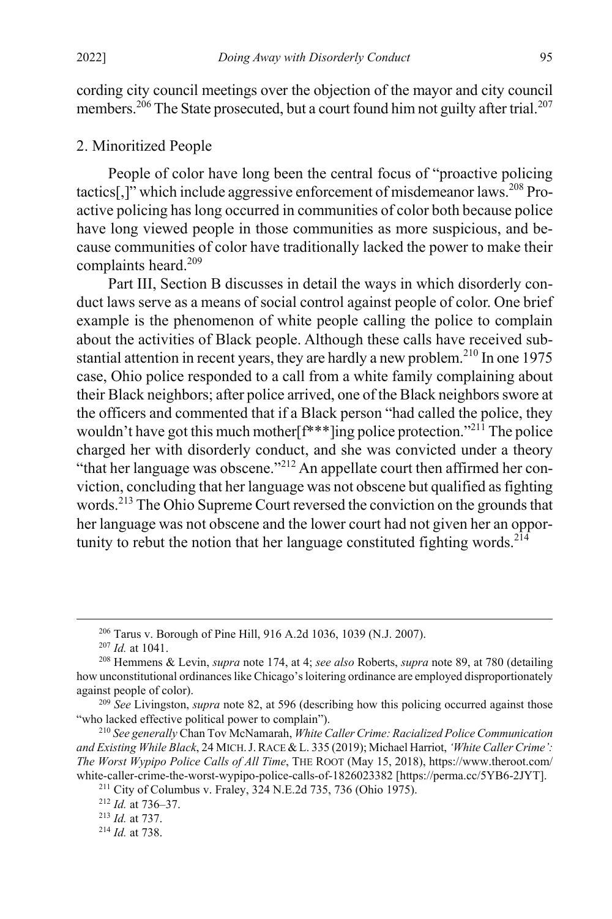cording city council meetings over the objection of the mayor and city council members.<sup>206</sup> The State prosecuted, but a court found him not guilty after trial.<sup>207</sup>

### 2. Minoritized People

People of color have long been the central focus of "proactive policing tactics[,]" which include aggressive enforcement of misdemeanor laws.208 Proactive policing has long occurred in communities of color both because police have long viewed people in those communities as more suspicious, and because communities of color have traditionally lacked the power to make their complaints heard.<sup>209</sup>

Part III, Section B discusses in detail the ways in which disorderly conduct laws serve as a means of social control against people of color. One brief example is the phenomenon of white people calling the police to complain about the activities of Black people. Although these calls have received substantial attention in recent years, they are hardly a new problem.<sup>210</sup> In one 1975 case, Ohio police responded to a call from a white family complaining about their Black neighbors; after police arrived, one of the Black neighbors swore at the officers and commented that if a Black person "had called the police, they wouldn't have got this much mother  $f^{***}$  ling police protection."<sup>211</sup> The police charged her with disorderly conduct, and she was convicted under a theory "that her language was obscene."<sup>212</sup> An appellate court then affirmed her conviction, concluding that her language was not obscene but qualified as fighting words.<sup>213</sup> The Ohio Supreme Court reversed the conviction on the grounds that her language was not obscene and the lower court had not given her an opportunity to rebut the notion that her language constituted fighting words.  $214$ 

<sup>206</sup> Tarus v. Borough of Pine Hill, 916 A.2d 1036, 1039 (N.J. 2007). 207 *Id.* at 1041.

<sup>208</sup> Hemmens & Levin, *supra* not[e 174,](#page-27-0) at 4; *see also* Roberts, *supra* not[e 89,](#page-15-2) at 780 (detailing how unconstitutional ordinances like Chicago's loitering ordinance are employed disproportionately against people of color).

<sup>&</sup>lt;sup>209</sup> See Livingston, *supra* not[e 82,](#page-14-0) at 596 (describing how this policing occurred against those "who lacked effective political power to complain").

<sup>&</sup>lt;sup>210</sup> See generally Chan Tov McNamarah, *White Caller Crime: Racialized Police Communication and Existing While Black*, 24 MICH.J.RACE &L. 335 (2019); Michael Harriot, *'White Caller Crime': The Worst Wypipo Police Calls of All Time*, THE ROOT (May 15, 2018), https://www.theroot.com/ white-caller-crime-the-worst-wypipo-police-calls-of-1826023382 [https://perma.cc/5YB6-2JYT].

<sup>211</sup> City of Columbus v. Fraley, 324 N.E.2d 735, 736 (Ohio 1975).

<sup>212</sup> *Id.* at 736–37.

<sup>213</sup> *Id.* at 737.

<sup>214</sup> *Id.* at 738.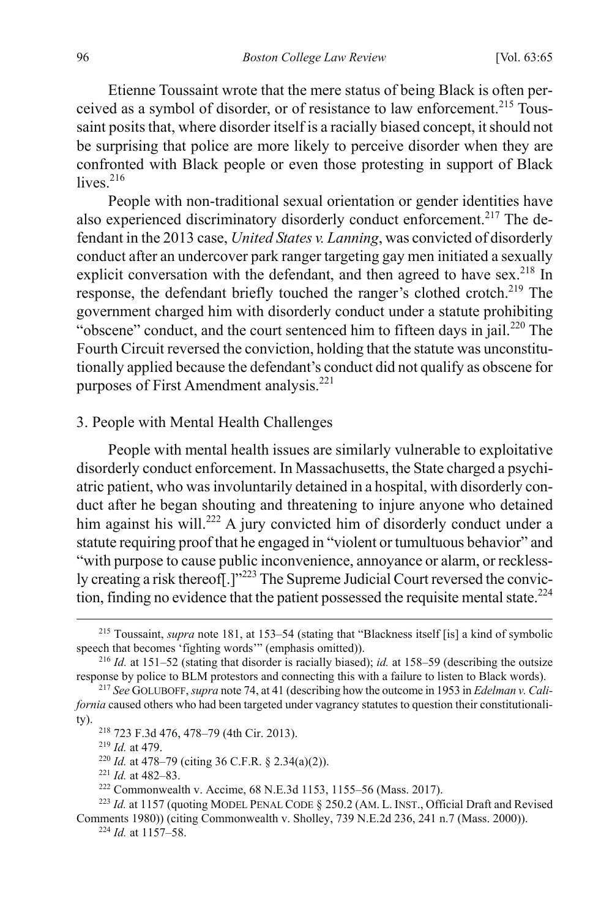Etienne Toussaint wrote that the mere status of being Black is often perceived as a symbol of disorder, or of resistance to law enforcement.<sup>215</sup> Toussaint posits that, where disorder itself is a racially biased concept, it should not be surprising that police are more likely to perceive disorder when they are confronted with Black people or even those protesting in support of Black  $liver$ <sup>216</sup>

People with non-traditional sexual orientation or gender identities have also experienced discriminatory disorderly conduct enforcement.<sup>217</sup> The defendant in the 2013 case, *United States v. Lanning*, was convicted of disorderly conduct after an undercover park ranger targeting gay men initiated a sexually explicit conversation with the defendant, and then agreed to have sex.<sup>218</sup> In response, the defendant briefly touched the ranger's clothed crotch.<sup>219</sup> The government charged him with disorderly conduct under a statute prohibiting "obscene" conduct, and the court sentenced him to fifteen days in jail.<sup>220</sup> The Fourth Circuit reversed the conviction, holding that the statute was unconstitutionally applied because the defendant's conduct did not qualify as obscene for purposes of First Amendment analysis.221

#### 3. People with Mental Health Challenges

People with mental health issues are similarly vulnerable to exploitative disorderly conduct enforcement. In Massachusetts, the State charged a psychiatric patient, who was involuntarily detained in a hospital, with disorderly conduct after he began shouting and threatening to injure anyone who detained him against his will.<sup>222</sup> A jury convicted him of disorderly conduct under a statute requiring proof that he engaged in "violent or tumultuous behavior" and "with purpose to cause public inconvenience, annoyance or alarm, or recklessly creating a risk thereof. [ $1^{223}$  The Supreme Judicial Court reversed the conviction, finding no evidence that the patient possessed the requisite mental state.<sup>224</sup>

<sup>219</sup> *Id.* at 479.

<sup>221</sup> *Id.* at 482–83.

 <sup>215</sup> Toussaint, *supra* not[e 181,](#page-28-0) at 153–54 (stating that "Blackness itself [is] a kind of symbolic speech that becomes 'fighting words'" (emphasis omitted)).

<sup>216</sup> *Id.* at 151–52 (stating that disorder is racially biased); *id.* at 158–59 (describing the outsize response by police to BLM protestors and connecting this with a failure to listen to Black words).

<sup>217</sup> *See* GOLUBOFF, *supra* not[e 74,](#page-13-0) at 41 (describing how the outcome in 1953 in *Edelman v. California* caused others who had been targeted under vagrancy statutes to question their constitutionality).

<sup>218</sup> 723 F.3d 476, 478–79 (4th Cir. 2013).

<sup>220</sup> *Id.* at 478–79 (citing 36 C.F.R. § 2.34(a)(2)).

<sup>222</sup> Commonwealth v. Accime, 68 N.E.3d 1153, 1155–56 (Mass. 2017).

<sup>223</sup> *Id.* at 1157 (quoting MODEL PENAL CODE § 250.2 (AM. L. INST., Official Draft and Revised Comments 1980)) (citing Commonwealth v. Sholley, 739 N.E.2d 236, 241 n.7 (Mass. 2000)).

<sup>224</sup> *Id.* at 1157–58.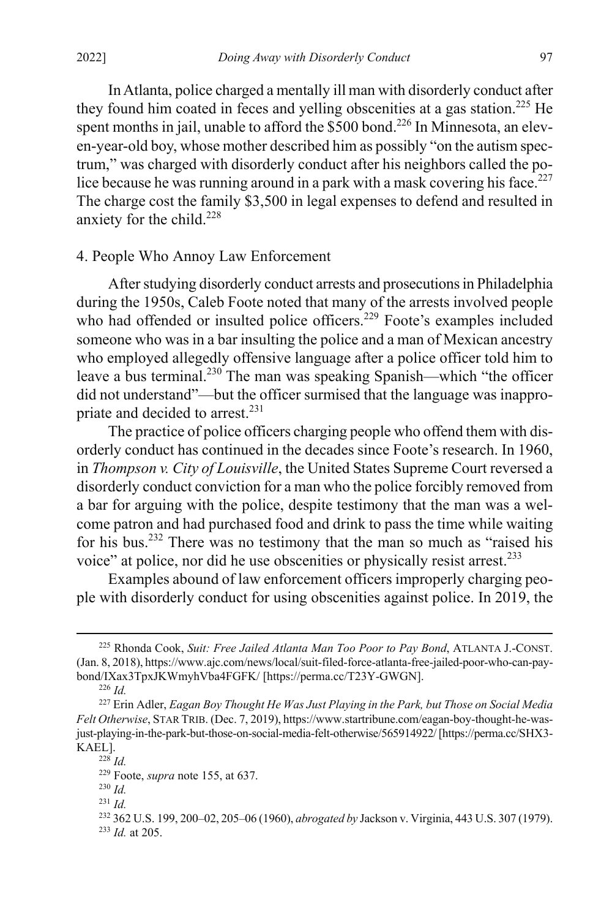In Atlanta, police charged a mentally ill man with disorderly conduct after they found him coated in feces and yelling obscenities at a gas station.<sup>225</sup> He spent months in jail, unable to afford the  $$500$  bond.<sup>226</sup> In Minnesota, an eleven-year-old boy, whose mother described him as possibly "on the autism spectrum," was charged with disorderly conduct after his neighbors called the police because he was running around in a park with a mask covering his face.<sup>227</sup> The charge cost the family \$3,500 in legal expenses to defend and resulted in anxiety for the child.<sup>228</sup>

### 4. People Who Annoy Law Enforcement

After studying disorderly conduct arrests and prosecutions in Philadelphia during the 1950s, Caleb Foote noted that many of the arrests involved people who had offended or insulted police officers.<sup>229</sup> Foote's examples included someone who was in a bar insulting the police and a man of Mexican ancestry who employed allegedly offensive language after a police officer told him to leave a bus terminal.230 The man was speaking Spanish—which "the officer did not understand"—but the officer surmised that the language was inappropriate and decided to arrest.<sup>231</sup>

The practice of police officers charging people who offend them with disorderly conduct has continued in the decades since Foote's research. In 1960, in *Thompson v. City of Louisville*, the United States Supreme Court reversed a disorderly conduct conviction for a man who the police forcibly removed from a bar for arguing with the police, despite testimony that the man was a welcome patron and had purchased food and drink to pass the time while waiting for his bus.<sup>232</sup> There was no testimony that the man so much as "raised his voice" at police, nor did he use obscenities or physically resist arrest.<sup>233</sup>

Examples abound of law enforcement officers improperly charging people with disorderly conduct for using obscenities against police. In 2019, the

 <sup>225</sup> Rhonda Cook, *Suit: Free Jailed Atlanta Man Too Poor to Pay Bond*, ATLANTA J.-CONST. (Jan. 8, 2018), https://www.ajc.com/news/local/suit-filed-force-atlanta-free-jailed-poor-who-can-paybond/IXax3TpxJKWmyhVba4FGFK/ [https://perma.cc/T23Y-GWGN].

<sup>226</sup> *Id.*

<sup>227</sup> Erin Adler, *Eagan Boy Thought He Was Just Playing in the Park, but Those on Social Media Felt Otherwise*, STAR TRIB. (Dec. 7, 2019), https://www.startribune.com/eagan-boy-thought-he-wasjust-playing-in-the-park-but-those-on-social-media-felt-otherwise/565914922/ [https://perma.cc/SHX3- KAEL].

<sup>228</sup> *Id.*

<sup>229</sup> Foote, *supra* note [155,](#page-24-0) at 637.

<sup>230</sup> *Id.*

<sup>231</sup> *Id.*

<sup>232</sup> 362 U.S. 199, 200–02, 205–06 (1960), *abrogated by* Jackson v. Virginia, 443 U.S. 307 (1979). <sup>233</sup> *Id.* at 205.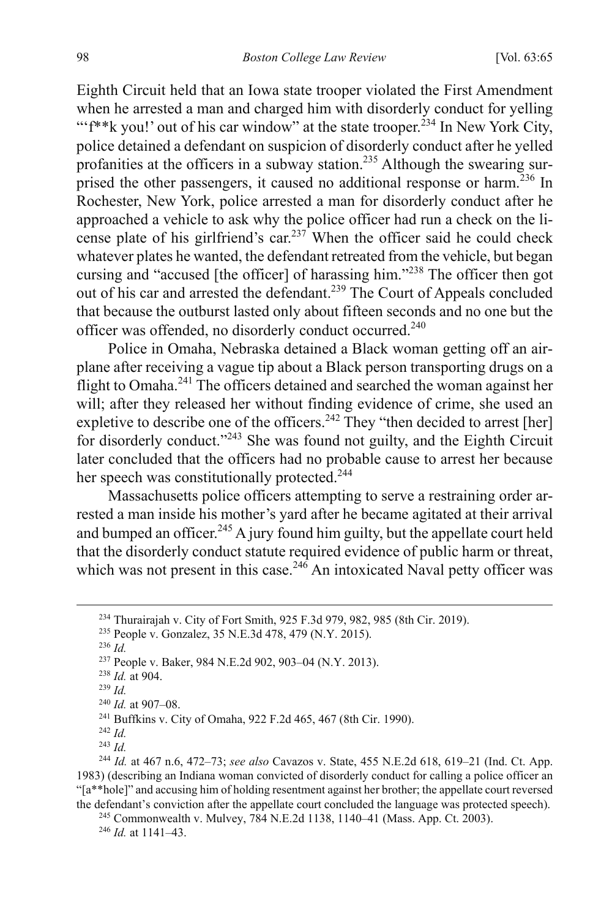Eighth Circuit held that an Iowa state trooper violated the First Amendment when he arrested a man and charged him with disorderly conduct for yelling "'f<sup>\*\*</sup>k you!' out of his car window" at the state trooper.<sup>234</sup> In New York City, police detained a defendant on suspicion of disorderly conduct after he yelled profanities at the officers in a subway station.<sup>235</sup> Although the swearing surprised the other passengers, it caused no additional response or harm.<sup>236</sup> In Rochester, New York, police arrested a man for disorderly conduct after he approached a vehicle to ask why the police officer had run a check on the license plate of his girlfriend's car.<sup>237</sup> When the officer said he could check whatever plates he wanted, the defendant retreated from the vehicle, but began cursing and "accused [the officer] of harassing him."<sup>238</sup> The officer then got out of his car and arrested the defendant.<sup>239</sup> The Court of Appeals concluded that because the outburst lasted only about fifteen seconds and no one but the officer was offended, no disorderly conduct occurred.<sup>240</sup>

Police in Omaha, Nebraska detained a Black woman getting off an airplane after receiving a vague tip about a Black person transporting drugs on a flight to Omaha.<sup>241</sup> The officers detained and searched the woman against her will; after they released her without finding evidence of crime, she used an expletive to describe one of the officers.<sup>242</sup> They "then decided to arrest [her] for disorderly conduct."243 She was found not guilty, and the Eighth Circuit later concluded that the officers had no probable cause to arrest her because her speech was constitutionally protected.<sup>244</sup>

Massachusetts police officers attempting to serve a restraining order arrested a man inside his mother's yard after he became agitated at their arrival and bumped an officer.<sup>245</sup> A jury found him guilty, but the appellate court held that the disorderly conduct statute required evidence of public harm or threat, which was not present in this case.<sup>246</sup> An intoxicated Naval petty officer was

<sup>245</sup> Commonwealth v. Mulvey, 784 N.E.2d 1138, 1140–41 (Mass. App. Ct. 2003).

<sup>246</sup> *Id.* at 1141–43.

 <sup>234</sup> Thurairajah v. City of Fort Smith, 925 F.3d 979, 982, 985 (8th Cir. 2019).

<sup>235</sup> People v. Gonzalez, 35 N.E.3d 478, 479 (N.Y. 2015).

<sup>236</sup> *Id.*

<sup>237</sup> People v. Baker, 984 N.E.2d 902, 903–04 (N.Y. 2013).

<sup>238</sup> *Id.* at 904.

<sup>239</sup> *Id.*

<sup>240</sup> *Id.* at 907–08.

<sup>241</sup> Buffkins v. City of Omaha, 922 F.2d 465, 467 (8th Cir. 1990).

<sup>242</sup> *Id.* <sup>243</sup> *Id.*

<sup>244</sup> *Id.* at 467 n.6, 472–73; *see also* Cavazos v. State, 455 N.E.2d 618, 619–21 (Ind. Ct. App. 1983) (describing an Indiana woman convicted of disorderly conduct for calling a police officer an "[a\*\*hole]" and accusing him of holding resentment against her brother; the appellate court reversed the defendant's conviction after the appellate court concluded the language was protected speech).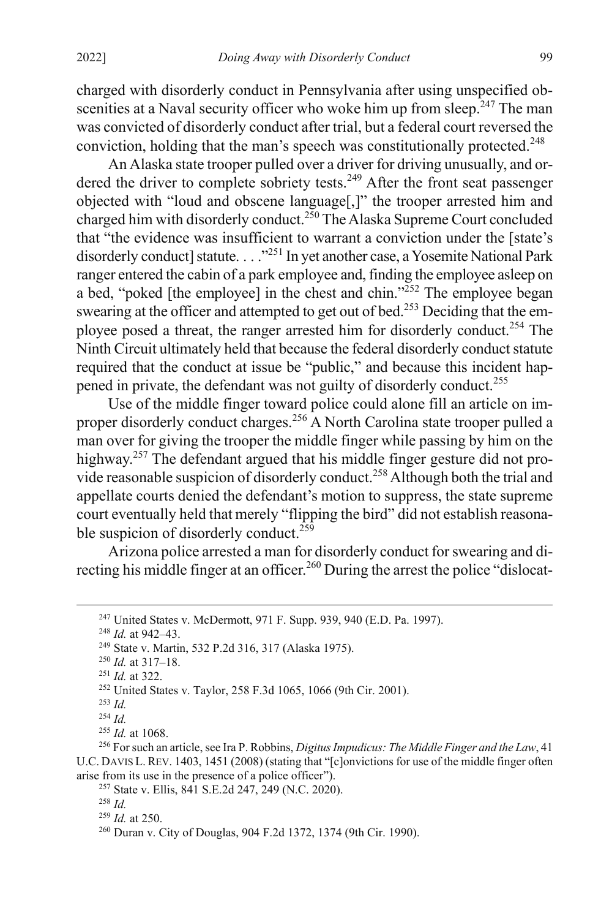charged with disorderly conduct in Pennsylvania after using unspecified obscenities at a Naval security officer who woke him up from sleep.<sup> $247$ </sup> The man was convicted of disorderly conduct after trial, but a federal court reversed the conviction, holding that the man's speech was constitutionally protected.<sup>248</sup>

An Alaska state trooper pulled over a driver for driving unusually, and ordered the driver to complete sobriety tests.<sup>249</sup> After the front seat passenger objected with "loud and obscene language[,]" the trooper arrested him and charged him with disorderly conduct.<sup>250</sup> The Alaska Supreme Court concluded that "the evidence was insufficient to warrant a conviction under the [state's disorderly conduct] statute. . . . "<sup>251</sup> In yet another case, a Yosemite National Park ranger entered the cabin of a park employee and, finding the employee asleep on a bed, "poked [the employee] in the chest and chin." $^{252}$  The employee began swearing at the officer and attempted to get out of bed.<sup>253</sup> Deciding that the employee posed a threat, the ranger arrested him for disorderly conduct.<sup>254</sup> The Ninth Circuit ultimately held that because the federal disorderly conduct statute required that the conduct at issue be "public," and because this incident happened in private, the defendant was not guilty of disorderly conduct.<sup>255</sup>

<span id="page-35-0"></span>Use of the middle finger toward police could alone fill an article on improper disorderly conduct charges.<sup>256</sup> A North Carolina state trooper pulled a man over for giving the trooper the middle finger while passing by him on the highway.<sup>257</sup> The defendant argued that his middle finger gesture did not provide reasonable suspicion of disorderly conduct.258 Although both the trial and appellate courts denied the defendant's motion to suppress, the state supreme court eventually held that merely "flipping the bird" did not establish reasonable suspicion of disorderly conduct.<sup>259</sup>

Arizona police arrested a man for disorderly conduct for swearing and directing his middle finger at an officer.<sup>260</sup> During the arrest the police "dislocat-

<sup>248</sup> *Id.* at 942–43.

<sup>251</sup> *Id.* at 322.

 <sup>247</sup> United States v. McDermott, 971 F. Supp. 939, 940 (E.D. Pa. 1997).

<sup>249</sup> State v. Martin, 532 P.2d 316, 317 (Alaska 1975).

<sup>250</sup> *Id.* at 317–18.

<sup>252</sup> United States v. Taylor, 258 F.3d 1065, 1066 (9th Cir. 2001).

<sup>253</sup> *Id.*

<sup>254</sup> *Id.*

<sup>255</sup> *Id.* at 1068.

<sup>256</sup> For such an article, see Ira P. Robbins, *Digitus Impudicus: The Middle Finger and the Law*, 41 U.C. DAVIS L. REV. 1403, 1451 (2008) (stating that "[c]onvictions for use of the middle finger often arise from its use in the presence of a police officer").

<sup>257</sup> State v. Ellis, 841 S.E.2d 247, 249 (N.C. 2020).

<sup>258</sup> *Id.*

<sup>259</sup> *Id.* at 250.

<sup>260</sup> Duran v. City of Douglas, 904 F.2d 1372, 1374 (9th Cir. 1990).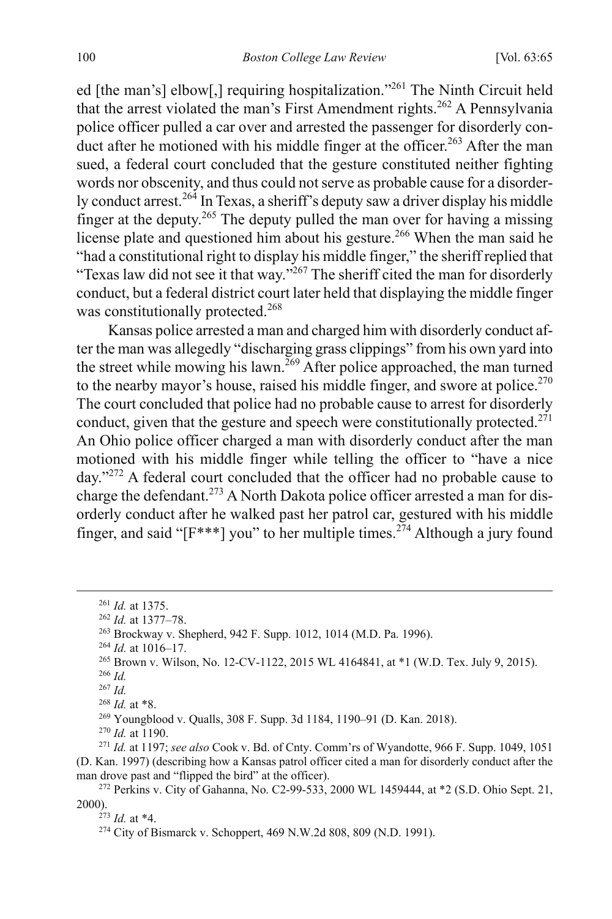ed [the man's] elbow[,] requiring hospitalization."261 The Ninth Circuit held that the arrest violated the man's First Amendment rights.<sup>262</sup> A Pennsylvania police officer pulled a car over and arrested the passenger for disorderly conduct after he motioned with his middle finger at the officer.<sup>263</sup> After the man sued, a federal court concluded that the gesture constituted neither fighting words nor obscenity, and thus could not serve as probable cause for a disorderly conduct arrest.<sup>264</sup> In Texas, a sheriff's deputy saw a driver display his middle finger at the deputy.<sup>265</sup> The deputy pulled the man over for having a missing license plate and questioned him about his gesture.<sup>266</sup> When the man said he "had a constitutional right to display his middle finger," the sheriff replied that "Texas law did not see it that way."<sup>267</sup> The sheriff cited the man for disorderly conduct, but a federal district court later held that displaying the middle finger was constitutionally protected.<sup>268</sup>

Kansas police arrested a man and charged him with disorderly conduct after the man was allegedly "discharging grass clippings" from his own yard into the street while mowing his lawn.<sup>269</sup> After police approached, the man turned to the nearby mayor's house, raised his middle finger, and swore at police.<sup>270</sup> The court concluded that police had no probable cause to arrest for disorderly conduct, given that the gesture and speech were constitutionally protected.<sup>271</sup> An Ohio police officer charged a man with disorderly conduct after the man motioned with his middle finger while telling the officer to "have a nice day."<sup>272</sup> A federal court concluded that the officer had no probable cause to charge the defendant.<sup>273</sup> A North Dakota police officer arrested a man for disorderly conduct after he walked past her patrol car, gestured with his middle finger, and said " $[F^{***}]$  you" to her multiple times.<sup>274</sup> Although a jury found

 <sup>261</sup> *Id.* at 1375.

<sup>262</sup> *Id.* at 1377–78.

<sup>263</sup> Brockway v. Shepherd, 942 F. Supp. 1012, 1014 (M.D. Pa. 1996). 264 *Id.* at 1016–17.

<sup>265</sup> Brown v. Wilson, No. 12-CV-1122, 2015 WL 4164841, at \*1 (W.D. Tex. July 9, 2015).

<sup>266</sup> *Id.*

<sup>267</sup> *Id.*

<sup>268</sup> *Id.* at \*8.

<sup>269</sup> Youngblood v. Qualls, 308 F. Supp. 3d 1184, 1190–91 (D. Kan. 2018).

<sup>270</sup> *Id.* at 1190.

<sup>271</sup> *Id.* at 1197; *see also* Cook v. Bd. of Cnty. Comm'rs of Wyandotte, 966 F. Supp. 1049, 1051 (D. Kan. 1997) (describing how a Kansas patrol officer cited a man for disorderly conduct after the man drove past and "flipped the bird" at the officer).

<sup>272</sup> Perkins v. City of Gahanna, No. C2-99-533, 2000 WL 1459444, at \*2 (S.D. Ohio Sept. 21, 2000). 273 *Id.* at \*4.

<sup>&</sup>lt;sup>274</sup> City of Bismarck v. Schoppert, 469 N.W.2d 808, 809 (N.D. 1991).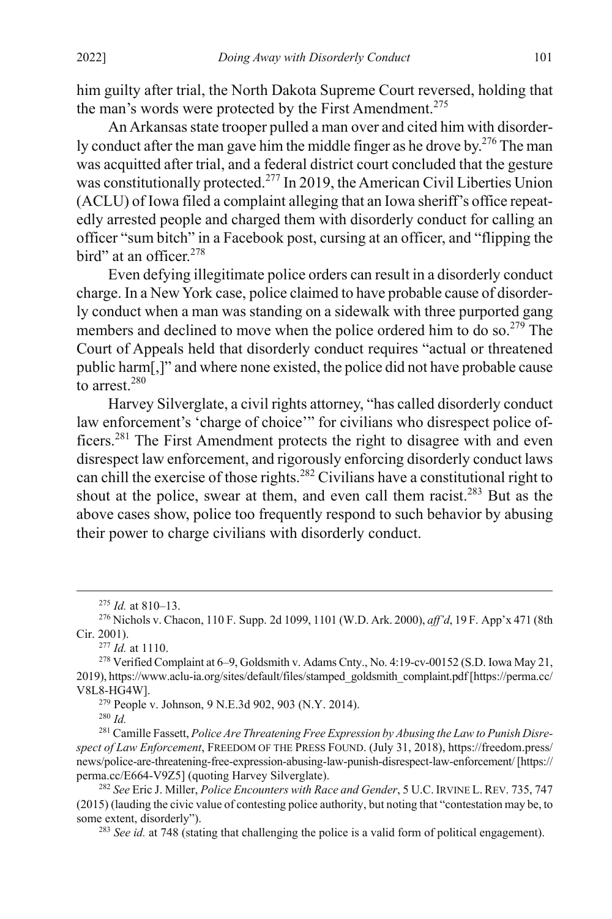him guilty after trial, the North Dakota Supreme Court reversed, holding that the man's words were protected by the First Amendment.<sup>275</sup>

An Arkansas state trooper pulled a man over and cited him with disorderly conduct after the man gave him the middle finger as he drove by.<sup>276</sup> The man was acquitted after trial, and a federal district court concluded that the gesture was constitutionally protected.<sup>277</sup> In 2019, the American Civil Liberties Union (ACLU) of Iowa filed a complaint alleging that an Iowa sheriff's office repeatedly arrested people and charged them with disorderly conduct for calling an officer "sum bitch" in a Facebook post, cursing at an officer, and "flipping the bird" at an officer.<sup>278</sup>

Even defying illegitimate police orders can result in a disorderly conduct charge. In a New York case, police claimed to have probable cause of disorderly conduct when a man was standing on a sidewalk with three purported gang members and declined to move when the police ordered him to do so.<sup>279</sup> The Court of Appeals held that disorderly conduct requires "actual or threatened public harm[,]" and where none existed, the police did not have probable cause to arrest.<sup>280</sup>

Harvey Silverglate, a civil rights attorney, "has called disorderly conduct law enforcement's 'charge of choice'" for civilians who disrespect police officers.<sup>281</sup> The First Amendment protects the right to disagree with and even disrespect law enforcement, and rigorously enforcing disorderly conduct laws can chill the exercise of those rights.<sup>282</sup> Civilians have a constitutional right to shout at the police, swear at them, and even call them racist. $283$  But as the above cases show, police too frequently respond to such behavior by abusing their power to charge civilians with disorderly conduct.

<sup>277</sup> *Id.* at 1110.

<sup>279</sup> People v. Johnson, 9 N.E.3d 902, 903 (N.Y. 2014).

<sup>280</sup> *Id.*

<sup>281</sup> Camille Fassett, *Police Are Threatening Free Expression by Abusing the Law to Punish Disrespect of Law Enforcement*, FREEDOM OF THE PRESS FOUND. (July 31, 2018), https://freedom.press/ news/police-are-threatening-free-expression-abusing-law-punish-disrespect-law-enforcement/ [https:// perma.cc/E664-V9Z5] (quoting Harvey Silverglate).

<sup>283</sup> *See id.* at 748 (stating that challenging the police is a valid form of political engagement).

 <sup>275</sup> *Id.* at 810–13.

<sup>276</sup> Nichols v. Chacon, 110 F. Supp. 2d 1099, 1101 (W.D. Ark. 2000), *aff'd*, 19 F. App'x 471 (8th Cir. 2001).

<sup>278</sup> Verified Complaint at 6–9, Goldsmith v. Adams Cnty., No. 4:19-cv-00152 (S.D. Iowa May 21, 2019), https://www.aclu-ia.org/sites/default/files/stamped\_goldsmith\_complaint.pdf[https://perma.cc/ V8L8-HG4W].

<sup>282</sup> *See* Eric J. Miller, *Police Encounters with Race and Gender*, 5 U.C. IRVINE L. REV. 735, 747 (2015) (lauding the civic value of contesting police authority, but noting that "contestation may be, to some extent, disorderly").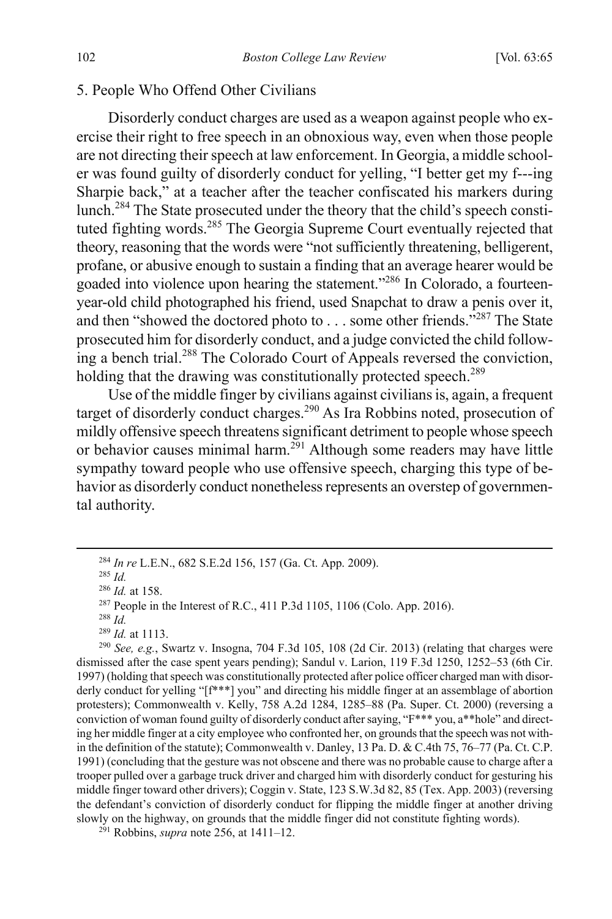#### 5. People Who Offend Other Civilians

Disorderly conduct charges are used as a weapon against people who exercise their right to free speech in an obnoxious way, even when those people are not directing their speech at law enforcement. In Georgia, a middle schooler was found guilty of disorderly conduct for yelling, "I better get my f---ing Sharpie back," at a teacher after the teacher confiscated his markers during lunch.284 The State prosecuted under the theory that the child's speech constituted fighting words.<sup>285</sup> The Georgia Supreme Court eventually rejected that theory, reasoning that the words were "not sufficiently threatening, belligerent, profane, or abusive enough to sustain a finding that an average hearer would be goaded into violence upon hearing the statement."286 In Colorado, a fourteenyear-old child photographed his friend, used Snapchat to draw a penis over it, and then "showed the doctored photo to  $\dots$  some other friends."<sup>287</sup> The State prosecuted him for disorderly conduct, and a judge convicted the child following a bench trial.<sup>288</sup> The Colorado Court of Appeals reversed the conviction, holding that the drawing was constitutionally protected speech.<sup>289</sup>

Use of the middle finger by civilians against civilians is, again, a frequent target of disorderly conduct charges.<sup>290</sup> As Ira Robbins noted, prosecution of mildly offensive speech threatens significant detriment to people whose speech or behavior causes minimal harm.<sup>291</sup> Although some readers may have little sympathy toward people who use offensive speech, charging this type of behavior as disorderly conduct nonetheless represents an overstep of governmental authority.

<sup>290</sup> *See, e.g.*, Swartz v. Insogna, 704 F.3d 105, 108 (2d Cir. 2013) (relating that charges were dismissed after the case spent years pending); Sandul v. Larion, 119 F.3d 1250, 1252–53 (6th Cir. 1997) (holding that speech was constitutionally protected after police officer charged man with disorderly conduct for yelling "[f\*\*\*] you" and directing his middle finger at an assemblage of abortion protesters); Commonwealth v. Kelly, 758 A.2d 1284, 1285–88 (Pa. Super. Ct. 2000) (reversing a conviction of woman found guilty of disorderly conduct after saying, "F\*\*\* you, a\*\*hole" and directing her middle finger at a city employee who confronted her, on grounds that the speech was not within the definition of the statute); Commonwealth v. Danley, 13 Pa. D. & C.4th 75, 76–77 (Pa. Ct. C.P. 1991) (concluding that the gesture was not obscene and there was no probable cause to charge after a trooper pulled over a garbage truck driver and charged him with disorderly conduct for gesturing his middle finger toward other drivers); Coggin v. State, 123 S.W.3d 82, 85 (Tex. App. 2003) (reversing the defendant's conviction of disorderly conduct for flipping the middle finger at another driving slowly on the highway, on grounds that the middle finger did not constitute fighting words).

291 Robbins, *supra* note [256,](#page-35-0) at 1411–12.

 <sup>284</sup> *In re* L.E.N., 682 S.E.2d 156, 157 (Ga. Ct. App. 2009).

<sup>285</sup> *Id.*

<sup>286</sup> *Id.* at 158.

<sup>&</sup>lt;sup>287</sup> People in the Interest of R.C., 411 P.3d 1105, 1106 (Colo. App. 2016).

<sup>288</sup> *Id.*

<sup>289</sup> *Id.* at 1113.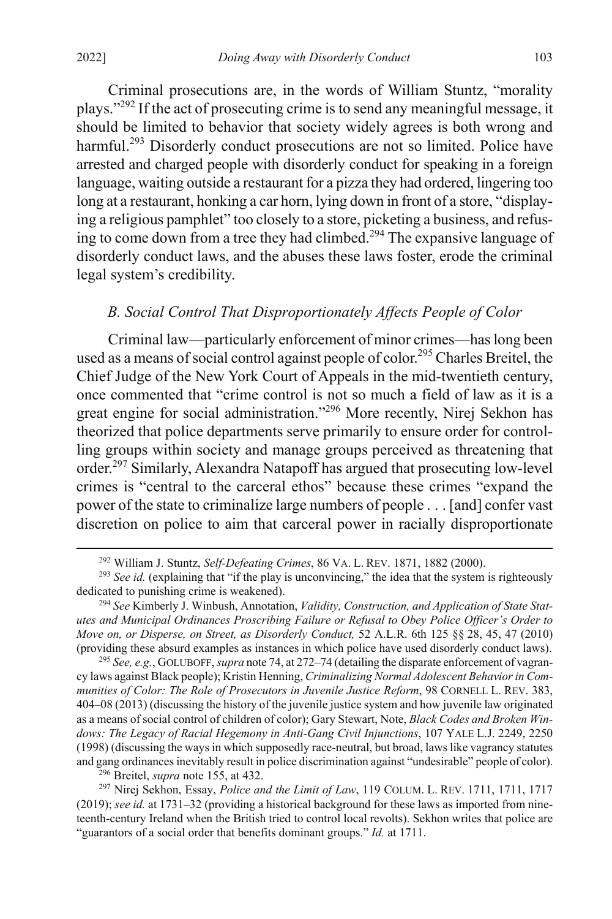<span id="page-39-1"></span>Criminal prosecutions are, in the words of William Stuntz, "morality plays."292 If the act of prosecuting crime is to send any meaningful message, it should be limited to behavior that society widely agrees is both wrong and harmful.<sup>293</sup> Disorderly conduct prosecutions are not so limited. Police have arrested and charged people with disorderly conduct for speaking in a foreign language, waiting outside a restaurant for a pizza they had ordered, lingering too long at a restaurant, honking a car horn, lying down in front of a store, "displaying a religious pamphlet" too closely to a store, picketing a business, and refusing to come down from a tree they had climbed.<sup>294</sup> The expansive language of disorderly conduct laws, and the abuses these laws foster, erode the criminal legal system's credibility.

# *B. Social Control That Disproportionately Affects People of Color*

Criminal law—particularly enforcement of minor crimes—has long been used as a means of social control against people of color.<sup>295</sup> Charles Breitel, the Chief Judge of the New York Court of Appeals in the mid-twentieth century, once commented that "crime control is not so much a field of law as it is a great engine for social administration."<sup>296</sup> More recently, Nirej Sekhon has theorized that police departments serve primarily to ensure order for controlling groups within society and manage groups perceived as threatening that order.<sup>297</sup> Similarly, Alexandra Natapoff has argued that prosecuting low-level crimes is "central to the carceral ethos" because these crimes "expand the power of the state to criminalize large numbers of people . . . [and] confer vast discretion on police to aim that carceral power in racially disproportionate

<sup>295</sup> *See, e.g.*, GOLUBOFF, *supra* not[e 74,](#page-13-0) at 272–74 (detailing the disparate enforcement of vagrancy laws against Black people); Kristin Henning, *Criminalizing Normal Adolescent Behavior in Communities of Color: The Role of Prosecutors in Juvenile Justice Reform*, 98 CORNELL L. REV. 383, 404–08 (2013) (discussing the history of the juvenile justice system and how juvenile law originated as a means of social control of children of color); Gary Stewart, Note, *Black Codes and Broken Windows: The Legacy of Racial Hegemony in Anti-Gang Civil Injunctions*, 107 YALE L.J. 2249, 2250 (1998) (discussing the ways in which supposedly race-neutral, but broad, laws like vagrancy statutes and gang ordinancesinevitably result in police discrimination against "undesirable" people of color).

<sup>296</sup> Breitel, *supra* note [155,](#page-24-0) at 432.

<sup>297</sup> Nirej Sekhon, Essay, *Police and the Limit of Law*, 119 COLUM. L. REV. 1711, 1711, 1717 (2019); *see id.* at 1731–32 (providing a historical background for these laws as imported from nineteenth-century Ireland when the British tried to control local revolts). Sekhon writes that police are "guarantors of a social order that benefits dominant groups." *Id.* at 1711.

<span id="page-39-0"></span> <sup>292</sup> William J. Stuntz, *Self-Defeating Crimes*, 86 VA. L. REV. 1871, 1882 (2000).

<sup>&</sup>lt;sup>293</sup> See id. (explaining that "if the play is unconvincing," the idea that the system is righteously dedicated to punishing crime is weakened).

<sup>294</sup> *See* Kimberly J. Winbush, Annotation, *Validity, Construction, and Application of State Statutes and Municipal Ordinances Proscribing Failure or Refusal to Obey Police Officer's Order to Move on, or Disperse, on Street, as Disorderly Conduct,* 52 A.L.R. 6th 125 §§ 28, 45, 47 (2010) (providing these absurd examples as instances in which police have used disorderly conduct laws).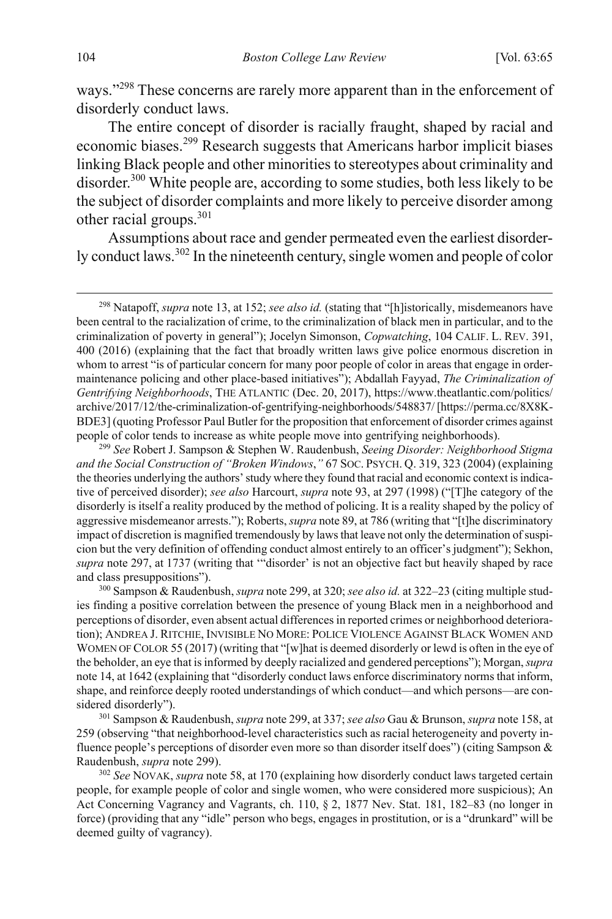ways."<sup>298</sup> These concerns are rarely more apparent than in the enforcement of disorderly conduct laws.

<span id="page-40-0"></span>The entire concept of disorder is racially fraught, shaped by racial and economic biases.<sup>299</sup> Research suggests that Americans harbor implicit biases linking Black people and other minorities to stereotypes about criminality and disorder.300 White people are, according to some studies, both less likely to be the subject of disorder complaints and more likely to perceive disorder among other racial groups.<sup>301</sup>

Assumptions about race and gender permeated even the earliest disorderly conduct laws.<sup>302</sup> In the nineteenth century, single women and people of color

 <sup>298</sup> Natapoff, *supra* not[e 13,](#page-3-1) at 152; *see also id.* (stating that "[h]istorically, misdemeanors have been central to the racialization of crime, to the criminalization of black men in particular, and to the criminalization of poverty in general"); Jocelyn Simonson, *Copwatching*, 104 CALIF. L. REV. 391, 400 (2016) (explaining that the fact that broadly written laws give police enormous discretion in whom to arrest "is of particular concern for many poor people of color in areas that engage in ordermaintenance policing and other place-based initiatives"); Abdallah Fayyad, *The Criminalization of Gentrifying Neighborhoods*, THE ATLANTIC (Dec. 20, 2017), https://www.theatlantic.com/politics/ archive/2017/12/the-criminalization-of-gentrifying-neighborhoods/548837/ [https://perma.cc/8X8K-BDE3] (quoting Professor Paul Butler for the proposition that enforcement of disorder crimes against people of color tends to increase as white people move into gentrifying neighborhoods). 299 *See* Robert J. Sampson & Stephen W. Raudenbush, *Seeing Disorder: Neighborhood Stigma* 

*and the Social Construction of "Broken Windows*,*"* 67 SOC. PSYCH. Q. 319, 323 (2004) (explaining the theories underlying the authors' study where they found that racial and economic context is indicative of perceived disorder); *see also* Harcourt, *supra* not[e 93,](#page-16-0) at 297 (1998) ("[T]he category of the disorderly is itself a reality produced by the method of policing. It is a reality shaped by the policy of aggressive misdemeanor arrests."); Roberts, *supra* not[e 89,](#page-15-2) at 786 (writing that "[t]he discriminatory impact of discretion is magnified tremendously by laws that leave not only the determination of suspicion but the very definition of offending conduct almost entirely to an officer's judgment"); Sekhon, *supra* not[e 297,](#page-39-0) at 1737 (writing that '"disorder' is not an objective fact but heavily shaped by race and class presuppositions").

<sup>300</sup> Sampson & Raudenbush, *supra* not[e 299,](#page-40-0) at 320; *see also id.* at 322–23 (citing multiple studies finding a positive correlation between the presence of young Black men in a neighborhood and perceptions of disorder, even absent actual differences in reported crimes or neighborhood deterioration); ANDREA J. RITCHIE, INVISIBLE NO MORE: POLICE VIOLENCE AGAINST BLACK WOMEN AND WOMEN OF COLOR 55 (2017) (writing that "[w]hat is deemed disorderly or lewd is often in the eye of the beholder, an eye that is informed by deeply racialized and gendered perceptions"); Morgan, *supra* not[e 14,](#page-4-1) at 1642 (explaining that "disorderly conduct laws enforce discriminatory norms that inform, shape, and reinforce deeply rooted understandings of which conduct—and which persons—are considered disorderly").

<sup>301</sup> Sampson & Raudenbush, *supra* not[e 299,](#page-40-0) at 337; *see also* Gau & Brunson, *supra* not[e 158,](#page-25-1) at 259 (observing "that neighborhood-level characteristics such as racial heterogeneity and poverty influence people's perceptions of disorder even more so than disorder itself does") (citing Sampson & Raudenbush, *supra* not[e 299\)](#page-40-0).

<sup>302</sup> *See* NOVAK, *supra* not[e 58,](#page-11-0) at 170 (explaining how disorderly conduct laws targeted certain people, for example people of color and single women, who were considered more suspicious); An Act Concerning Vagrancy and Vagrants, ch. 110, § 2, 1877 Nev. Stat. 181, 182–83 (no longer in force) (providing that any "idle" person who begs, engages in prostitution, or is a "drunkard" will be deemed guilty of vagrancy).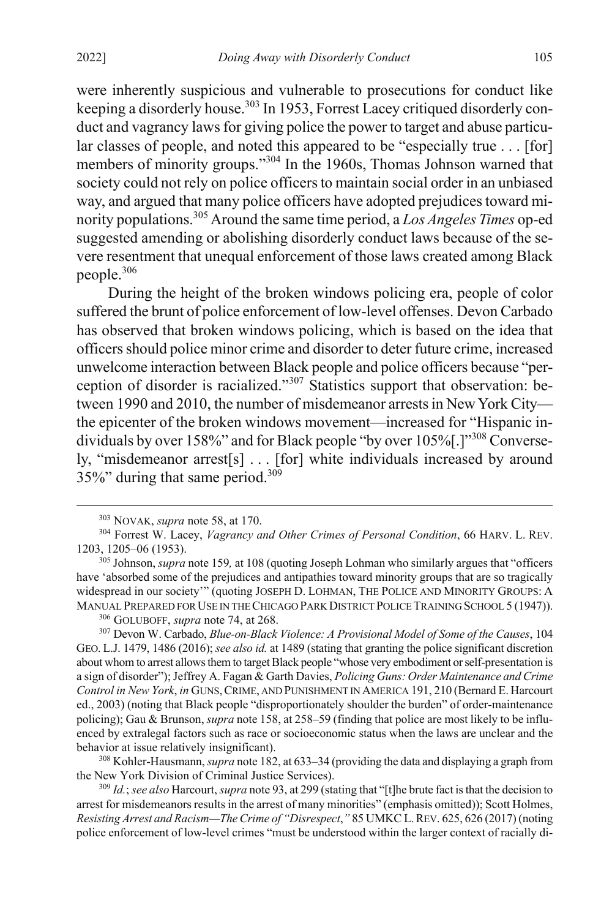were inherently suspicious and vulnerable to prosecutions for conduct like keeping a disorderly house.<sup>303</sup> In 1953, Forrest Lacey critiqued disorderly conduct and vagrancy laws for giving police the power to target and abuse particular classes of people, and noted this appeared to be "especially true . . . [for] members of minority groups."<sup>304</sup> In the 1960s, Thomas Johnson warned that society could not rely on police officers to maintain social order in an unbiased way, and argued that many police officers have adopted prejudices toward minority populations.305 Around the same time period, a *Los Angeles Times* op-ed suggested amending or abolishing disorderly conduct laws because of the severe resentment that unequal enforcement of those laws created among Black people.306

<span id="page-41-0"></span>During the height of the broken windows policing era, people of color suffered the brunt of police enforcement of low-level offenses. Devon Carbado has observed that broken windows policing, which is based on the idea that officers should police minor crime and disorder to deter future crime, increased unwelcome interaction between Black people and police officers because "perception of disorder is racialized."<sup>307</sup> Statistics support that observation: between 1990 and 2010, the number of misdemeanor arrests in New York City the epicenter of the broken windows movement—increased for "Hispanic individuals by over 158%" and for Black people "by over 105%[.]"<sup>308</sup> Conversely, "misdemeanor arrest[s] . . . [for] white individuals increased by around 35%" during that same period.309

308 Kohler-Hausmann, *supra* not[e 182,](#page-28-1) at 633–34 (providing the data and displaying a graph from the New York Division of Criminal Justice Services).

<sup>309</sup> *Id.*; *see also* Harcourt, *supra* not[e 93,](#page-16-0) at 299 (stating that "[t]he brute fact is that the decision to arrest for misdemeanors results in the arrest of many minorities" (emphasis omitted)); Scott Holmes, *Resisting Arrest and Racism—The Crime of "Disrespect*,*"* 85 UMKC L.REV. 625, 626 (2017) (noting police enforcement of low-level crimes "must be understood within the larger context of racially di-

<span id="page-41-1"></span> <sup>303</sup> NOVAK, *supra* not[e 58,](#page-11-0) at 170.

<sup>304</sup> Forrest W. Lacey, *Vagrancy and Other Crimes of Personal Condition*, 66 HARV. L. REV. 1203, 1205–06 (1953).

<sup>305</sup> Johnson, *supra* not[e 159](#page-25-0)*,* at 108 (quoting Joseph Lohman who similarly argues that "officers have 'absorbed some of the prejudices and antipathies toward minority groups that are so tragically widespread in our society'" (quoting JOSEPH D. LOHMAN, THE POLICE AND MINORITY GROUPS: A MANUAL PREPARED FOR USE IN THE CHICAGO PARK DISTRICT POLICE TRAINING SCHOOL 5 (1947)).

<sup>306</sup> GOLUBOFF, *supra* note [74,](#page-13-0) at 268.

<sup>307</sup> Devon W. Carbado, *Blue-on-Black Violence: A Provisional Model of Some of the Causes*, 104 GEO. L.J. 1479, 1486 (2016); *see also id.* at 1489 (stating that granting the police significant discretion about whom to arrest allows them to target Black people "whose very embodiment or self-presentation is a sign of disorder"); Jeffrey A. Fagan & Garth Davies, *Policing Guns: Order Maintenance and Crime Control in New York*, *in* GUNS,CRIME, AND PUNISHMENT IN AMERICA 191, 210 (Bernard E. Harcourt ed., 2003) (noting that Black people "disproportionately shoulder the burden" of order-maintenance policing); Gau & Brunson, *supra* not[e 158,](#page-25-1) at 258–59 (finding that police are most likely to be influenced by extralegal factors such as race or socioeconomic status when the laws are unclear and the behavior at issue relatively insignificant).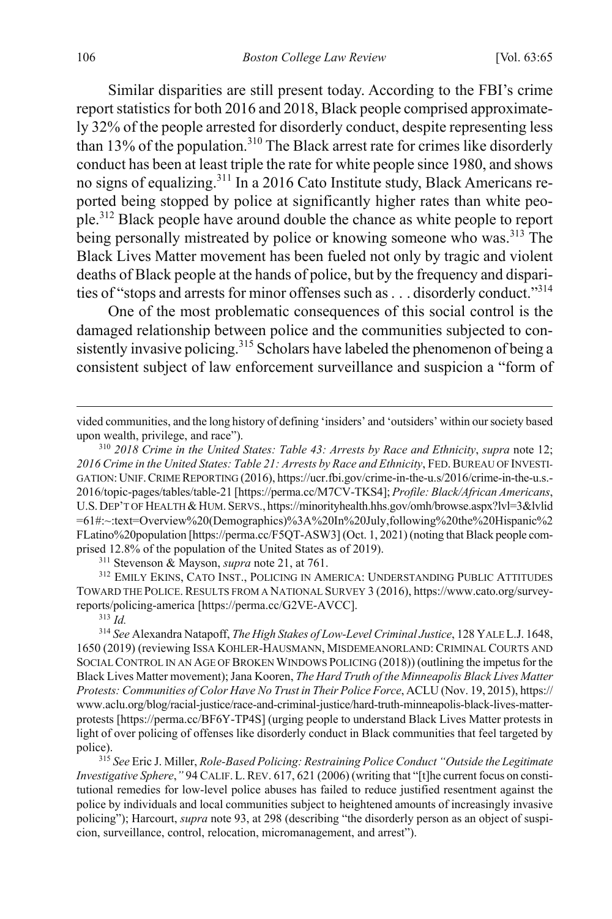Similar disparities are still present today. According to the FBI's crime report statistics for both 2016 and 2018, Black people comprised approximately 32% of the people arrested for disorderly conduct, despite representing less than 13% of the population.<sup>310</sup> The Black arrest rate for crimes like disorderly conduct has been at least triple the rate for white people since 1980, and shows no signs of equalizing.311 In a 2016 Cato Institute study, Black Americans reported being stopped by police at significantly higher rates than white people.<sup>312</sup> Black people have around double the chance as white people to report being personally mistreated by police or knowing someone who was.<sup>313</sup> The Black Lives Matter movement has been fueled not only by tragic and violent deaths of Black people at the hands of police, but by the frequency and disparities of "stops and arrests for minor offenses such as . . . disorderly conduct."314

<span id="page-42-1"></span><span id="page-42-0"></span>One of the most problematic consequences of this social control is the damaged relationship between police and the communities subjected to consistently invasive policing.<sup>315</sup> Scholars have labeled the phenomenon of being a consistent subject of law enforcement surveillance and suspicion a "form of

<sup>311</sup> Stevenson & Mayson, *supra* note [21,](#page-4-0) at 761.

312 EMILY EKINS, CATO INST., POLICING IN AMERICA: UNDERSTANDING PUBLIC ATTITUDES TOWARD THE POLICE.RESULTS FROM A NATIONAL SURVEY 3 (2016), https://www.cato.org/surveyreports/policing-america [https://perma.cc/G2VE-AVCC].

<sup>313</sup> *Id.*

 $\overline{a}$ 

*Investigative Sphere*,*"* 94 CALIF.L.REV. 617, 621 (2006) (writing that "[t]he current focus on constitutional remedies for low-level police abuses has failed to reduce justified resentment against the police by individuals and local communities subject to heightened amounts of increasingly invasive policing"); Harcourt, *supra* not[e 93,](#page-16-0) at 298 (describing "the disorderly person as an object of suspicion, surveillance, control, relocation, micromanagement, and arrest").

vided communities, and the long history of defining 'insiders' and 'outsiders' within our society based upon wealth, privilege, and race").

<sup>310</sup> *2018 Crime in the United States: Table 43: Arrests by Race and Ethnicity*, *supra* note [12;](#page-3-0) *2016 Crime in the United States: Table 21: Arrests by Race and Ethnicity*, FED.BUREAU OF INVESTI-GATION:UNIF.CRIME REPORTING (2016), https://ucr.fbi.gov/crime-in-the-u.s/2016/crime-in-the-u.s.- 2016/topic-pages/tables/table-21 [https://perma.cc/M7CV-TKS4]; *Profile: Black/African Americans*, U.S. DEP'T OF HEALTH & HUM. SERVS., https://minorityhealth.hhs.gov/omh/browse.aspx?lvl=3&lvlid =61#:~:text=Overview%20(Demographics)%3A%20In%20July,following%20the%20Hispanic%2 FLatino%20population [https://perma.cc/F5QT-ASW3] (Oct. 1, 2021) (noting that Black people comprised 12.8% of the population of the United States as of 2019).

<sup>314</sup> *See* Alexandra Natapoff, *The High Stakes of Low-Level Criminal Justice*, 128 YALE L.J. 1648, 1650 (2019) (reviewing ISSA KOHLER-HAUSMANN, MISDEMEANORLAND: CRIMINAL COURTS AND SOCIAL CONTROL IN AN AGE OF BROKEN WINDOWS POLICING (2018)) (outlining the impetus for the Black Lives Matter movement); Jana Kooren, *The Hard Truth of the Minneapolis Black Lives Matter Protests: Communities of Color Have No Trust in Their Police Force*, ACLU (Nov. 19, 2015), https:// www.aclu.org/blog/racial-justice/race-and-criminal-justice/hard-truth-minneapolis-black-lives-matterprotests [https://perma.cc/BF6Y-TP4S] (urging people to understand Black Lives Matter protests in light of over policing of offenses like disorderly conduct in Black communities that feel targeted by police). 315 *See* Eric J. Miller, *Role-Based Policing: Restraining Police Conduct "Outside the Legitimate*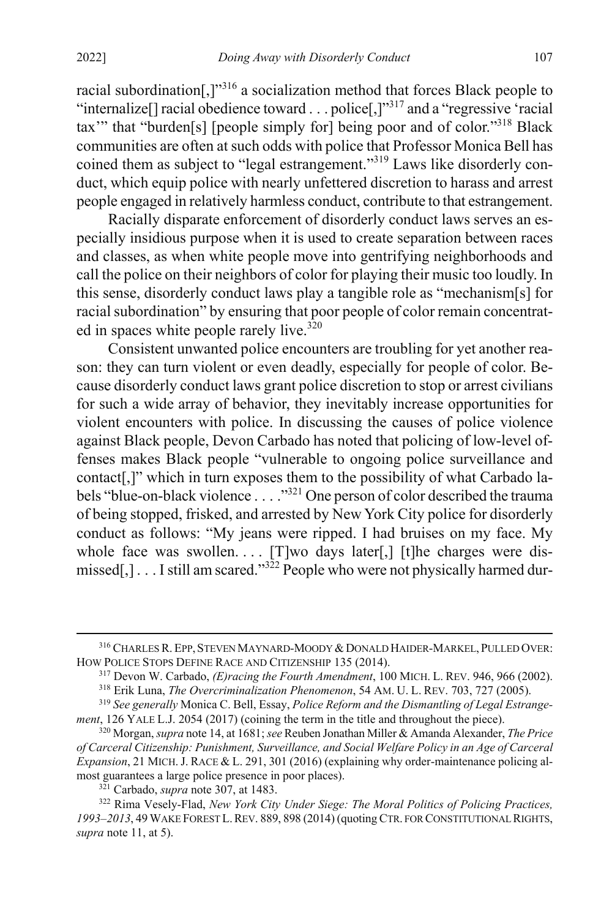<span id="page-43-3"></span>racial subordination[,]"<sup>316</sup> a socialization method that forces Black people to "internalize[] racial obedience toward . . . police[,]"<sup>317</sup> and a "regressive 'racial tax'" that "burden[s] [people simply for] being poor and of color."318 Black communities are often at such odds with police that Professor Monica Bell has coined them as subject to "legal estrangement."<sup>319</sup> Laws like disorderly conduct, which equip police with nearly unfettered discretion to harass and arrest people engaged in relatively harmless conduct, contribute to that estrangement.

<span id="page-43-2"></span>Racially disparate enforcement of disorderly conduct laws serves an especially insidious purpose when it is used to create separation between races and classes, as when white people move into gentrifying neighborhoods and call the police on their neighbors of color for playing their music too loudly. In this sense, disorderly conduct laws play a tangible role as "mechanism[s] for racial subordination" by ensuring that poor people of color remain concentrated in spaces white people rarely live. $320$ 

<span id="page-43-1"></span>Consistent unwanted police encounters are troubling for yet another reason: they can turn violent or even deadly, especially for people of color. Because disorderly conduct laws grant police discretion to stop or arrest civilians for such a wide array of behavior, they inevitably increase opportunities for violent encounters with police. In discussing the causes of police violence against Black people, Devon Carbado has noted that policing of low-level offenses makes Black people "vulnerable to ongoing police surveillance and contact[,]" which in turn exposes them to the possibility of what Carbado labels "blue-on-black violence . . . ."321 One person of color described the trauma of being stopped, frisked, and arrested by New York City police for disorderly conduct as follows: "My jeans were ripped. I had bruises on my face. My whole face was swollen.... [T]wo days later[,] [t]he charges were dismissed[,]  $\dots$  I still am scared."<sup>322</sup> People who were not physically harmed dur-

<sup>316</sup> CHARLES R. EPP, STEVEN MAYNARD-MOODY & DONALD HAIDER-MARKEL, PULLED OVER: HOW POLICE STOPS DEFINE RACE AND CITIZENSHIP 135 (2014).

<span id="page-43-0"></span><sup>317</sup> Devon W. Carbado, *(E)racing the Fourth Amendment*, 100 MICH. L. REV. 946, 966 (2002).

<sup>318</sup> Erik Luna, *The Overcriminalization Phenomenon*, 54 AM. U. L. REV. 703, 727 (2005).

<sup>319</sup> *See generally* Monica C. Bell, Essay, *Police Reform and the Dismantling of Legal Estrangement*, 126 YALE L.J. 2054 (2017) (coining the term in the title and throughout the piece).

<sup>320</sup> Morgan, *supra* not[e 14,](#page-4-1) at 1681; *see* Reuben Jonathan Miller & Amanda Alexander, *The Price of Carceral Citizenship: Punishment, Surveillance, and Social Welfare Policy in an Age of Carceral Expansion*, 21 MICH.J. RACE & L. 291, 301 (2016) (explaining why order-maintenance policing almost guarantees a large police presence in poor places).

<sup>321</sup> Carbado, *supra* not[e 307,](#page-41-0) at 1483.

<sup>322</sup> Rima Vesely-Flad, *New York City Under Siege: The Moral Politics of Policing Practices, 1993–2013*, 49 WAKE FOREST L.REV. 889, 898 (2014) (quoting CTR. FOR CONSTITUTIONAL RIGHTS, *supra* not[e 11,](#page-3-3) at 5).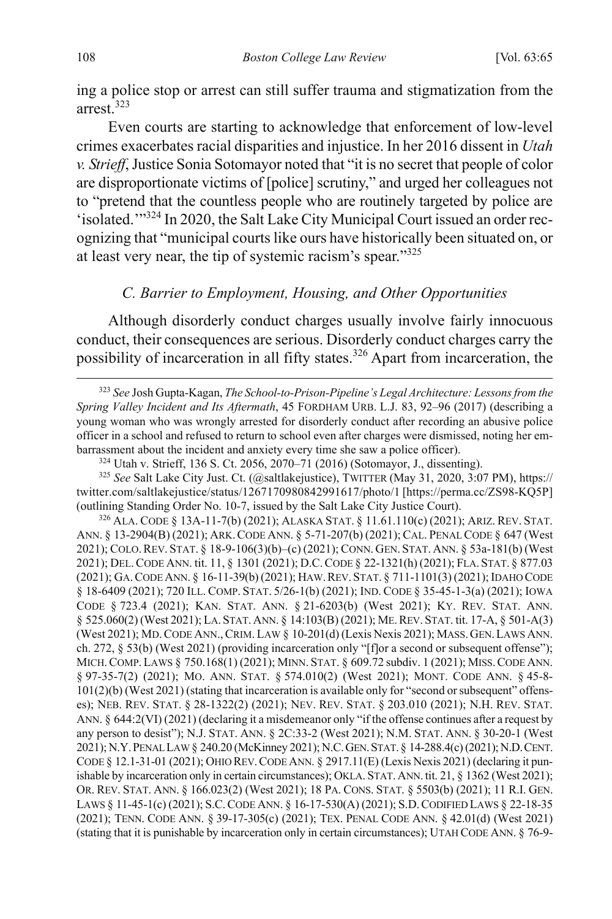ing a police stop or arrest can still suffer trauma and stigmatization from the arrest.<sup>323</sup>

Even courts are starting to acknowledge that enforcement of low-level crimes exacerbates racial disparities and injustice. In her 2016 dissent in *Utah v. Strieff*, Justice Sonia Sotomayor noted that "it is no secret that people of color are disproportionate victims of [police] scrutiny," and urged her colleagues not to "pretend that the countless people who are routinely targeted by police are 'isolated.'"<sup>324</sup> In 2020, the Salt Lake City Municipal Court issued an order recognizing that "municipal courts like ours have historically been situated on, or at least very near, the tip of systemic racism's spear."<sup>325</sup>

## *C. Barrier to Employment, Housing, and Other Opportunities*

Although disorderly conduct charges usually involve fairly innocuous conduct, their consequences are serious. Disorderly conduct charges carry the possibility of incarceration in all fifty states.<sup>326</sup> Apart from incarceration, the

<sup>325</sup> *See* Salt Lake City Just. Ct. (@saltlakejustice), TWITTER (May 31, 2020, 3:07 PM), https:// twitter.com/saltlakejustice/status/1267170980842991617/photo/1 [https://perma.cc/ZS98-KQ5P] (outlining Standing Order No. 10-7, issued by the Salt Lake City Justice Court).

326 ALA. CODE § 13A-11-7(b) (2021); ALASKA STAT. § 11.61.110(c) (2021); ARIZ. REV. STAT. ANN. § 13-2904(B) (2021); ARK.CODE ANN. § 5-71-207(b) (2021); CAL. PENAL CODE § 647 (West 2021); COLO.REV. STAT. § 18-9-106(3)(b)–(c) (2021); CONN. GEN. STAT. ANN. § 53a-181(b) (West 2021); DEL.CODE ANN. tit. 11, § 1301 (2021); D.C.CODE § 22-1321(h) (2021); FLA. STAT. § 877.03 (2021); GA.CODE ANN. § 16-11-39(b) (2021); HAW.REV. STAT. § 711-1101(3) (2021); IDAHO CODE § 18-6409 (2021); 720 ILL. COMP. STAT. 5/26-1(b) (2021); IND. CODE § 35-45-1-3(a) (2021); IOWA CODE § 723.4 (2021); KAN. STAT. ANN. § 21-6203(b) (West 2021); KY. REV. STAT. ANN. § 525.060(2) (West 2021); LA.STAT.ANN. § 14:103(B) (2021); ME.REV. STAT. tit. 17-A, § 501-A(3) (West 2021); MD.CODE ANN.,CRIM. LAW § 10-201(d) (Lexis Nexis 2021); MASS.GEN.LAWS ANN. ch. 272, § 53(b) (West 2021) (providing incarceration only "[f]or a second or subsequent offense"); MICH.COMP.LAWS § 750.168(1) (2021); MINN. STAT. § 609.72 subdiv. 1 (2021); MISS.CODE ANN. § 97-35-7(2) (2021); MO. ANN. STAT. § 574.010(2) (West 2021); MONT. CODE ANN. § 45-8- 101(2)(b) (West 2021) (stating that incarceration is available only for "second or subsequent" offenses); NEB. REV. STAT. § 28-1322(2) (2021); NEV. REV. STAT. § 203.010 (2021); N.H. REV. STAT. ANN. § 644:2(VI) (2021) (declaring it a misdemeanor only "if the offense continues after a request by any person to desist"); N.J. STAT. ANN. § 2C:33-2 (West 2021); N.M. STAT. ANN. § 30-20-1 (West 2021); N.Y.PENAL LAW § 240.20 (McKinney 2021); N.C.GEN.STAT.§ 14-288.4(c) (2021); N.D.CENT. CODE § 12.1-31-01 (2021); OHIO REV.CODE ANN. § 2917.11(E) (Lexis Nexis 2021) (declaring it punishable by incarceration only in certain circumstances); OKLA. STAT. ANN. tit. 21, § 1362 (West 2021); OR. REV. STAT. ANN. § 166.023(2) (West 2021); 18 PA. CONS. STAT. § 5503(b) (2021); 11 R.I. GEN. LAWS § 11-45-1(c) (2021); S.C.CODE ANN. § 16-17-530(A) (2021); S.D.CODIFIED LAWS § 22-18-35 (2021); TENN. CODE ANN. § 39-17-305(c) (2021); TEX. PENAL CODE ANN. § 42.01(d) (West 2021) (stating that it is punishable by incarceration only in certain circumstances); UTAH CODE ANN. § 76-9-

 <sup>323</sup> *See* Josh Gupta-Kagan, *The School-to-Prison-Pipeline's Legal Architecture: Lessons from the Spring Valley Incident and Its Aftermath*, 45 FORDHAM URB. L.J. 83, 92–96 (2017) (describing a young woman who was wrongly arrested for disorderly conduct after recording an abusive police officer in a school and refused to return to school even after charges were dismissed, noting her embarrassment about the incident and anxiety every time she saw a police officer). 324 Utah v. Strieff, 136 S. Ct. 2056, 2070–71 (2016) (Sotomayor, J., dissenting).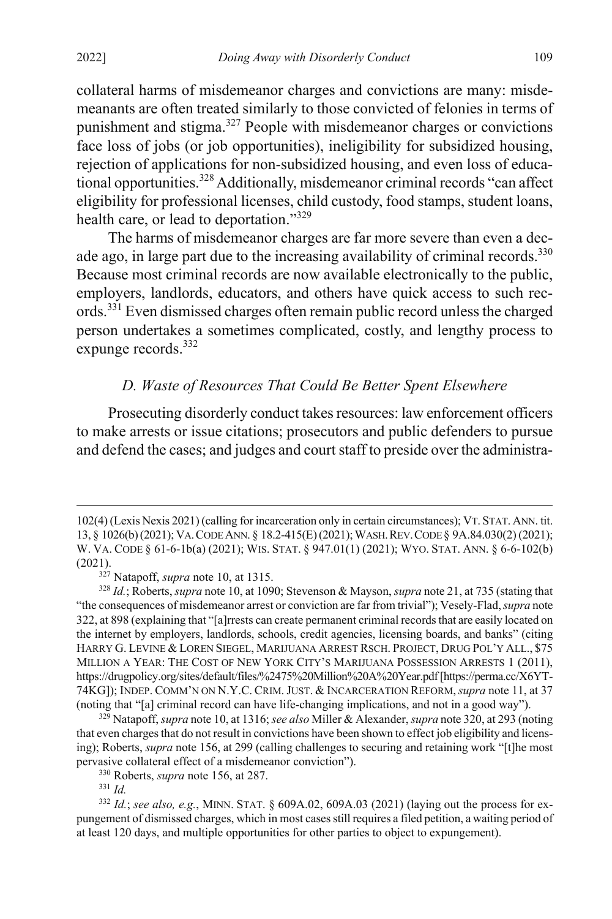collateral harms of misdemeanor charges and convictions are many: misdemeanants are often treated similarly to those convicted of felonies in terms of punishment and stigma.<sup>327</sup> People with misdemeanor charges or convictions face loss of jobs (or job opportunities), ineligibility for subsidized housing, rejection of applications for non-subsidized housing, and even loss of educational opportunities.328 Additionally, misdemeanor criminal records "can affect eligibility for professional licenses, child custody, food stamps, student loans, health care, or lead to deportation."329

The harms of misdemeanor charges are far more severe than even a decade ago, in large part due to the increasing availability of criminal records.<sup>330</sup> Because most criminal records are now available electronically to the public, employers, landlords, educators, and others have quick access to such records.<sup>331</sup> Even dismissed charges often remain public record unless the charged person undertakes a sometimes complicated, costly, and lengthy process to  $\epsilon$  expunge records.<sup>332</sup>

## *D. Waste of Resources That Could Be Better Spent Elsewhere*

Prosecuting disorderly conduct takes resources: law enforcement officers to make arrests or issue citations; prosecutors and public defenders to pursue and defend the cases; and judges and court staff to preside over the administra-

 $\overline{a}$ 

<sup>102(4) (</sup>Lexis Nexis 2021) (calling for incarceration only in certain circumstances); VT. STAT.ANN. tit. 13, § 1026(b) (2021); VA.CODE ANN. § 18.2-415(E) (2021); WASH.REV.CODE § 9A.84.030(2) (2021); W. VA. CODE § 61-6-1b(a) (2021); WIS. STAT. § 947.01(1) (2021); WYO. STAT. ANN. § 6-6-102(b) (2021). 327 Natapoff, *supra* note [10,](#page-3-2) at 1315.

<sup>328</sup> *Id.*; Roberts, *supra* not[e 10,](#page-3-2) at 1090; Stevenson & Mayson, *supra* not[e 21,](#page-4-0) at 735 (stating that "the consequences of misdemeanor arrest or conviction are far from trivial"); Vesely-Flad, *supra* note [322,](#page-43-0) at 898 (explaining that "[a]rrests can create permanent criminal records that are easily located on the internet by employers, landlords, schools, credit agencies, licensing boards, and banks" (citing HARRY G. LEVINE & LOREN SIEGEL, MARIJUANA ARREST RSCH. PROJECT, DRUG POL'Y ALL., \$75 MILLION A YEAR: THE COST OF NEW YORK CITY'S MARIJUANA POSSESSION ARRESTS 1 (2011), https://drugpolicy.org/sites/default/files/%2475%20Million%20A%20Year.pdf [https://perma.cc/X6YT-74KG]); INDEP. COMM'N ON N.Y.C. CRIM.JUST. & INCARCERATION REFORM,*supra* not[e 11,](#page-3-3) at 37 (noting that "[a] criminal record can have life-changing implications, and not in a good way").

<sup>329</sup> Natapoff, *supra* not[e 10,](#page-3-2) at 1316; *see also* Miller & Alexander, *supra* not[e 320,](#page-43-1) at 293 (noting that even charges that do not result in convictions have been shown to effect job eligibility and licensing); Roberts, *supra* not[e 156,](#page-24-1) at 299 (calling challenges to securing and retaining work "[t]he most pervasive collateral effect of a misdemeanor conviction").

<sup>330</sup> Roberts, *supra* not[e 156,](#page-24-1) at 287.

<sup>331</sup> *Id.*

<sup>332</sup> *Id.*; *see also, e.g.*, MINN. STAT. § 609A.02, 609A.03 (2021) (laying out the process for expungement of dismissed charges, which in most cases still requires a filed petition, a waiting period of at least 120 days, and multiple opportunities for other parties to object to expungement).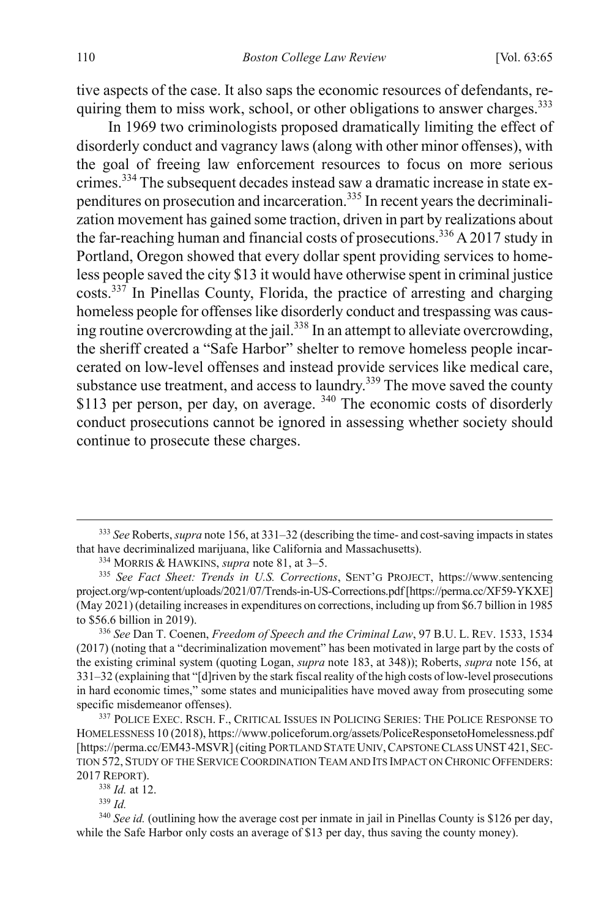tive aspects of the case. It also saps the economic resources of defendants, requiring them to miss work, school, or other obligations to answer charges.<sup>333</sup>

<span id="page-46-0"></span>In 1969 two criminologists proposed dramatically limiting the effect of disorderly conduct and vagrancy laws (along with other minor offenses), with the goal of freeing law enforcement resources to focus on more serious crimes.<sup>334</sup> The subsequent decades instead saw a dramatic increase in state expenditures on prosecution and incarceration.335 In recent years the decriminalization movement has gained some traction, driven in part by realizations about the far-reaching human and financial costs of prosecutions.<sup>336</sup> A 2017 study in Portland, Oregon showed that every dollar spent providing services to homeless people saved the city \$13 it would have otherwise spent in criminal justice costs.<sup>337</sup> In Pinellas County, Florida, the practice of arresting and charging homeless people for offenses like disorderly conduct and trespassing was causing routine overcrowding at the jail.<sup>338</sup> In an attempt to alleviate overcrowding, the sheriff created a "Safe Harbor" shelter to remove homeless people incarcerated on low-level offenses and instead provide services like medical care, substance use treatment, and access to laundry.<sup>339</sup> The move saved the county \$113 per person, per day, on average. <sup>340</sup> The economic costs of disorderly conduct prosecutions cannot be ignored in assessing whether society should continue to prosecute these charges.

<sup>338</sup> *Id.* at 12.

 <sup>333</sup> *See* Roberts, *supra* not[e 156,](#page-24-1) at 331–32 (describing the time- and cost-saving impacts in states that have decriminalized marijuana, like California and Massachusetts).

<sup>334</sup> MORRIS & HAWKINS, *supra* not[e 81,](#page-14-1) at 3–5.

<sup>335</sup> *See Fact Sheet: Trends in U.S. Corrections*, SENT'G PROJECT, https://www.sentencing project.org/wp-content/uploads/2021/07/Trends-in-US-Corrections.pdf [https://perma.cc/XF59-YKXE] (May 2021) (detailing increases in expenditures on corrections, including up from \$6.7 billion in 1985 to \$56.6 billion in 2019).

<sup>336</sup> *See* Dan T. Coenen, *Freedom of Speech and the Criminal Law*, 97 B.U. L. REV. 1533, 1534 (2017) (noting that a "decriminalization movement" has been motivated in large part by the costs of the existing criminal system (quoting Logan, *supra* not[e 183,](#page-28-2) at 348)); Roberts, *supra* note [156,](#page-24-1) at 331–32 (explaining that "[d]riven by the stark fiscal reality of the high costs of low-level prosecutions in hard economic times," some states and municipalities have moved away from prosecuting some specific misdemeanor offenses).<br><sup>337</sup> POLICE EXEC. RSCH. F., CRITICAL ISSUES IN POLICING SERIES: THE POLICE RESPONSE TO

HOMELESSNESS 10 (2018), https://www.policeforum.org/assets/PoliceResponsetoHomelessness.pdf [https://perma.cc/EM43-MSVR] (citing PORTLAND STATE UNIV, CAPSTONE CLASS UNST 421, SEC-TION 572, STUDY OF THE SERVICE COORDINATION TEAM AND ITS IMPACT ON CHRONIC OFFENDERS: 2017 REPORT).

<sup>339</sup> *Id.*

<sup>&</sup>lt;sup>340</sup> See id. (outlining how the average cost per inmate in jail in Pinellas County is \$126 per day, while the Safe Harbor only costs an average of \$13 per day, thus saving the county money).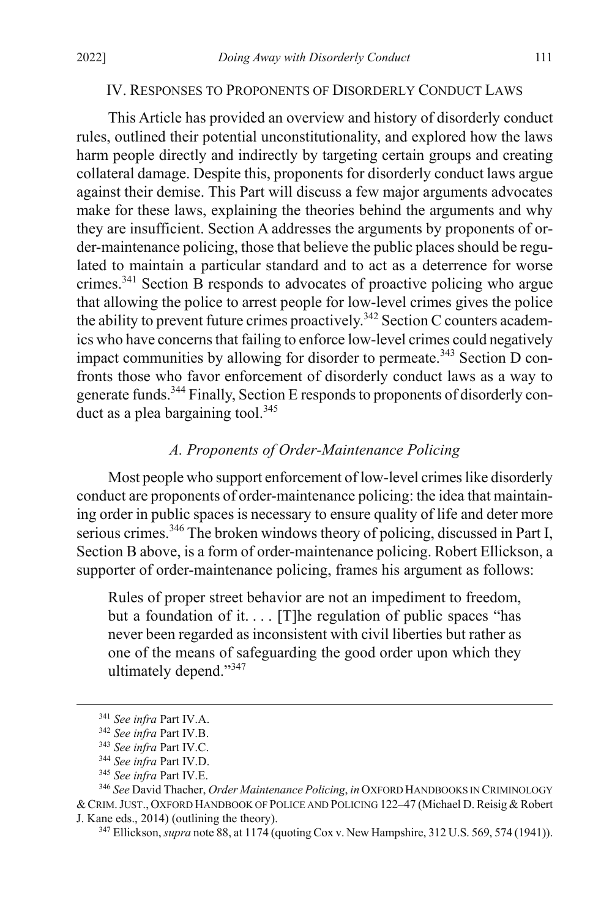#### IV. RESPONSES TO PROPONENTS OF DISORDERLY CONDUCT LAWS

This Article has provided an overview and history of disorderly conduct rules, outlined their potential unconstitutionality, and explored how the laws harm people directly and indirectly by targeting certain groups and creating collateral damage. Despite this, proponents for disorderly conduct laws argue against their demise. This Part will discuss a few major arguments advocates make for these laws, explaining the theories behind the arguments and why they are insufficient. Section A addresses the arguments by proponents of order-maintenance policing, those that believe the public places should be regulated to maintain a particular standard and to act as a deterrence for worse crimes.<sup>341</sup> Section  $\overrightarrow{B}$  responds to advocates of proactive policing who argue that allowing the police to arrest people for low-level crimes gives the police the ability to prevent future crimes proactively.<sup>342</sup> Section C counters academics who have concerns that failing to enforce low-level crimes could negatively impact communities by allowing for disorder to permeate.<sup>343</sup> Section D confronts those who favor enforcement of disorderly conduct laws as a way to generate funds.<sup>344</sup> Finally, Section E responds to proponents of disorderly conduct as a plea bargaining tool.<sup>345</sup>

## *A. Proponents of Order-Maintenance Policing*

Most people who support enforcement of low-level crimes like disorderly conduct are proponents of order-maintenance policing: the idea that maintaining order in public spaces is necessary to ensure quality of life and deter more serious crimes.<sup>346</sup> The broken windows theory of policing, discussed in Part I, Section B above, is a form of order-maintenance policing. Robert Ellickson, a supporter of order-maintenance policing, frames his argument as follows:

Rules of proper street behavior are not an impediment to freedom, but a foundation of it.... [T]he regulation of public spaces "has never been regarded as inconsistent with civil liberties but rather as one of the means of safeguarding the good order upon which they ultimately depend."347

 <sup>341</sup> *See infra* Part IV.A.

<sup>342</sup> *See infra* Part IV.B.

<sup>343</sup> *See infra* Part IV.C.

<sup>344</sup> *See infra* Part IV.D.

<sup>345</sup> *See infra* Part IV.E.

<sup>346</sup> *See* David Thacher, *Order Maintenance Policing*, *in* OXFORD HANDBOOKS IN CRIMINOLOGY &CRIM.JUST., OXFORD HANDBOOK OF POLICE AND POLICING 122–47 (Michael D. Reisig & Robert J. Kane eds., 2014) (outlining the theory).

<sup>347</sup> Ellickson, *supra* not[e 88,](#page-15-0) at 1174 (quoting Cox v. New Hampshire, 312 U.S. 569, 574 (1941)).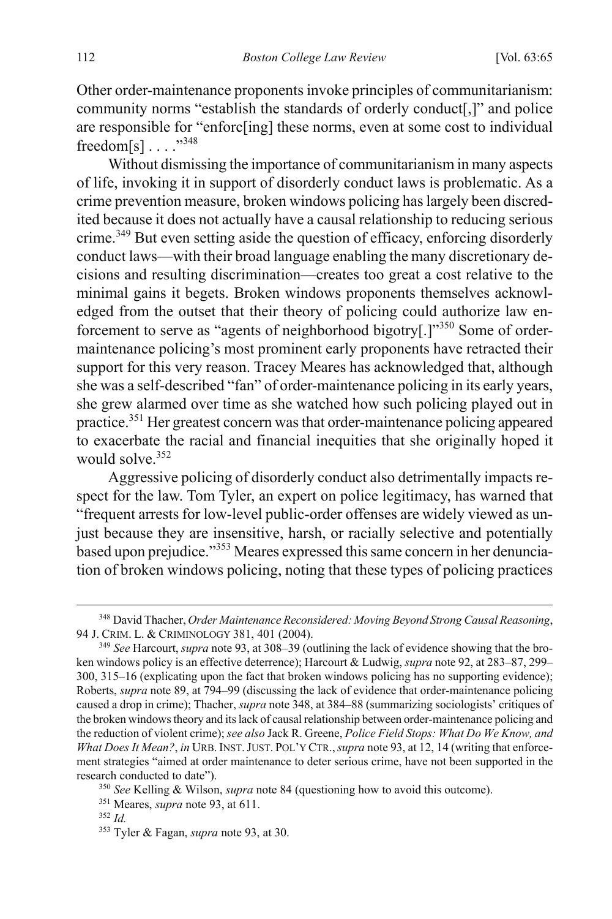Other order-maintenance proponents invoke principles of communitarianism: community norms "establish the standards of orderly conduct[,]" and police are responsible for "enforc[ing] these norms, even at some cost to individual freedom[s] . . . ."<sup>348</sup>

<span id="page-48-0"></span>Without dismissing the importance of communitarianism in many aspects of life, invoking it in support of disorderly conduct laws is problematic. As a crime prevention measure, broken windows policing has largely been discredited because it does not actually have a causal relationship to reducing serious crime.<sup>349</sup> But even setting aside the question of efficacy, enforcing disorderly conduct laws—with their broad language enabling the many discretionary decisions and resulting discrimination—creates too great a cost relative to the minimal gains it begets. Broken windows proponents themselves acknowledged from the outset that their theory of policing could authorize law enforcement to serve as "agents of neighborhood bigotry[.]"<sup>350</sup> Some of ordermaintenance policing's most prominent early proponents have retracted their support for this very reason. Tracey Meares has acknowledged that, although she was a self-described "fan" of order-maintenance policing in its early years, she grew alarmed over time as she watched how such policing played out in practice.<sup>351</sup> Her greatest concern was that order-maintenance policing appeared to exacerbate the racial and financial inequities that she originally hoped it would solve.<sup>352</sup>

Aggressive policing of disorderly conduct also detrimentally impacts respect for the law. Tom Tyler, an expert on police legitimacy, has warned that "frequent arrests for low-level public-order offenses are widely viewed as unjust because they are insensitive, harsh, or racially selective and potentially based upon prejudice."<sup>353</sup> Meares expressed this same concern in her denunciation of broken windows policing, noting that these types of policing practices

 <sup>348</sup> David Thacher, *Order Maintenance Reconsidered: Moving Beyond Strong Causal Reasoning*, 94 J. CRIM. L. & CRIMINOLOGY 381, 401 (2004).

<sup>349</sup> *See* Harcourt, *supra* not[e 93,](#page-16-0) at 308–39 (outlining the lack of evidence showing that the broken windows policy is an effective deterrence); Harcourt & Ludwig, *supra* not[e 92,](#page-16-1) at 283–87, 299– 300, 315–16 (explicating upon the fact that broken windows policing has no supporting evidence); Roberts, *supra* note [89,](#page-15-2) at 794–99 (discussing the lack of evidence that order-maintenance policing caused a drop in crime); Thacher, *supra* not[e 348,](#page-48-0) at 384–88 (summarizing sociologists' critiques of the broken windows theory and its lack of causal relationship between order-maintenance policing and the reduction of violent crime); *see also* Jack R. Greene, *Police Field Stops: What Do We Know, and What Does It Mean?*, *in* URB. INST.JUST. POL'Y CTR.,*supra* not[e 93,](#page-16-0) at 12, 14 (writing that enforcement strategies "aimed at order maintenance to deter serious crime, have not been supported in the research conducted to date").

<sup>350</sup> *See* Kelling & Wilson, *supra* not[e 84](#page-15-1) (questioning how to avoid this outcome).

<sup>351</sup> Meares, *supra* not[e 93,](#page-16-0) at 611.

<sup>352</sup> *Id.*

<sup>353</sup> Tyler & Fagan, *supra* note [93,](#page-16-0) at 30.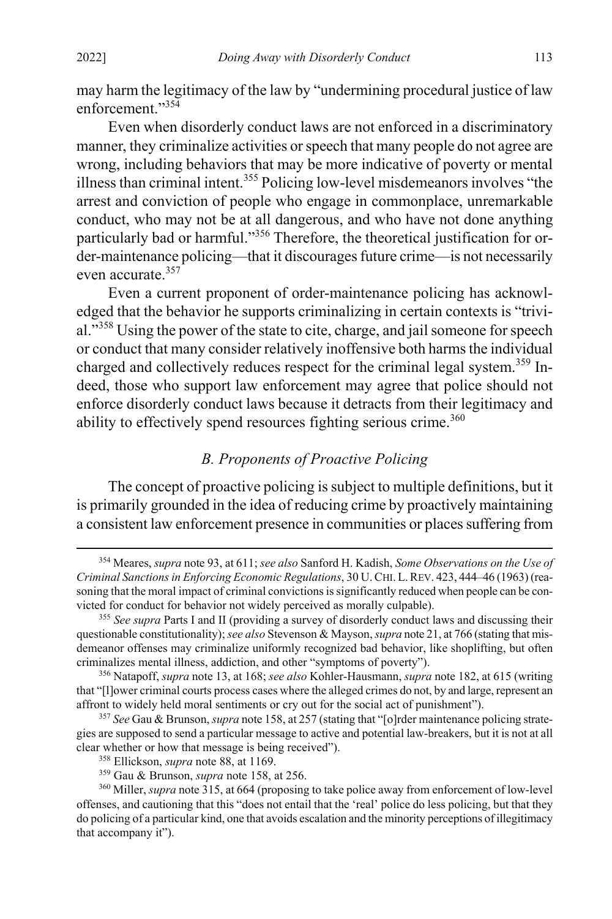may harm the legitimacy of the law by "undermining procedural justice of law enforcement."354

Even when disorderly conduct laws are not enforced in a discriminatory manner, they criminalize activities or speech that many people do not agree are wrong, including behaviors that may be more indicative of poverty or mental illness than criminal intent.355 Policing low-level misdemeanors involves "the arrest and conviction of people who engage in commonplace, unremarkable conduct, who may not be at all dangerous, and who have not done anything particularly bad or harmful."<sup>356</sup> Therefore, the theoretical justification for order-maintenance policing—that it discourages future crime—is not necessarily even accurate. 357

Even a current proponent of order-maintenance policing has acknowledged that the behavior he supports criminalizing in certain contexts is "trivial."<sup>358</sup> Using the power of the state to cite, charge, and jail someone for speech or conduct that many consider relatively inoffensive both harms the individual charged and collectively reduces respect for the criminal legal system.<sup>359</sup> Indeed, those who support law enforcement may agree that police should not enforce disorderly conduct laws because it detracts from their legitimacy and ability to effectively spend resources fighting serious crime.<sup>360</sup>

# *B. Proponents of Proactive Policing*

The concept of proactive policing is subject to multiple definitions, but it is primarily grounded in the idea of reducing crime by proactively maintaining a consistent law enforcement presence in communities or places suffering from

 <sup>354</sup> Meares, *supra* not[e 93,](#page-16-0) at 611; *see also* Sanford H. Kadish, *Some Observations on the Use of Criminal Sanctions in Enforcing Economic Regulations*, 30 U.CHI.L.REV. 423, 444–46 (1963) (reasoning that the moral impact of criminal convictions is significantly reduced when people can be convicted for conduct for behavior not widely perceived as morally culpable).

<sup>355</sup> *See supra* Parts I and II (providing a survey of disorderly conduct laws and discussing their questionable constitutionality);*see also* Stevenson & Mayson, *supra* not[e 21,](#page-4-0) at 766 (stating that misdemeanor offenses may criminalize uniformly recognized bad behavior, like shoplifting, but often criminalizes mental illness, addiction, and other "symptoms of poverty").

<sup>356</sup> Natapoff, *supra* not[e 13,](#page-3-1) at 168; *see also* Kohler-Hausmann, *supra* not[e 182,](#page-28-1) at 615 (writing that "[l]ower criminal courts process cases where the alleged crimes do not, by and large, represent an affront to widely held moral sentiments or cry out for the social act of punishment").

<sup>357</sup> *See* Gau & Brunson, *supra* not[e 158,](#page-25-1) at 257 (stating that "[o]rder maintenance policing strategies are supposed to send a particular message to active and potential law-breakers, but it is not at all clear whether or how that message is being received"). 358 Ellickson, *supra* note [88,](#page-15-0) at 1169.

<sup>359</sup> Gau & Brunson, *supra* not[e 158,](#page-25-1) at 256.

<sup>360</sup> Miller, *supra* not[e 315,](#page-42-0) at 664 (proposing to take police away from enforcement of low-level offenses, and cautioning that this "does not entail that the 'real' police do less policing, but that they do policing of a particular kind, one that avoids escalation and the minority perceptions of illegitimacy that accompany it").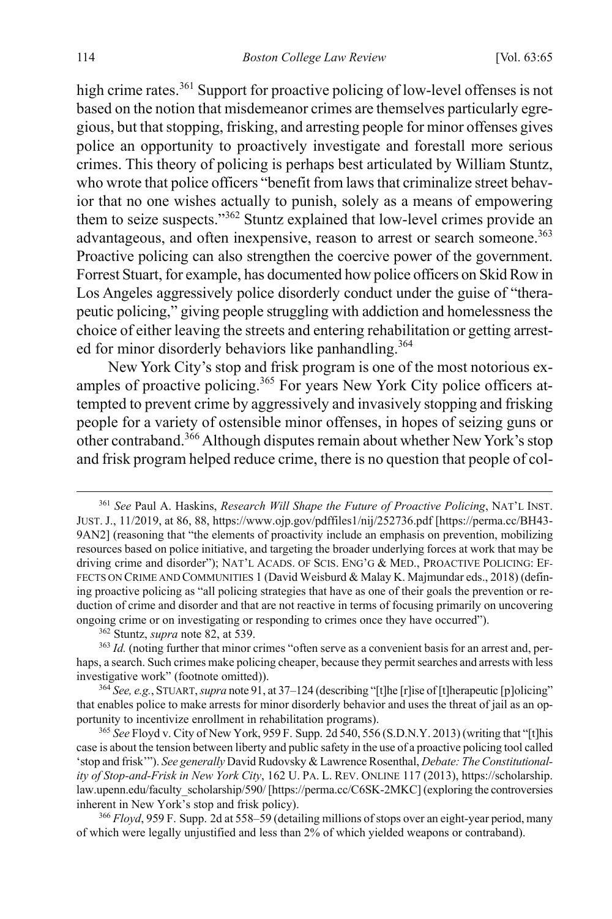high crime rates.<sup>361</sup> Support for proactive policing of low-level offenses is not based on the notion that misdemeanor crimes are themselves particularly egregious, but that stopping, frisking, and arresting people for minor offenses gives police an opportunity to proactively investigate and forestall more serious crimes. This theory of policing is perhaps best articulated by William Stuntz, who wrote that police officers "benefit from laws that criminalize street behavior that no one wishes actually to punish, solely as a means of empowering them to seize suspects."<sup>362</sup> Stuntz explained that low-level crimes provide an advantageous, and often inexpensive, reason to arrest or search someone.<sup>363</sup> Proactive policing can also strengthen the coercive power of the government. Forrest Stuart, for example, has documented how police officers on Skid Row in Los Angeles aggressively police disorderly conduct under the guise of "therapeutic policing," giving people struggling with addiction and homelessness the choice of either leaving the streets and entering rehabilitation or getting arrested for minor disorderly behaviors like panhandling.<sup>364</sup>

New York City's stop and frisk program is one of the most notorious examples of proactive policing.<sup>365</sup> For years New York City police officers attempted to prevent crime by aggressively and invasively stopping and frisking people for a variety of ostensible minor offenses, in hopes of seizing guns or other contraband.366 Although disputes remain about whether New York's stop and frisk program helped reduce crime, there is no question that people of col-

 <sup>361</sup> *See* Paul A. Haskins, *Research Will Shape the Future of Proactive Policing*, NAT'L INST. JUST. J., 11/2019, at 86, 88, https://www.ojp.gov/pdffiles1/nij/252736.pdf [https://perma.cc/BH43- 9AN2] (reasoning that "the elements of proactivity include an emphasis on prevention, mobilizing resources based on police initiative, and targeting the broader underlying forces at work that may be driving crime and disorder"); NAT'L ACADS. OF SCIS. ENG'G & MED., PROACTIVE POLICING: EF-FECTS ON CRIME AND COMMUNITIES 1 (David Weisburd & Malay K. Majmundar eds., 2018) (defining proactive policing as "all policing strategies that have as one of their goals the prevention or reduction of crime and disorder and that are not reactive in terms of focusing primarily on uncovering ongoing crime or on investigating or responding to crimes once they have occurred").

<sup>362</sup> Stuntz, *supra* not[e 82,](#page-14-0) at 539.

<sup>&</sup>lt;sup>363</sup> *Id.* (noting further that minor crimes "often serve as a convenient basis for an arrest and, perhaps, a search. Such crimes make policing cheaper, because they permit searches and arrests with less investigative work" (footnote omitted)).

<sup>364</sup> *See, e.g.*, STUART, *supra* not[e 91,](#page-15-3) at 37–124 (describing "[t]he [r]ise of [t]herapeutic [p]olicing" that enables police to make arrests for minor disorderly behavior and uses the threat of jail as an opportunity to incentivize enrollment in rehabilitation programs).

<sup>365</sup> *See* Floyd v. City of New York, 959 F. Supp. 2d 540, 556 (S.D.N.Y. 2013) (writing that "[t]his case is about the tension between liberty and public safety in the use of a proactive policing tool called 'stop and frisk'"). *See generally* David Rudovsky & Lawrence Rosenthal, *Debate: The Constitutionality of Stop-and-Frisk in New York City*, 162 U. PA. L. REV. ONLINE 117 (2013), https://scholarship. law.upenn.edu/faculty\_scholarship/590/ [https://perma.cc/C6SK-2MKC] (exploring the controversies inherent in New York's stop and frisk policy).

<sup>366</sup> *Floyd*, 959 F. Supp. 2d at 558–59 (detailing millions of stops over an eight-year period, many of which were legally unjustified and less than 2% of which yielded weapons or contraband).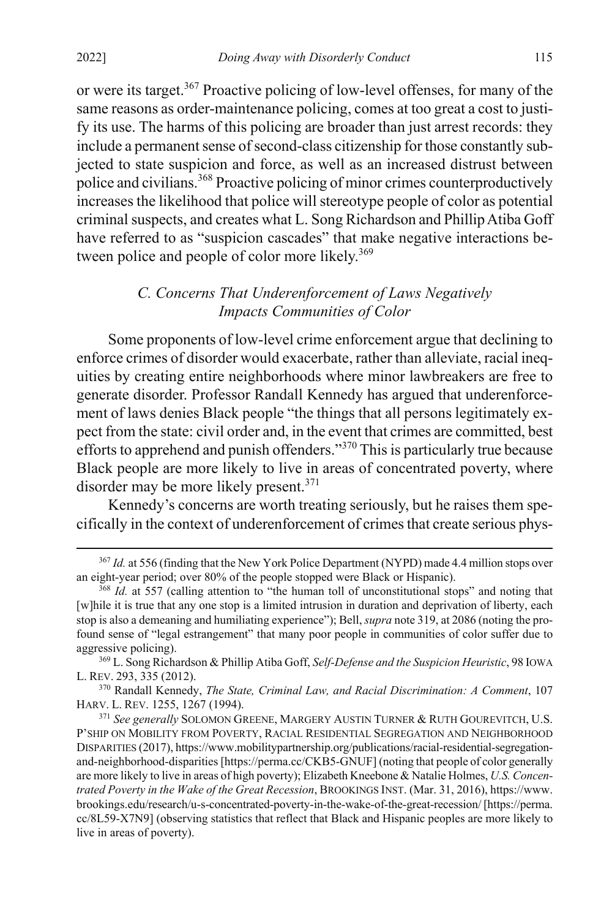or were its target.367 Proactive policing of low-level offenses, for many of the same reasons as order-maintenance policing, comes at too great a cost to justify its use. The harms of this policing are broader than just arrest records: they include a permanent sense of second-class citizenship for those constantly subjected to state suspicion and force, as well as an increased distrust between police and civilians.368 Proactive policing of minor crimes counterproductively increases the likelihood that police will stereotype people of color as potential criminal suspects, and creates what L. Song Richardson and Phillip Atiba Goff have referred to as "suspicion cascades" that make negative interactions between police and people of color more likely.<sup>369</sup>

# <span id="page-51-0"></span>*C. Concerns That Underenforcement of Laws Negatively Impacts Communities of Color*

Some proponents of low-level crime enforcement argue that declining to enforce crimes of disorder would exacerbate, rather than alleviate, racial inequities by creating entire neighborhoods where minor lawbreakers are free to generate disorder. Professor Randall Kennedy has argued that underenforcement of laws denies Black people "the things that all persons legitimately expect from the state: civil order and, in the event that crimes are committed, best efforts to apprehend and punish offenders."<sup>370</sup> This is particularly true because Black people are more likely to live in areas of concentrated poverty, where disorder may be more likely present.<sup>371</sup>

Kennedy's concerns are worth treating seriously, but he raises them specifically in the context of underenforcement of crimes that create serious phys-

 <sup>367</sup> *Id.* at 556 (finding that the New York Police Department (NYPD) made 4.4 million stops over an eight-year period; over 80% of the people stopped were Black or Hispanic).

<sup>&</sup>lt;sup>368</sup> *Id.* at 557 (calling attention to "the human toll of unconstitutional stops" and noting that [w]hile it is true that any one stop is a limited intrusion in duration and deprivation of liberty, each stop is also a demeaning and humiliating experience"); Bell, *supra* not[e 319,](#page-43-2) at 2086 (noting the profound sense of "legal estrangement" that many poor people in communities of color suffer due to aggressive policing).

<sup>369</sup> L. Song Richardson & Phillip Atiba Goff, *Self-Defense and the Suspicion Heuristic*, 98 IOWA L. REV. 293, 335 (2012).

<sup>370</sup> Randall Kennedy, *The State, Criminal Law, and Racial Discrimination: A Comment*, 107 HARV. L. REV. 1255, 1267 (1994).

<sup>371</sup> *See generally* SOLOMON GREENE, MARGERY AUSTIN TURNER & RUTH GOUREVITCH, U.S. P'SHIP ON MOBILITY FROM POVERTY, RACIAL RESIDENTIAL SEGREGATION AND NEIGHBORHOOD DISPARITIES (2017), https://www.mobilitypartnership.org/publications/racial-residential-segregationand-neighborhood-disparities [https://perma.cc/CKB5-GNUF] (noting that people of color generally are more likely to live in areas of high poverty); Elizabeth Kneebone & Natalie Holmes, *U.S. Concentrated Poverty in the Wake of the Great Recession*, BROOKINGS INST. (Mar. 31, 2016), https://www. brookings.edu/research/u-s-concentrated-poverty-in-the-wake-of-the-great-recession/ [https://perma. cc/8L59-X7N9] (observing statistics that reflect that Black and Hispanic peoples are more likely to live in areas of poverty).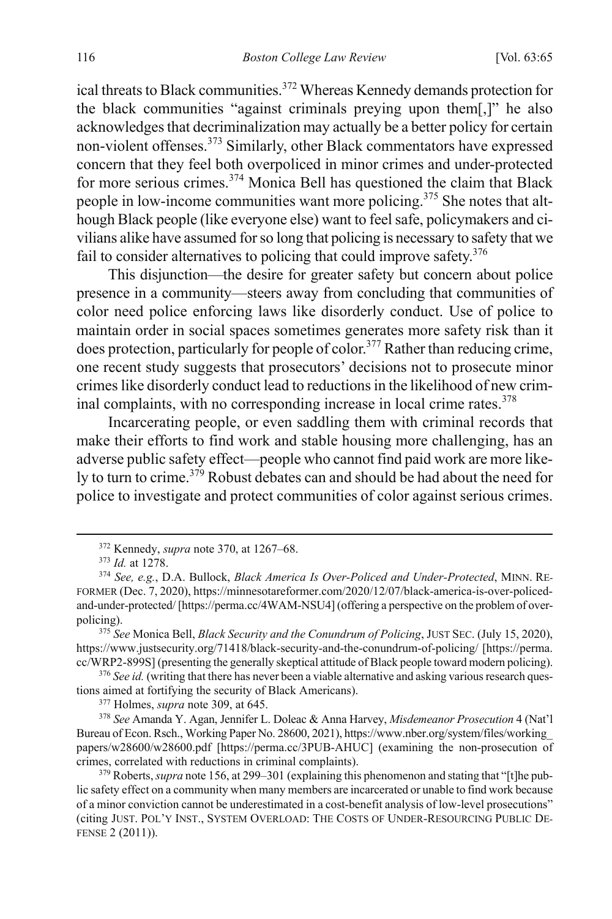ical threats to Black communities.<sup>372</sup> Whereas Kennedy demands protection for the black communities "against criminals preying upon them[,]" he also acknowledges that decriminalization may actually be a better policy for certain non-violent offenses.<sup>373</sup> Similarly, other Black commentators have expressed concern that they feel both overpoliced in minor crimes and under-protected for more serious crimes.<sup>374</sup> Monica Bell has questioned the claim that Black people in low-income communities want more policing.<sup>375</sup> She notes that although Black people (like everyone else) want to feel safe, policymakers and civilians alike have assumed for so long that policing is necessary to safety that we fail to consider alternatives to policing that could improve safety.  $376$ 

This disjunction—the desire for greater safety but concern about police presence in a community—steers away from concluding that communities of color need police enforcing laws like disorderly conduct. Use of police to maintain order in social spaces sometimes generates more safety risk than it does protection, particularly for people of color.<sup>377</sup> Rather than reducing crime, one recent study suggests that prosecutors' decisions not to prosecute minor crimes like disorderly conduct lead to reductions in the likelihood of new criminal complaints, with no corresponding increase in local crime rates.<sup>378</sup>

Incarcerating people, or even saddling them with criminal records that make their efforts to find work and stable housing more challenging, has an adverse public safety effect—people who cannot find paid work are more likely to turn to crime.<sup>379</sup> Robust debates can and should be had about the need for police to investigate and protect communities of color against serious crimes.

https://www.justsecurity.org/71418/black-security-and-the-conundrum-of-policing/ [https://perma. cc/WRP2-899S] (presenting the generally skeptical attitude of Black people toward modern policing).

<sup>376</sup> See id. (writing that there has never been a viable alternative and asking various research questions aimed at fortifying the security of Black Americans).

<sup>377</sup> Holmes, *supra* not[e 309,](#page-41-1) at 645.

<sup>378</sup> *See* Amanda Y. Agan, Jennifer L. Doleac & Anna Harvey, *Misdemeanor Prosecution* 4 (Nat'l Bureau of Econ. Rsch., Working Paper No. 28600, 2021), https://www.nber.org/system/files/working\_ papers/w28600/w28600.pdf [https://perma.cc/3PUB-AHUC] (examining the non-prosecution of crimes, correlated with reductions in criminal complaints).

379 Roberts, *supra* not[e 156,](#page-24-1) at 299–301 (explaining this phenomenon and stating that "[t]he public safety effect on a community when many members are incarcerated or unable to find work because of a minor conviction cannot be underestimated in a cost-benefit analysis of low-level prosecutions" (citing JUST. POL'Y INST., SYSTEM OVERLOAD: THE COSTS OF UNDER-RESOURCING PUBLIC DE-FENSE 2 (2011)).

 <sup>372</sup> Kennedy, *supra* not[e 370,](#page-51-0) at 1267–68. 373 *Id.* at 1278.

<sup>374</sup> *See, e.g.*, D.A. Bullock, *Black America Is Over-Policed and Under-Protected*, MINN. RE-FORMER (Dec. 7, 2020), https://minnesotareformer.com/2020/12/07/black-america-is-over-policedand-under-protected/ [https://perma.cc/4WAM-NSU4] (offering a perspective on the problem of overpolicing). 375 *See* Monica Bell, *Black Security and the Conundrum of Policing*, JUST SEC. (July 15, 2020),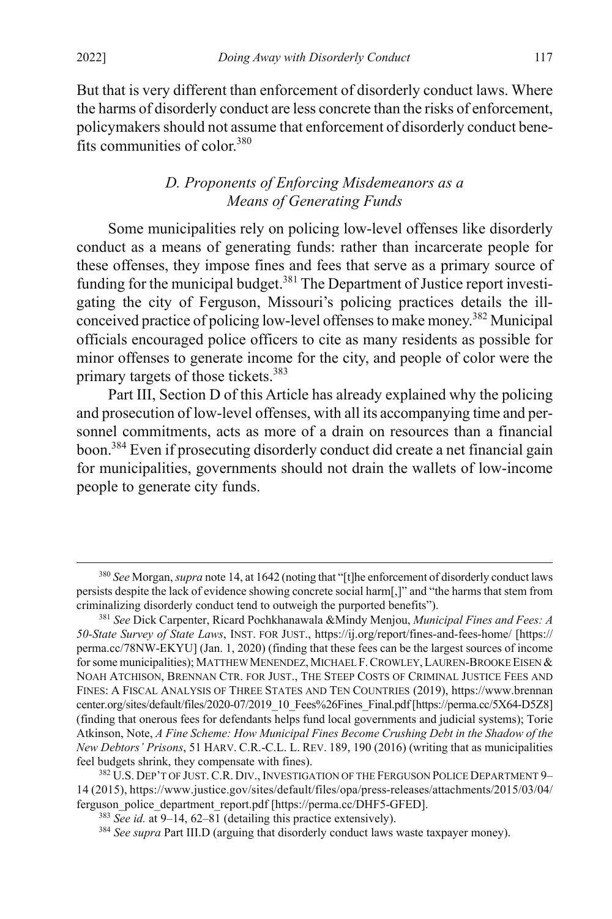But that is very different than enforcement of disorderly conduct laws. Where the harms of disorderly conduct are less concrete than the risks of enforcement, policymakers should not assume that enforcement of disorderly conduct benefits communities of color.380

# *D. Proponents of Enforcing Misdemeanors as a Means of Generating Funds*

Some municipalities rely on policing low-level offenses like disorderly conduct as a means of generating funds: rather than incarcerate people for these offenses, they impose fines and fees that serve as a primary source of funding for the municipal budget.<sup>381</sup> The Department of Justice report investigating the city of Ferguson, Missouri's policing practices details the illconceived practice of policing low-level offenses to make money.382 Municipal officials encouraged police officers to cite as many residents as possible for minor offenses to generate income for the city, and people of color were the primary targets of those tickets.<sup>383</sup>

Part III, Section D of this Article has already explained why the policing and prosecution of low-level offenses, with all its accompanying time and personnel commitments, acts as more of a drain on resources than a financial boon.384 Even if prosecuting disorderly conduct did create a net financial gain for municipalities, governments should not drain the wallets of low-income people to generate city funds.

 <sup>380</sup> *See* Morgan, *supra* not[e 14,](#page-4-1) at 1642 (noting that "[t]he enforcement of disorderly conduct laws persists despite the lack of evidence showing concrete social harm[,]" and "the harms that stem from criminalizing disorderly conduct tend to outweigh the purported benefits").

<sup>381</sup> *See* Dick Carpenter, Ricard Pochkhanawala &Mindy Menjou, *Municipal Fines and Fees: A 50-State Survey of State Laws*, INST. FOR JUST., https://ij.org/report/fines-and-fees-home/ [https:// perma.cc/78NW-EKYU] (Jan. 1, 2020) (finding that these fees can be the largest sources of income for some municipalities); MATTHEW MENENDEZ, MICHAEL F. CROWLEY, LAUREN-BROOKE EISEN & NOAH ATCHISON, BRENNAN CTR. FOR JUST., THE STEEP COSTS OF CRIMINAL JUSTICE FEES AND FINES: A FISCAL ANALYSIS OF THREE STATES AND TEN COUNTRIES (2019), https://www.brennan center.org/sites/default/files/2020-07/2019\_10\_Fees%26Fines\_Final.pdf [https://perma.cc/5X64-D5Z8] (finding that onerous fees for defendants helps fund local governments and judicial systems); Torie Atkinson, Note, *A Fine Scheme: How Municipal Fines Become Crushing Debt in the Shadow of the New Debtors' Prisons*, 51 HARV. C.R.-C.L. L. REV. 189, 190 (2016) (writing that as municipalities feel budgets shrink, they compensate with fines).

<sup>&</sup>lt;sup>382</sup> U.S. DEP'T OF JUST. C.R. DIV., INVESTIGATION OF THE FERGUSON POLICE DEPARTMENT 9-14 (2015), https://www.justice.gov/sites/default/files/opa/press-releases/attachments/2015/03/04/ ferguson\_police\_department\_report.pdf [https://perma.cc/DHF5-GFED].

<sup>383</sup> *See id.* at 9–14, 62–81 (detailing this practice extensively).

<sup>384</sup> *See supra* Part III.D (arguing that disorderly conduct laws waste taxpayer money).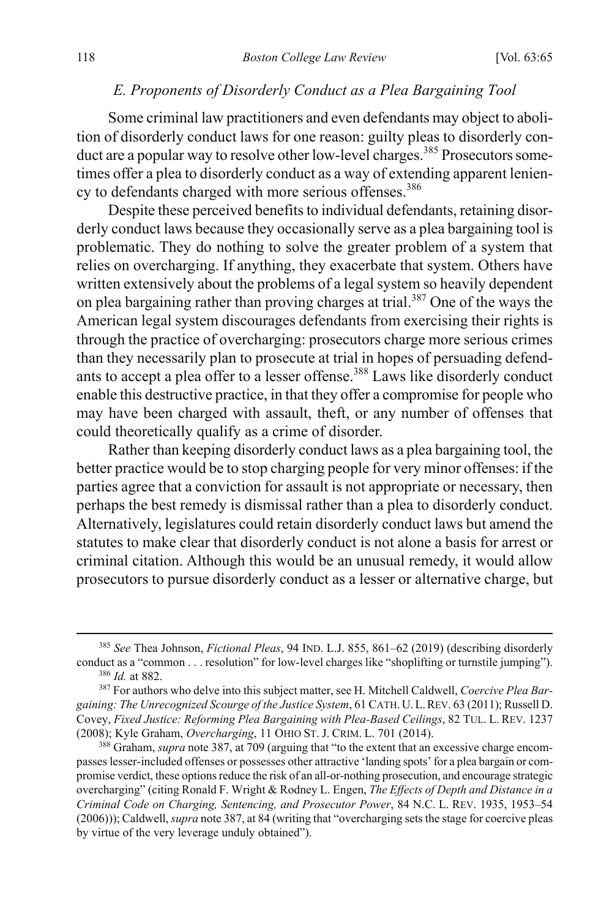## *E. Proponents of Disorderly Conduct as a Plea Bargaining Tool*

Some criminal law practitioners and even defendants may object to abolition of disorderly conduct laws for one reason: guilty pleas to disorderly conduct are a popular way to resolve other low-level charges.<sup>385</sup> Prosecutors sometimes offer a plea to disorderly conduct as a way of extending apparent leniency to defendants charged with more serious offenses.<sup>386</sup>

<span id="page-54-0"></span>Despite these perceived benefits to individual defendants, retaining disorderly conduct laws because they occasionally serve as a plea bargaining tool is problematic. They do nothing to solve the greater problem of a system that relies on overcharging. If anything, they exacerbate that system. Others have written extensively about the problems of a legal system so heavily dependent on plea bargaining rather than proving charges at trial.387 One of the ways the American legal system discourages defendants from exercising their rights is through the practice of overcharging: prosecutors charge more serious crimes than they necessarily plan to prosecute at trial in hopes of persuading defendants to accept a plea offer to a lesser offense.<sup>388</sup> Laws like disorderly conduct enable this destructive practice, in that they offer a compromise for people who may have been charged with assault, theft, or any number of offenses that could theoretically qualify as a crime of disorder.

Rather than keeping disorderly conduct laws as a plea bargaining tool, the better practice would be to stop charging people for very minor offenses: if the parties agree that a conviction for assault is not appropriate or necessary, then perhaps the best remedy is dismissal rather than a plea to disorderly conduct. Alternatively, legislatures could retain disorderly conduct laws but amend the statutes to make clear that disorderly conduct is not alone a basis for arrest or criminal citation. Although this would be an unusual remedy, it would allow prosecutors to pursue disorderly conduct as a lesser or alternative charge, but

 <sup>385</sup> *See* Thea Johnson, *Fictional Pleas*, 94 IND. L.J. 855, 861–62 (2019) (describing disorderly conduct as a "common . . . resolution" for low-level charges like "shoplifting or turnstile jumping"). <sup>386</sup> *Id.* at 882.

<sup>387</sup> For authors who delve into this subject matter, see H. Mitchell Caldwell, *Coercive Plea Bargaining: The Unrecognized Scourge of the Justice System*, 61 CATH. U.L.REV. 63 (2011); Russell D. Covey, *Fixed Justice: Reforming Plea Bargaining with Plea-Based Ceilings*, 82 TUL. L. REV. 1237 (2008); Kyle Graham, *Overcharging*, 11 OHIO ST. J. CRIM. L. 701 (2014).

<sup>&</sup>lt;sup>388</sup> Graham, *supra* not[e 387,](#page-54-0) at 709 (arguing that "to the extent that an excessive charge encompasses lesser-included offenses or possesses other attractive 'landing spots' for a plea bargain or compromise verdict, these options reduce the risk of an all-or-nothing prosecution, and encourage strategic overcharging" (citing Ronald F. Wright & Rodney L. Engen, *The Effects of Depth and Distance in a Criminal Code on Charging, Sentencing, and Prosecutor Power*, 84 N.C. L. REV. 1935, 1953–54 (2006))); Caldwell, *supra* not[e 387,](#page-54-0) at 84 (writing that "overcharging sets the stage for coercive pleas by virtue of the very leverage unduly obtained").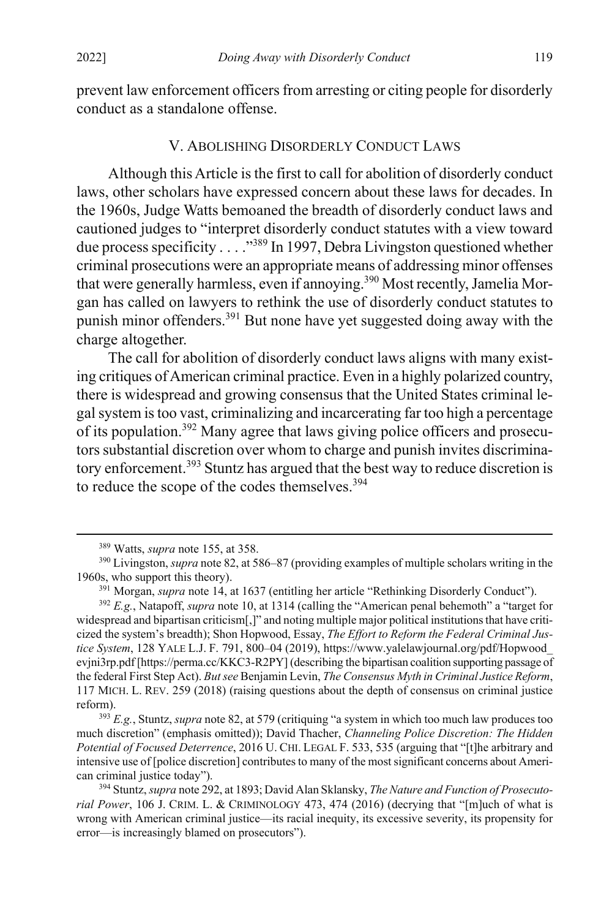prevent law enforcement officers from arresting or citing people for disorderly conduct as a standalone offense.

#### V. ABOLISHING DISORDERLY CONDUCT LAWS

Although this Article is the first to call for abolition of disorderly conduct laws, other scholars have expressed concern about these laws for decades. In the 1960s, Judge Watts bemoaned the breadth of disorderly conduct laws and cautioned judges to "interpret disorderly conduct statutes with a view toward due process specificity . . . ."389 In 1997, Debra Livingston questioned whether criminal prosecutions were an appropriate means of addressing minor offenses that were generally harmless, even if annoying.<sup>390</sup> Most recently, Jamelia Morgan has called on lawyers to rethink the use of disorderly conduct statutes to punish minor offenders.391 But none have yet suggested doing away with the charge altogether.

The call for abolition of disorderly conduct laws aligns with many existing critiques of American criminal practice. Even in a highly polarized country, there is widespread and growing consensus that the United States criminal legal system is too vast, criminalizing and incarcerating far too high a percentage of its population.392 Many agree that laws giving police officers and prosecutors substantial discretion over whom to charge and punish invites discriminatory enforcement.<sup>393</sup> Stuntz has argued that the best way to reduce discretion is to reduce the scope of the codes themselves.<sup>394</sup>

 <sup>389</sup> Watts, *supra* not[e 155,](#page-24-0) at 358.

<sup>390</sup> Livingston, *supra* not[e 82,](#page-14-0) at 586–87 (providing examples of multiple scholars writing in the 1960s, who support this theory).

<sup>391</sup> Morgan, *supra* not[e 14,](#page-4-1) at 1637 (entitling her article "Rethinking Disorderly Conduct").

<sup>&</sup>lt;sup>392</sup> *E.g.*, Natapoff, *supra* not[e 10,](#page-3-2) at 1314 (calling the "American penal behemoth" a "target for widespread and bipartisan criticism[,]" and noting multiple major political institutions that have criticized the system's breadth); Shon Hopwood, Essay, *The Effort to Reform the Federal Criminal Justice System*, 128 YALE L.J. F. 791, 800–04 (2019), https://www.yalelawjournal.org/pdf/Hopwood\_ evjni3rp.pdf [https://perma.cc/KKC3-R2PY] (describing the bipartisan coalition supporting passage of the federal First Step Act). *But see* Benjamin Levin, *The Consensus Myth in Criminal Justice Reform*, 117 MICH. L. REV. 259 (2018) (raising questions about the depth of consensus on criminal justice reform).

<sup>393</sup> *E.g.*, Stuntz, *supra* not[e 82,](#page-14-0) at 579 (critiquing "a system in which too much law produces too much discretion" (emphasis omitted)); David Thacher, *Channeling Police Discretion: The Hidden Potential of Focused Deterrence*, 2016 U. CHI. LEGAL F. 533, 535 (arguing that "[t]he arbitrary and intensive use of [police discretion] contributes to many of the most significant concerns about American criminal justice today").

<sup>394</sup> Stuntz,*supra* not[e 292,](#page-39-1) at 1893; David Alan Sklansky, *The Nature and Function of Prosecutorial Power*, 106 J. CRIM. L. & CRIMINOLOGY 473, 474 (2016) (decrying that "[m]uch of what is wrong with American criminal justice—its racial inequity, its excessive severity, its propensity for error—is increasingly blamed on prosecutors").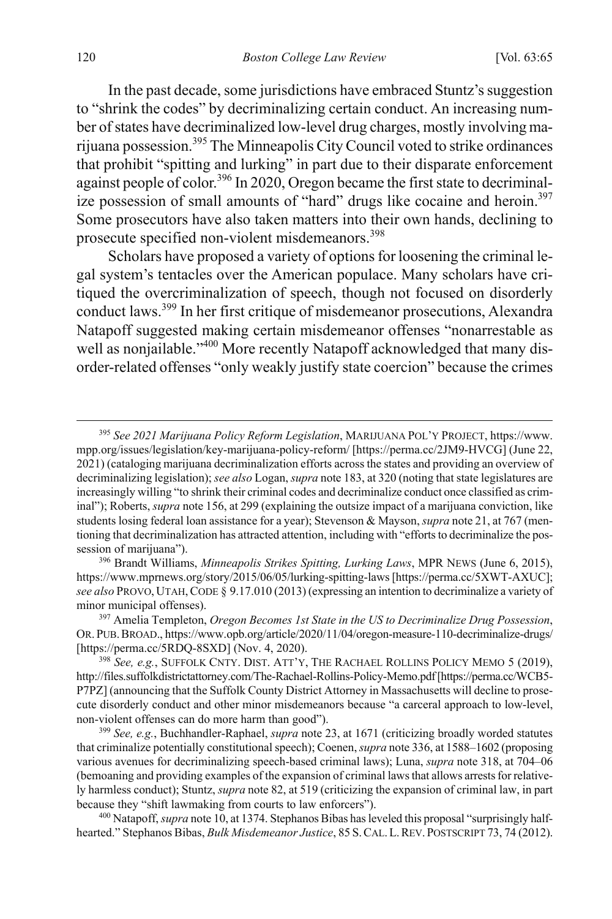In the past decade, some jurisdictions have embraced Stuntz's suggestion to "shrink the codes" by decriminalizing certain conduct. An increasing number of states have decriminalized low-level drug charges, mostly involving marijuana possession.395 The Minneapolis City Council voted to strike ordinances that prohibit "spitting and lurking" in part due to their disparate enforcement against people of color.396 In 2020, Oregon became the first state to decriminalize possession of small amounts of "hard" drugs like cocaine and heroin.<sup>397</sup> Some prosecutors have also taken matters into their own hands, declining to prosecute specified non-violent misdemeanors.<sup>398</sup>

Scholars have proposed a variety of options for loosening the criminal legal system's tentacles over the American populace. Many scholars have critiqued the overcriminalization of speech, though not focused on disorderly conduct laws.<sup>399</sup> In her first critique of misdemeanor prosecutions, Alexandra Natapoff suggested making certain misdemeanor offenses "nonarrestable as well as nonjailable."<sup>400</sup> More recently Natapoff acknowledged that many disorder-related offenses "only weakly justify state coercion" because the crimes

<sup>396</sup> Brandt Williams, *Minneapolis Strikes Spitting, Lurking Laws*, MPR NEWS (June 6, 2015), https://www.mprnews.org/story/2015/06/05/lurking-spitting-laws [https://perma.cc/5XWT-AXUC]; *see also* PROVO, UTAH,CODE § 9.17.010 (2013) (expressing an intention to decriminalize a variety of minor municipal offenses).

<sup>397</sup> Amelia Templeton, *Oregon Becomes 1st State in the US to Decriminalize Drug Possession*, OR.PUB.BROAD., https://www.opb.org/article/2020/11/04/oregon-measure-110-decriminalize-drugs/ [https://perma.cc/5RDQ-8SXD] (Nov. 4, 2020). 398 *See, e.g.*, SUFFOLK CNTY. DIST. ATT'Y, THE RACHAEL ROLLINS POLICY MEMO 5 (2019),

 <sup>395</sup> *See 2021 Marijuana Policy Reform Legislation*, MARIJUANA POL'Y PROJECT, https://www. mpp.org/issues/legislation/key-marijuana-policy-reform/ [https://perma.cc/2JM9-HVCG] (June 22, 2021) (cataloging marijuana decriminalization efforts across the states and providing an overview of decriminalizing legislation); *see also* Logan, *supra* not[e 183,](#page-28-2) at 320 (noting that state legislatures are increasingly willing "to shrink their criminal codes and decriminalize conduct once classified as criminal"); Roberts, *supra* not[e 156,](#page-24-1) at 299 (explaining the outsize impact of a marijuana conviction, like students losing federal loan assistance for a year); Stevenson & Mayson, *supra* not[e 21,](#page-4-0) at 767 (mentioning that decriminalization has attracted attention, including with "efforts to decriminalize the possession of marijuana").

http://files.suffolkdistrictattorney.com/The-Rachael-Rollins-Policy-Memo.pdf [https://perma.cc/WCB5- P7PZ] (announcing that the Suffolk County District Attorney in Massachusetts will decline to prosecute disorderly conduct and other minor misdemeanors because "a carceral approach to low-level, non-violent offenses can do more harm than good").

<sup>399</sup> *See, e.g.*, Buchhandler-Raphael, *supra* not[e 23,](#page-5-0) at 1671 (criticizing broadly worded statutes that criminalize potentially constitutional speech); Coenen, *supra* not[e 336,](#page-46-0) at 1588–1602 (proposing various avenues for decriminalizing speech-based criminal laws); Luna, *supra* not[e 318,](#page-43-3) at 704–06 (bemoaning and providing examples of the expansion of criminal laws that allows arrests for relatively harmless conduct); Stuntz, *supra* not[e 82,](#page-14-0) at 519 (criticizing the expansion of criminal law, in part because they "shift lawmaking from courts to law enforcers").

<sup>400</sup> Natapoff, *supra* not[e 10,](#page-3-2) at 1374. Stephanos Bibas has leveled this proposal "surprisingly halfhearted." Stephanos Bibas, *Bulk Misdemeanor Justice*, 85 S.CAL.L.REV. POSTSCRIPT 73, 74 (2012).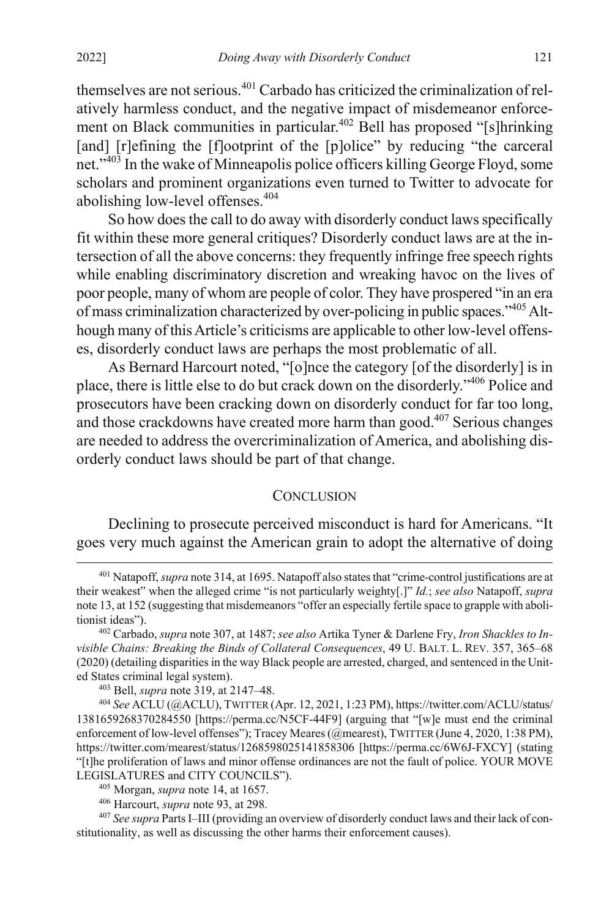themselves are not serious.<sup>401</sup> Carbado has criticized the criminalization of relatively harmless conduct, and the negative impact of misdemeanor enforcement on Black communities in particular.<sup>402</sup> Bell has proposed "[s]hrinking [and] [r]efining the [f]ootprint of the [p]olice" by reducing "the carceral net."403 In the wake of Minneapolis police officers killing George Floyd, some scholars and prominent organizations even turned to Twitter to advocate for abolishing low-level offenses.<sup>404</sup>

So how does the call to do away with disorderly conduct laws specifically fit within these more general critiques? Disorderly conduct laws are at the intersection of all the above concerns: they frequently infringe free speech rights while enabling discriminatory discretion and wreaking havoc on the lives of poor people, many of whom are people of color. They have prospered "in an era of mass criminalization characterized by over-policing in public spaces."<sup>405</sup> Although many of this Article's criticisms are applicable to other low-level offenses, disorderly conduct laws are perhaps the most problematic of all.

As Bernard Harcourt noted, "[o]nce the category [of the disorderly] is in place, there is little else to do but crack down on the disorderly."406 Police and prosecutors have been cracking down on disorderly conduct for far too long, and those crackdowns have created more harm than good.<sup>407</sup> Serious changes are needed to address the overcriminalization of America, and abolishing disorderly conduct laws should be part of that change.

#### **CONCLUSION**

Declining to prosecute perceived misconduct is hard for Americans. "It goes very much against the American grain to adopt the alternative of doing

<sup>403</sup> Bell, *supra* note [319,](#page-43-2) at 2147–48.

<sup>404</sup> *See* ACLU (@ACLU), TWITTER (Apr. 12, 2021, 1:23 PM), https://twitter.com/ACLU/status/ 1381659268370284550 [https://perma.cc/N5CF-44F9] (arguing that "[w]e must end the criminal enforcement of low-level offenses"); Tracey Meares (@mearest), TWITTER (June 4, 2020, 1:38 PM), https://twitter.com/mearest/status/1268598025141858306 [https://perma.cc/6W6J-FXCY] (stating "[t]he proliferation of laws and minor offense ordinances are not the fault of police. YOUR MOVE LEGISLATURES and CITY COUNCILS").

<sup>407</sup> *See supra* Parts I–III (providing an overview of disorderly conduct laws and their lack of constitutionality, as well as discussing the other harms their enforcement causes).

 <sup>401</sup> Natapoff, *supra* not[e 314,](#page-42-1) at 1695. Natapoff also states that "crime-control justifications are at their weakest" when the alleged crime "is not particularly weighty[.]" *Id.*; *see also* Natapoff, *supra*  not[e 13,](#page-3-1) at 152 (suggesting that misdemeanors "offer an especially fertile space to grapple with abolitionist ideas").

<sup>402</sup> Carbado, *supra* not[e 307,](#page-41-0) at 1487; *see also* Artika Tyner & Darlene Fry, *Iron Shackles to Invisible Chains: Breaking the Binds of Collateral Consequences*, 49 U. BALT. L. REV. 357, 365–68 (2020) (detailing disparities in the way Black people are arrested, charged, and sentenced in the United States criminal legal system).

<sup>405</sup> Morgan, *supra* not[e 14,](#page-4-1) at 1657. 406 Harcourt, *supra* note 93, at 298.